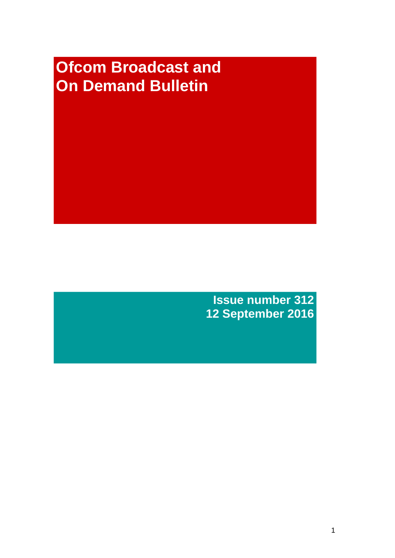# **Ofcom Broadcast and On Demand Bulletin**

**Issue number 312 12 September 2016**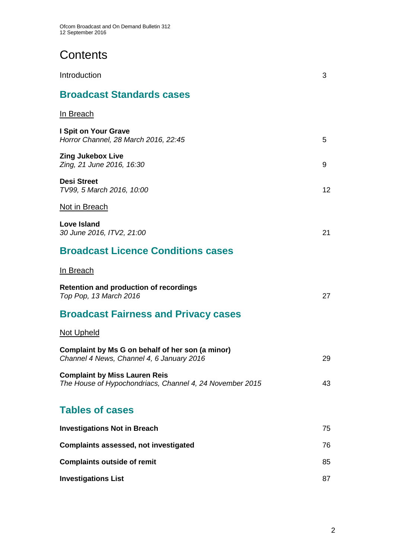# **Contents**

| Introduction                                                                                     | 3  |
|--------------------------------------------------------------------------------------------------|----|
| <b>Broadcast Standards cases</b>                                                                 |    |
| <u>In Breach</u>                                                                                 |    |
| I Spit on Your Grave<br>Horror Channel, 28 March 2016, 22:45                                     | 5  |
| <b>Zing Jukebox Live</b><br>Zing, 21 June 2016, 16:30                                            | 9  |
| <b>Desi Street</b><br>TV99, 5 March 2016, 10:00                                                  | 12 |
| Not in Breach                                                                                    |    |
| <b>Love Island</b><br>30 June 2016, ITV2, 21:00                                                  | 21 |
| <b>Broadcast Licence Conditions cases</b>                                                        |    |
| <u>In Breach</u>                                                                                 |    |
| <b>Retention and production of recordings</b><br>Top Pop, 13 March 2016                          | 27 |
| <b>Broadcast Fairness and Privacy cases</b>                                                      |    |
| Not Upheld                                                                                       |    |
| Complaint by Ms G on behalf of her son (a minor)<br>Channel 4 News, Channel 4, 6 January 2016    | 29 |
| <b>Complaint by Miss Lauren Reis</b><br>The House of Hypochondriacs, Channel 4, 24 November 2015 | 43 |
| <b>Tables of cases</b>                                                                           |    |
| <b>Investigations Not in Breach</b>                                                              | 75 |
| <b>Complaints assessed, not investigated</b>                                                     | 76 |
| <b>Complaints outside of remit</b>                                                               | 85 |
| <b>Investigations List</b>                                                                       | 87 |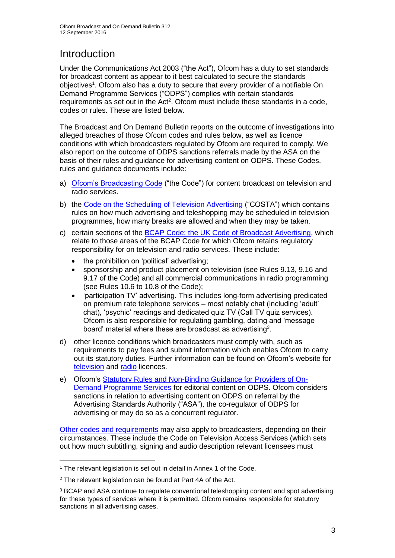# **Introduction**

Under the Communications Act 2003 ("the Act"), Ofcom has a duty to set standards for broadcast content as appear to it best calculated to secure the standards objectives<sup>1</sup>. Ofcom also has a duty to secure that every provider of a notifiable On Demand Programme Services ("ODPS") complies with certain standards requirements as set out in the Act<sup>2</sup>. Ofcom must include these standards in a code, codes or rules. These are listed below.

The Broadcast and On Demand Bulletin reports on the outcome of investigations into alleged breaches of those Ofcom codes and rules below, as well as licence conditions with which broadcasters regulated by Ofcom are required to comply. We also report on the outcome of ODPS sanctions referrals made by the ASA on the basis of their rules and guidance for advertising content on ODPS. These Codes, rules and guidance documents include:

- a) [Ofcom's Broadcasting Code](http://stakeholders.ofcom.org.uk/broadcasting/broadcast-codes/broadcast-code/) ("the Code") for content broadcast on television and radio services.
- b) the [Code on the Scheduling of Television Advertising](http://stakeholders.ofcom.org.uk/binaries/broadcast/other-codes/COSTA_April_2016.pdf) ("COSTA") which contains rules on how much advertising and teleshopping may be scheduled in television programmes, how many breaks are allowed and when they may be taken.
- c) certain sections of the [BCAP Code: the UK Code of Broadcast Advertising,](https://www.cap.org.uk/Advertising-Codes/Broadcast.aspx) which relate to those areas of the BCAP Code for which Ofcom retains regulatory responsibility for on television and radio services. These include:
	- the prohibition on 'political' advertising;
	- sponsorship and product placement on television (see Rules 9.13, 9.16 and 9.17 of the Code) and all commercial communications in radio programming (see Rules 10.6 to 10.8 of the Code);
	- 'participation TV' advertising. This includes long-form advertising predicated on premium rate telephone services – most notably chat (including 'adult' chat), 'psychic' readings and dedicated quiz TV (Call TV quiz services). Ofcom is also responsible for regulating gambling, dating and 'message board' material where these are broadcast as advertising<sup>3</sup>.
- d) other licence conditions which broadcasters must comply with, such as requirements to pay fees and submit information which enables Ofcom to carry out its statutory duties. Further information can be found on Ofcom's website for [television](http://licensing.ofcom.org.uk/tv-broadcast-licences/) and [radio](http://licensing.ofcom.org.uk/radio-broadcast-licensing/) licences.
- e) Ofcom's [Statutory Rules and Non-Binding Guidance for Providers of On-](http://stakeholders.ofcom.org.uk/binaries/broadcast/on-demand/rules-guidance/rules_and_guidance.pdf)[Demand Programme Services](http://stakeholders.ofcom.org.uk/binaries/broadcast/on-demand/rules-guidance/rules_and_guidance.pdf) for editorial content on ODPS. Ofcom considers sanctions in relation to advertising content on ODPS on referral by the Advertising Standards Authority ("ASA"), the co-regulator of ODPS for advertising or may do so as a concurrent regulator.

Other codes [and requirements](http://stakeholders.ofcom.org.uk/broadcasting/broadcast-codes/) may also apply to broadcasters, depending on their circumstances. These include the Code on Television Access Services (which sets out how much subtitling, signing and audio description relevant licensees must

<sup>1</sup> <sup>1</sup> The relevant legislation is set out in detail in Annex 1 of the Code.

<sup>&</sup>lt;sup>2</sup> The relevant legislation can be found at Part 4A of the Act.

<sup>3</sup> BCAP and ASA continue to regulate conventional teleshopping content and spot advertising for these types of services where it is permitted. Ofcom remains responsible for statutory sanctions in all advertising cases.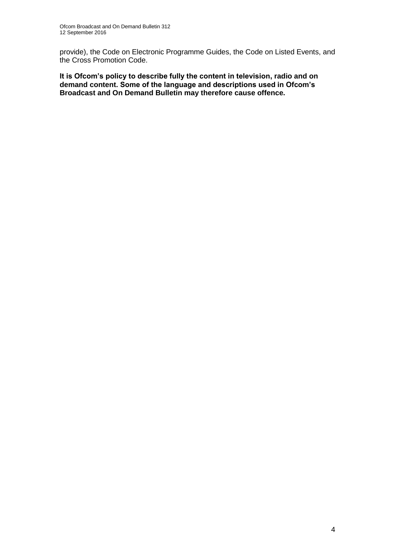provide), the Code on Electronic Programme Guides, the Code on Listed Events, and the Cross Promotion Code.

**It is Ofcom's policy to describe fully the content in television, radio and on demand content. Some of the language and descriptions used in Ofcom's Broadcast and On Demand Bulletin may therefore cause offence.**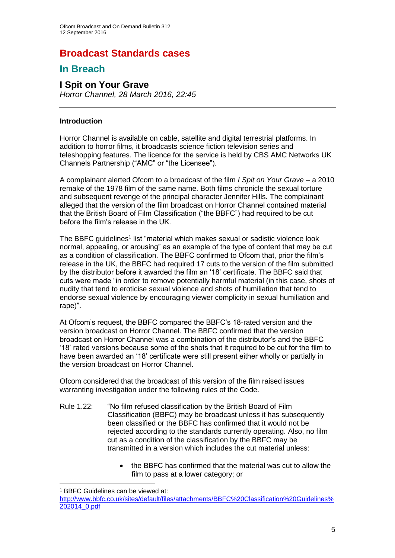# **Broadcast Standards cases**

### **In Breach**

### **I Spit on Your Grave**

*Horror Channel, 28 March 2016, 22:45*

#### **Introduction**

Horror Channel is available on cable, satellite and digital terrestrial platforms. In addition to horror films, it broadcasts science fiction television series and teleshopping features. The licence for the service is held by [CBS AMC Networks UK](javascript:srcUp(%27%2F00158000006hMlI%3Fisdtp%3Dvw%27);)  [Channels Partnership](javascript:srcUp(%27%2F00158000006hMlI%3Fisdtp%3Dvw%27);) ("AMC" or "the Licensee").

A complainant alerted Ofcom to a broadcast of the film *I Spit on Your Grave* – a 2010 remake of the 1978 film of the same name. Both films chronicle the sexual torture and subsequent revenge of the principal character Jennifer Hills. The complainant alleged that the version of the film broadcast on Horror Channel contained material that the British Board of Film Classification ("the BBFC") had required to be cut before the film's release in the UK.

The BBFC guidelines<sup>1</sup> list "material which makes sexual or sadistic violence look normal, appealing, or arousing" as an example of the type of content that may be cut as a condition of classification. The BBFC confirmed to Ofcom that, prior the film's release in the UK, the BBFC had required 17 cuts to the version of the film submitted by the distributor before it awarded the film an '18' certificate. The BBFC said that cuts were made "in order to remove potentially harmful material (in this case, shots of nudity that tend to eroticise sexual violence and shots of humiliation that tend to endorse sexual violence by encouraging viewer complicity in sexual humiliation and rape)".

At Ofcom's request, the BBFC compared the BBFC's 18-rated version and the version broadcast on Horror Channel. The BBFC confirmed that the version broadcast on Horror Channel was a combination of the distributor's and the BBFC '18' rated versions because some of the shots that it required to be cut for the film to have been awarded an '18' certificate were still present either wholly or partially in the version broadcast on Horror Channel.

Ofcom considered that the broadcast of this version of the film raised issues warranting investigation under the following rules of the Code.

- Rule 1.22: "No film refused classification by the British Board of Film Classification (BBFC) may be broadcast unless it has subsequently been classified or the BBFC has confirmed that it would not be rejected according to the standards currently operating. Also, no film cut as a condition of the classification by the BBFC may be transmitted in a version which includes the cut material unless:
	- the BBFC has confirmed that the material was cut to allow the film to pass at a lower category; or

1

<sup>1</sup> BBFC Guidelines can be viewed at:

[http://www.bbfc.co.uk/sites/default/files/attachments/BBFC%20Classification%20Guidelines%](http://www.bbfc.co.uk/sites/default/files/attachments/BBFC%20Classification%20Guidelines%202014_0.pdf) [202014\\_0.pdf](http://www.bbfc.co.uk/sites/default/files/attachments/BBFC%20Classification%20Guidelines%202014_0.pdf)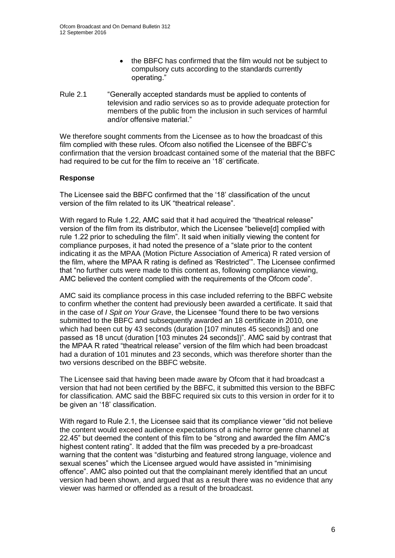- the BBFC has confirmed that the film would not be subject to compulsory cuts according to the standards currently operating."
- Rule 2.1 "Generally accepted standards must be applied to contents of television and radio services so as to provide adequate protection for members of the public from the inclusion in such services of harmful and/or offensive material."

We therefore sought comments from the Licensee as to how the broadcast of this film complied with these rules. Ofcom also notified the Licensee of the BBFC's confirmation that the version broadcast contained some of the material that the BBFC had required to be cut for the film to receive an '18' certificate.

#### **Response**

The Licensee said the BBFC confirmed that the '18' classification of the uncut version of the film related to its UK "theatrical release".

With regard to Rule 1.22, AMC said that it had acquired the "theatrical release" version of the film from its distributor, which the Licensee "believe[d] complied with rule 1.22 prior to scheduling the film". It said when initially viewing the content for compliance purposes, it had noted the presence of a "slate prior to the content indicating it as the MPAA (Motion Picture Association of America) R rated version of the film, where the MPAA R rating is defined as 'Restricted'". The Licensee confirmed that "no further cuts were made to this content as, following compliance viewing, AMC believed the content complied with the requirements of the Ofcom code".

AMC said its compliance process in this case included referring to the BBFC website to confirm whether the content had previously been awarded a certificate. It said that in the case of *I Spit on Your Grave*, the Licensee "found there to be two versions submitted to the BBFC and subsequently awarded an 18 certificate in 2010, one which had been cut by 43 seconds (duration [107 minutes 45 seconds]) and one passed as 18 uncut (duration [103 minutes 24 seconds])". AMC said by contrast that the MPAA R rated "theatrical release" version of the film which had been broadcast had a duration of 101 minutes and 23 seconds, which was therefore shorter than the two versions described on the BBFC website.

The Licensee said that having been made aware by Ofcom that it had broadcast a version that had not been certified by the BBFC, it submitted this version to the BBFC for classification. AMC said the BBFC required six cuts to this version in order for it to be given an '18' classification.

With regard to Rule 2.1, the Licensee said that its compliance viewer "did not believe the content would exceed audience expectations of a niche horror genre channel at 22.45" but deemed the content of this film to be "strong and awarded the film AMC's highest content rating". It added that the film was preceded by a pre-broadcast warning that the content was "disturbing and featured strong language, violence and sexual scenes" which the Licensee argued would have assisted in "minimising offence". AMC also pointed out that the complainant merely identified that an uncut version had been shown, and argued that as a result there was no evidence that any viewer was harmed or offended as a result of the broadcast.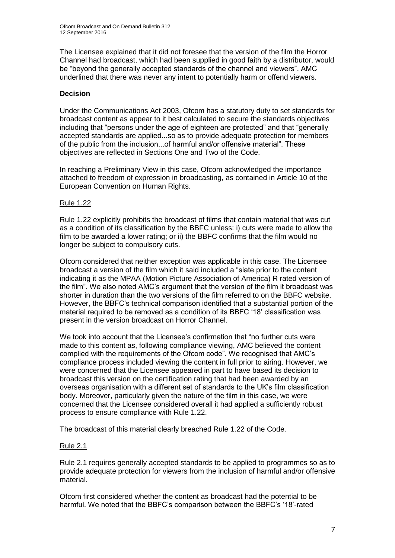The Licensee explained that it did not foresee that the version of the film the Horror Channel had broadcast, which had been supplied in good faith by a distributor, would be "beyond the generally accepted standards of the channel and viewers". AMC underlined that there was never any intent to potentially harm or offend viewers.

### **Decision**

Under the Communications Act 2003, Ofcom has a statutory duty to set standards for broadcast content as appear to it best calculated to secure the standards objectives including that "persons under the age of eighteen are protected" and that "generally accepted standards are applied...so as to provide adequate protection for members of the public from the inclusion...of harmful and/or offensive material". These objectives are reflected in Sections One and Two of the Code.

In reaching a Preliminary View in this case, Ofcom acknowledged the importance attached to freedom of expression in broadcasting, as contained in Article 10 of the European Convention on Human Rights.

### Rule 1.22

Rule 1.22 explicitly prohibits the broadcast of films that contain material that was cut as a condition of its classification by the BBFC unless: i) cuts were made to allow the film to be awarded a lower rating; or ii) the BBFC confirms that the film would no longer be subject to compulsory cuts.

Ofcom considered that neither exception was applicable in this case. The Licensee broadcast a version of the film which it said included a "slate prior to the content indicating it as the MPAA (Motion Picture Association of America) R rated version of the film". We also noted AMC's argument that the version of the film it broadcast was shorter in duration than the two versions of the film referred to on the BBFC website. However, the BBFC's technical comparison identified that a substantial portion of the material required to be removed as a condition of its BBFC '18' classification was present in the version broadcast on Horror Channel.

We took into account that the Licensee's confirmation that "no further cuts were made to this content as, following compliance viewing, AMC believed the content complied with the requirements of the Ofcom code". We recognised that AMC's compliance process included viewing the content in full prior to airing. However, we were concerned that the Licensee appeared in part to have based its decision to broadcast this version on the certification rating that had been awarded by an overseas organisation with a different set of standards to the UK's film classification body. Moreover, particularly given the nature of the film in this case, we were concerned that the Licensee considered overall it had applied a sufficiently robust process to ensure compliance with Rule 1.22.

The broadcast of this material clearly breached Rule 1.22 of the Code.

### Rule 2.1

Rule 2.1 requires generally accepted standards to be applied to programmes so as to provide adequate protection for viewers from the inclusion of harmful and/or offensive material.

Ofcom first considered whether the content as broadcast had the potential to be harmful. We noted that the BBFC's comparison between the BBFC's '18'-rated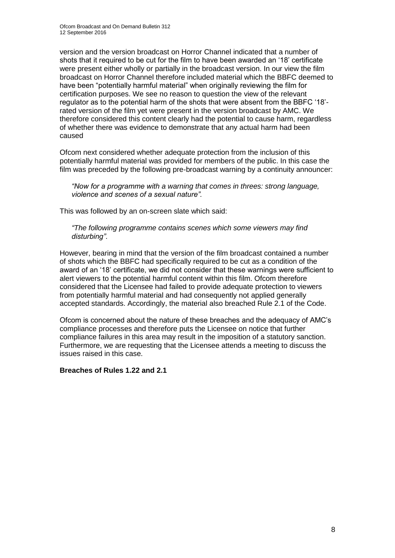version and the version broadcast on Horror Channel indicated that a number of shots that it required to be cut for the film to have been awarded an '18' certificate were present either wholly or partially in the broadcast version. In our view the film broadcast on Horror Channel therefore included material which the BBFC deemed to have been "potentially harmful material" when originally reviewing the film for certification purposes. We see no reason to question the view of the relevant regulator as to the potential harm of the shots that were absent from the BBFC '18' rated version of the film yet were present in the version broadcast by AMC. We therefore considered this content clearly had the potential to cause harm, regardless of whether there was evidence to demonstrate that any actual harm had been caused

Ofcom next considered whether adequate protection from the inclusion of this potentially harmful material was provided for members of the public. In this case the film was preceded by the following pre-broadcast warning by a continuity announcer:

*"Now for a programme with a warning that comes in threes: strong language, violence and scenes of a sexual nature".*

This was followed by an on-screen slate which said:

*"The following programme contains scenes which some viewers may find disturbing"*.

However, bearing in mind that the version of the film broadcast contained a number of shots which the BBFC had specifically required to be cut as a condition of the award of an '18' certificate, we did not consider that these warnings were sufficient to alert viewers to the potential harmful content within this film. Ofcom therefore considered that the Licensee had failed to provide adequate protection to viewers from potentially harmful material and had consequently not applied generally accepted standards. Accordingly, the material also breached Rule 2.1 of the Code.

Ofcom is concerned about the nature of these breaches and the adequacy of AMC's compliance processes and therefore puts the Licensee on notice that further compliance failures in this area may result in the imposition of a statutory sanction. Furthermore, we are requesting that the Licensee attends a meeting to discuss the issues raised in this case.

#### **Breaches of Rules 1.22 and 2.1**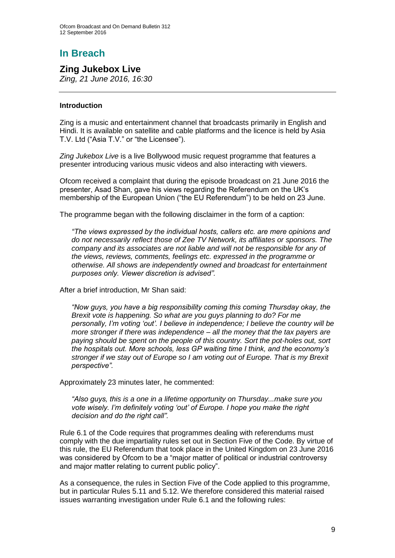# **In Breach**

**Zing Jukebox Live** *Zing, 21 June 2016, 16:30*

#### **Introduction**

Zing is a music and entertainment channel that broadcasts primarily in English and Hindi. It is available on satellite and cable platforms and the licence is held by Asia T.V. Ltd ("Asia T.V." or "the Licensee").

*Zing Jukebox Live* is a live Bollywood music request programme that features a presenter introducing various music videos and also interacting with viewers.

Ofcom received a complaint that during the episode broadcast on 21 June 2016 the presenter, Asad Shan, gave his views regarding the Referendum on the UK's membership of the European Union ("the EU Referendum") to be held on 23 June.

The programme began with the following disclaimer in the form of a caption:

*"The views expressed by the individual hosts, callers etc. are mere opinions and do not necessarily reflect those of Zee TV Network, its affiliates or sponsors. The company and its associates are not liable and will not be responsible for any of the views, reviews, comments, feelings etc. expressed in the programme or otherwise. All shows are independently owned and broadcast for entertainment purposes only. Viewer discretion is advised".*

After a brief introduction, Mr Shan said:

*"Now guys, you have a big responsibility coming this coming Thursday okay, the Brexit vote is happening. So what are you guys planning to do? For me personally, I'm voting 'out'. I believe in independence; I believe the country will be more stronger if there was independence – all the money that the tax payers are paying should be spent on the people of this country. Sort the pot-holes out, sort the hospitals out. More schools, less GP waiting time I think, and the economy's stronger if we stay out of Europe so I am voting out of Europe. That is my Brexit perspective".*

Approximately 23 minutes later, he commented:

*"Also guys, this is a one in a lifetime opportunity on Thursday...make sure you vote wisely. I'm definitely voting 'out' of Europe. I hope you make the right decision and do the right call".*

Rule 6.1 of the Code requires that programmes dealing with referendums must comply with the due impartiality rules set out in Section Five of the Code. By virtue of this rule, the EU Referendum that took place in the United Kingdom on 23 June 2016 was considered by Ofcom to be a "major matter of political or industrial controversy and major matter relating to current public policy".

As a consequence, the rules in Section Five of the Code applied to this programme, but in particular Rules 5.11 and 5.12. We therefore considered this material raised issues warranting investigation under Rule 6.1 and the following rules: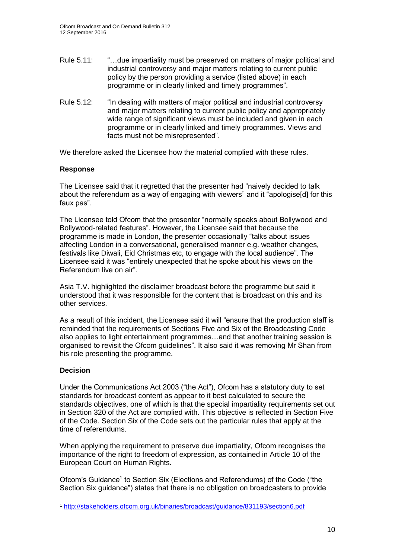- Rule 5.11: "…due impartiality must be preserved on matters of major political and industrial controversy and major matters relating to current public policy by the person providing a service (listed above) in each programme or in clearly linked and timely programmes".
- Rule 5.12: "In dealing with matters of major political and industrial controversy and major matters relating to current public policy and appropriately wide range of significant views must be included and given in each programme or in clearly linked and timely programmes. Views and facts must not be misrepresented".

We therefore asked the Licensee how the material complied with these rules.

#### **Response**

The Licensee said that it regretted that the presenter had "naively decided to talk about the referendum as a way of engaging with viewers" and it "apologise[d] for this faux pas".

The Licensee told Ofcom that the presenter "normally speaks about Bollywood and Bollywood-related features". However, the Licensee said that because the programme is made in London, the presenter occasionally "talks about issues affecting London in a conversational, generalised manner e.g. weather changes, festivals like Diwali, Eid Christmas etc, to engage with the local audience". The Licensee said it was "entirely unexpected that he spoke about his views on the Referendum live on air".

Asia T.V. highlighted the disclaimer broadcast before the programme but said it understood that it was responsible for the content that is broadcast on this and its other services.

As a result of this incident, the Licensee said it will "ensure that the production staff is reminded that the requirements of Sections Five and Six of the Broadcasting Code also applies to light entertainment programmes…and that another training session is organised to revisit the Ofcom guidelines". It also said it was removing Mr Shan from his role presenting the programme.

#### **Decision**

1

Under the Communications Act 2003 ("the Act"), Ofcom has a statutory duty to set standards for broadcast content as appear to it best calculated to secure the standards objectives, one of which is that the special impartiality requirements set out in Section 320 of the Act are complied with. This objective is reflected in Section Five of the Code. Section Six of the Code sets out the particular rules that apply at the time of referendums.

When applying the requirement to preserve due impartiality, Ofcom recognises the importance of the right to freedom of expression, as contained in Article 10 of the European Court on Human Rights.

Ofcom's Guidance<sup>1</sup> to Section Six (Elections and Referendums) of the Code ("the Section Six guidance") states that there is no obligation on broadcasters to provide

<sup>1</sup> <http://stakeholders.ofcom.org.uk/binaries/broadcast/guidance/831193/section6.pdf>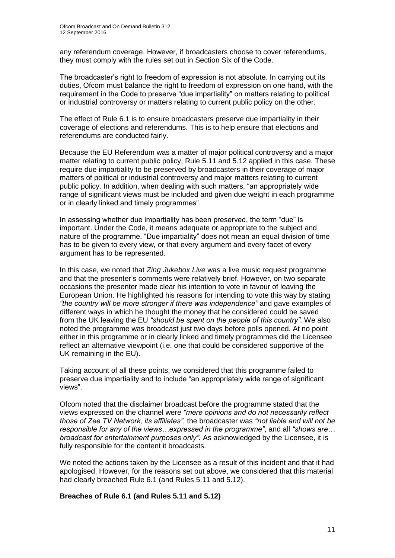any referendum coverage. However, if broadcasters choose to cover referendums, they must comply with the rules set out in Section Six of the Code.

The broadcaster's right to freedom of expression is not absolute. In carrying out its duties, Ofcom must balance the right to freedom of expression on one hand, with the requirement in the Code to preserve "due impartiality" on matters relating to political or industrial controversy or matters relating to current public policy on the other.

The effect of Rule 6.1 is to ensure broadcasters preserve due impartiality in their coverage of elections and referendums. This is to help ensure that elections and referendums are conducted fairly.

Because the EU Referendum was a matter of major political controversy and a major matter relating to current public policy, Rule 5.11 and 5.12 applied in this case. These require due impartiality to be preserved by broadcasters in their coverage of major matters of political or industrial controversy and major matters relating to current public policy. In addition, when dealing with such matters, "an appropriately wide range of significant views must be included and given due weight in each programme or in clearly linked and timely programmes".

In assessing whether due impartiality has been preserved, the term "due" is important. Under the Code, it means adequate or appropriate to the subject and nature of the programme. "Due impartiality" does not mean an equal division of time has to be given to every view, or that every argument and every facet of every argument has to be represented.

In this case, we noted that *Zing Jukebox Live* was a live music request programme and that the presenter's comments were relatively brief. However, on two separate occasions the presenter made clear his intention to vote in favour of leaving the European Union. He highlighted his reasons for intending to vote this way by stating *"the country will be more stronger if there was independence"* and gave examples of different ways in which he thought the money that he considered could be saved from the UK leaving the EU *"should be spent on the people of this country"*. We also noted the programme was broadcast just two days before polls opened. At no point either in this programme or in clearly linked and timely programmes did the Licensee reflect an alternative viewpoint (i.e. one that could be considered supportive of the UK remaining in the EU).

Taking account of all these points, we considered that this programme failed to preserve due impartiality and to include "an appropriately wide range of significant views".

Ofcom noted that the disclaimer broadcast before the programme stated that the views expressed on the channel were *"mere opinions and do not necessarily reflect those of Zee TV Network, its affiliates"*, the broadcaster was *"not liable and will not be responsible for any of the views…expressed in the programme"*, and all *"shows are… broadcast for entertainment purposes only".* As acknowledged by the Licensee, it is fully responsible for the content it broadcasts.

We noted the actions taken by the Licensee as a result of this incident and that it had apologised. However, for the reasons set out above, we considered that this material had clearly breached Rule 6.1 (and Rules 5.11 and 5.12).

#### **Breaches of Rule 6.1 (and Rules 5.11 and 5.12)**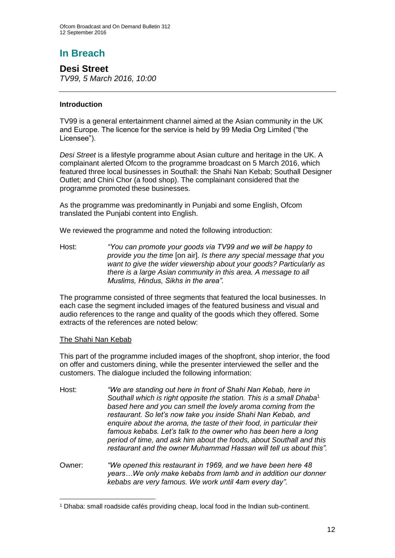# **In Breach**

**Desi Street** *TV99, 5 March 2016, 10:00*

### **Introduction**

TV99 is a general entertainment channel aimed at the Asian community in the UK and Europe. The licence for the service is held by 99 Media Org Limited ("the Licensee").

*Desi Street* is a lifestyle programme about Asian culture and heritage in the UK. A complainant alerted Ofcom to the programme broadcast on 5 March 2016, which featured three local businesses in Southall: the Shahi Nan Kebab; Southall Designer Outlet; and Chini Chor (a food shop). The complainant considered that the programme promoted these businesses.

As the programme was predominantly in Punjabi and some English, Ofcom translated the Punjabi content into English.

We reviewed the programme and noted the following introduction:

Host: *"You can promote your goods via TV99 and we will be happy to provide you the time* [on air]*. Is there any special message that you want to give the wider viewership about your goods? Particularly as there is a large Asian community in this area. A message to all Muslims, Hindus, Sikhs in the area".*

The programme consisted of three segments that featured the local businesses. In each case the segment included images of the featured business and visual and audio references to the range and quality of the goods which they offered. Some extracts of the references are noted below:

### The Shahi Nan Kebab

This part of the programme included images of the shopfront, shop interior, the food on offer and customers dining, while the presenter interviewed the seller and the customers. The dialogue included the following information:

- Host: *"We are standing out here in front of Shahi Nan Kebab, here in Southall which is right opposite the station. This is a small Dhaba*<sup>1</sup> *based here and you can smell the lovely aroma coming from the restaurant. So let's now take you inside Shahi Nan Kebab, and enquire about the aroma, the taste of their food, in particular their famous kebabs. Let's talk to the owner who has been here a long period of time, and ask him about the foods, about Southall and this restaurant and the owner Muhammad Hassan will tell us about this".*
- Owner: *"We opened this restaurant in 1969, and we have been here 48 years…We only make kebabs from lamb and in addition our donner kebabs are very famous. We work until 4am every day".*

<sup>1</sup> <sup>1</sup> Dhaba: small roadside cafés providing cheap, local food in the Indian sub-continent.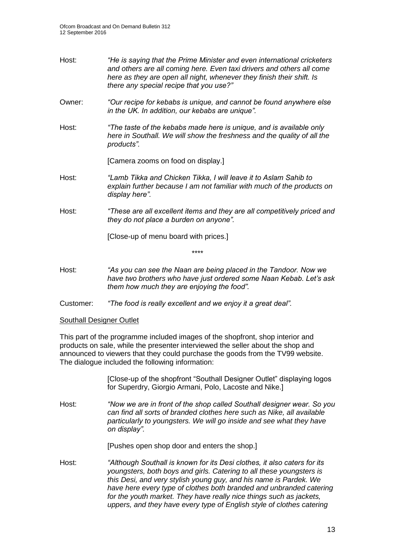- Host: *"He is saying that the Prime Minister and even international cricketers and others are all coming here. Even taxi drivers and others all come here as they are open all night, whenever they finish their shift. Is there any special recipe that you use?"*
- Owner: *"Our recipe for kebabs is unique, and cannot be found anywhere else in the UK. In addition, our kebabs are unique".*
- Host: *"The taste of the kebabs made here is unique, and is available only here in Southall. We will show the freshness and the quality of all the products".*

[Camera zooms on food on display.]

- Host: *"Lamb Tikka and Chicken Tikka, I will leave it to Aslam Sahib to explain further because I am not familiar with much of the products on display here".*
- Host: *"These are all excellent items and they are all competitively priced and they do not place a burden on anyone".*

[Close-up of menu board with prices.]

Host: *"As you can see the Naan are being placed in the Tandoor. Now we have two brothers who have just ordered some Naan Kebab. Let's ask them how much they are enjoying the food".* 

\*\*\*\*

Customer: *"The food is really excellent and we enjoy it a great deal".*

#### Southall Designer Outlet

This part of the programme included images of the shopfront, shop interior and products on sale, while the presenter interviewed the seller about the shop and announced to viewers that they could purchase the goods from the TV99 website. The dialogue included the following information:

> [Close-up of the shopfront "Southall Designer Outlet" displaying logos for Superdry, Giorgio Armani, Polo, Lacoste and Nike.]

Host: *"Now we are in front of the shop called Southall designer wear. So you can find all sorts of branded clothes here such as Nike, all available particularly to youngsters. We will go inside and see what they have on display".*

[Pushes open shop door and enters the shop.]

Host: *"Although Southall is known for its Desi clothes, it also caters for its youngsters, both boys and girls. Catering to all these youngsters is this Desi, and very stylish young guy, and his name is Pardek. We have here every type of clothes both branded and unbranded catering*  for the youth market. They have really nice things such as jackets, *uppers, and they have every type of English style of clothes catering*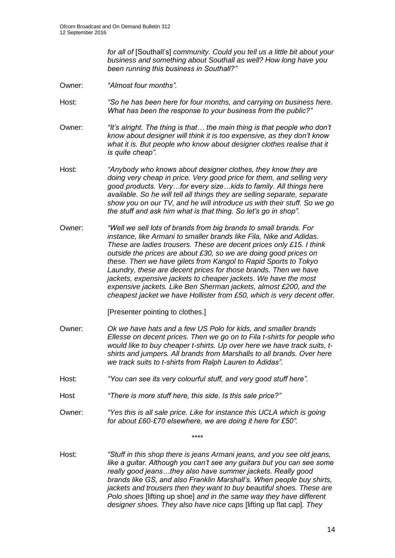*for all of* [Southall's] *community. Could you tell us a little bit about your business and something about Southall as well? How long have you been running this business in Southall?"*

- Owner: *"Almost four months".*
- Host: *"So he has been here for four months, and carrying on business here. What has been the response to your business from the public?"*
- Owner: *"It's alright. The thing is that… the main thing is that people who don't know about designer will think it is too expensive, as they don't know what it is. But people who know about designer clothes realise that it is quite cheap".*
- Host: *"Anybody who knows about designer clothes, they know they are doing very cheap in price. Very good price for them, and selling very good products. Very…for every size…kids to family. All things here available. So he will tell all things they are selling separate, separate show you on our TV, and he will introduce us with their stuff. So we go the stuff and ask him what is that thing. So let's go in shop".*
- Owner: *"Well we sell lots of brands from big brands to small brands. For instance, like Armani to smaller brands like Fila, Nike and Adidas. These are ladies trousers. These are decent prices only £15. I think outside the prices are about £30, so we are doing good prices on these. Then we have gilets from Kangol to Rapid Sports to Tokyo Laundry, these are decent prices for those brands. Then we have jackets, expensive jackets to cheaper jackets. We have the most expensive jackets. Like Ben Sherman jackets, almost £200, and the cheapest jacket we have Hollister from £50, which is very decent offer.*

[Presenter pointing to clothes.]

- Owner: *Ok we have hats and a few US Polo for kids, and smaller brands Ellesse on decent prices. Then we go on to Fila t-shirts for people who would like to buy cheaper t-shirts. Up over here we have track suits, tshirts and jumpers. All brands from Marshalls to all brands. Over here we track suits to t-shirts from Ralph Lauren to Adidas".*
- Host: *"You can see its very colourful stuff, and very good stuff here".*
- Host *"There is more stuff here, this side. Is this sale price?"*
- Owner: *"Yes this is all sale price. Like for instance this UCLA which is going for about £60-£70 elsewhere, we are doing it here for £50".*

\*\*\*\*

Host: *"Stuff in this shop there is jeans Armani jeans, and you see old jeans, like a guitar. Although you can't see any guitars but you can see some really good jeans…they also have summer jackets. Really good brands like GS, and also Franklin Marshall's. When people buy shirts, jackets and trousers then they want to buy beautiful shoes. These are Polo shoes* [lifting up shoe] *and in the same way they have different designer shoes. They also have nice caps* [lifting up flat cap]*. They*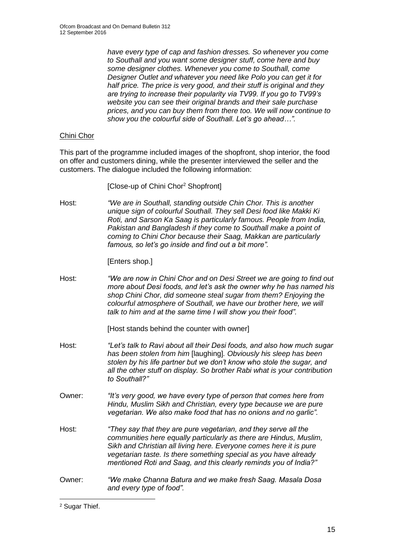*have every type of cap and fashion dresses. So whenever you come to Southall and you want some designer stuff, come here and buy some designer clothes. Whenever you come to Southall, come Designer Outlet and whatever you need like Polo you can get it for half price. The price is very good, and their stuff is original and they are trying to increase their popularity via TV99. If you go to TV99's website you can see their original brands and their sale purchase prices, and you can buy them from there too. We will now continue to show you the colourful side of Southall. Let's go ahead…".*

#### Chini Chor

This part of the programme included images of the shopfront, shop interior, the food on offer and customers dining, while the presenter interviewed the seller and the customers. The dialogue included the following information:

[Close-up of Chini Chor<sup>2</sup> Shopfront]

Host: *"We are in Southall, standing outside Chin Chor. This is another unique sign of colourful Southall. They sell Desi food like Makki Ki Roti, and Sarson Ka Saag is particularly famous. People from India, Pakistan and Bangladesh if they come to Southall make a point of coming to Chini Chor because their Saag, Makkan are particularly famous, so let's go inside and find out a bit more".*

[Enters shop.]

Host: *"We are now in Chini Chor and on Desi Street we are going to find out more about Desi foods, and let's ask the owner why he has named his shop Chini Chor, did someone steal sugar from them? Enjoying the colourful atmosphere of Southall, we have our brother here, we will talk to him and at the same time I will show you their food".* 

[Host stands behind the counter with owner]

- Host: *"Let's talk to Ravi about all their Desi foods, and also how much sugar has been stolen from him* [laughing]*. Obviously his sleep has been stolen by his life partner but we don't know who stole the sugar, and all the other stuff on display. So brother Rabi what is your contribution to Southall?"*
- Owner: *"It's very good, we have every type of person that comes here from Hindu, Muslim Sikh and Christian, every type because we are pure vegetarian. We also make food that has no onions and no garlic".*
- Host: *"They say that they are pure vegetarian, and they serve all the communities here equally particularly as there are Hindus, Muslim, Sikh and Christian all living here. Everyone comes here it is pure vegetarian taste. Is there something special as you have already mentioned Roti and Saag, and this clearly reminds you of India?"*
- Owner: *"We make Channa Batura and we make fresh Saag. Masala Dosa and every type of food".*

1

<sup>2</sup> Sugar Thief.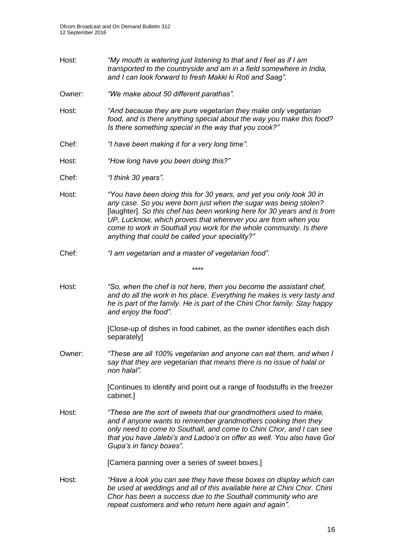- Host: *"My mouth is watering just listening to that and I feel as if I am transported to the countryside and am in a field somewhere in India, and I can look forward to fresh Makki ki Roti and Saag".*
- Owner: *"We make about 50 different parathas".*
- Host: *"And because they are pure vegetarian they make only vegetarian food, and is there anything special about the way you make this food? Is there something special in the way that you cook?"*
- Chef: *"I have been making it for a very long time".*
- Host: *"How long have you been doing this?"*
- Chef: *"I think 30 years".*
- Host: *"You have been doing this for 30 years, and yet you only look 30 in any case. So you were born just when the sugar was being stolen?*  [laughter]*. So this chef has been working here for 30 years and is from UP, Lucknow, which proves that wherever you are from when you come to work in Southall you work for the whole community. Is there anything that could be called your speciality?"*
- Chef: *"I am vegetarian and a master of vegetarian food".*
- Host: *"So, when the chef is not here, then you become the assistant chef, and do all the work in his place. Everything he makes is very tasty and he is part of the family. He is part of the Chini Chor family. Stay happy and enjoy the food".*

*\*\*\*\**

[Close-up of dishes in food cabinet, as the owner identifies each dish separately]

Owner: *"These are all 100% vegetarian and anyone can eat them, and when I say that they are vegetarian that means there is no issue of halal or non halal".*

> [Continues to identify and point out a range of foodstuffs in the freezer cabinet.]

Host: *"These are the sort of sweets that our grandmothers used to make, and if anyone wants to remember grandmothers cooking then they only need to come to Southall, and come to Chini Chor, and I can see that you have Jalebi's and Ladoo's on offer as well. You also have Gol Gupa's in fancy boxes"*.

[Camera panning over a series of sweet boxes.]

Host: *"Have a look you can see they have these boxes on display which can be used at weddings and all of this available here at Chini Chor. Chini Chor has been a success due to the Southall community who are repeat customers and who return here again and again".*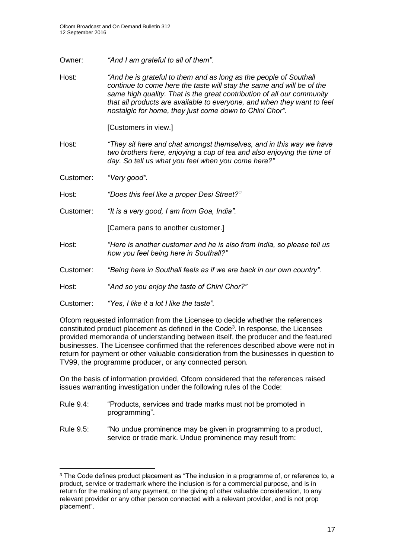- Owner: *"And I am grateful to all of them".*
- Host: *"And he is grateful to them and as long as the people of Southall continue to come here the taste will stay the same and will be of the same high quality. That is the great contribution of all our community that all products are available to everyone, and when they want to feel nostalgic for home, they just come down to Chini Chor".*

[Customers in view.]

- Host: *"They sit here and chat amongst themselves, and in this way we have two brothers here, enjoying a cup of tea and also enjoying the time of day. So tell us what you feel when you come here?"*
- Customer: *"Very good".*

1

Host: *"Does this feel like a proper Desi Street?"*

Customer: *"It is a very good, I am from Goa, India".*

[Camera pans to another customer.]

- Host: *"Here is another customer and he is also from India, so please tell us how you feel being here in Southall?"*
- Customer: *"Being here in Southall feels as if we are back in our own country".*

Host: *"And so you enjoy the taste of Chini Chor?"*

Customer: *"Yes, I like it a lot I like the taste".*

Ofcom requested information from the Licensee to decide whether the references constituted product placement as defined in the Code<sup>3</sup>. In response, the Licensee provided memoranda of understanding between itself, the producer and the featured businesses. The Licensee confirmed that the references described above were not in return for payment or other valuable consideration from the businesses in question to TV99, the programme producer, or any connected person.

On the basis of information provided, Ofcom considered that the references raised issues warranting investigation under the following rules of the Code:

- Rule 9.4: "Products, services and trade marks must not be promoted in programming".
- Rule 9.5: "No undue prominence may be given in programming to a product, service or trade mark. Undue prominence may result from:

<sup>&</sup>lt;sup>3</sup> The Code defines product placement as "The inclusion in a programme of, or reference to, a product, service or trademark where the inclusion is for a commercial purpose, and is in return for the making of any payment, or the giving of other valuable consideration, to any relevant provider or any other person connected with a relevant provider, and is not prop placement".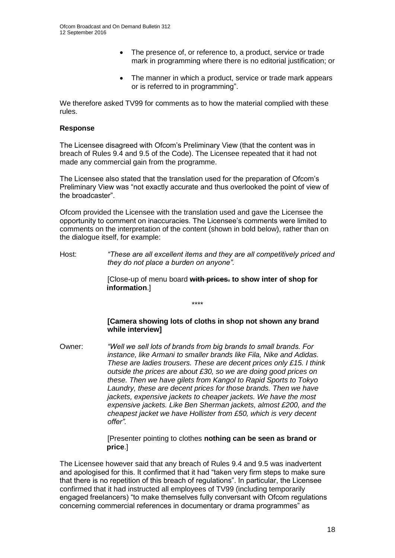- The presence of, or reference to, a product, service or trade mark in programming where there is no editorial justification; or
- The manner in which a product, service or trade mark appears or is referred to in programming".

We therefore asked TV99 for comments as to how the material complied with these rules.

#### **Response**

The Licensee disagreed with Ofcom's Preliminary View (that the content was in breach of Rules 9.4 and 9.5 of the Code). The Licensee repeated that it had not made any commercial gain from the programme.

The Licensee also stated that the translation used for the preparation of Ofcom's Preliminary View was "not exactly accurate and thus overlooked the point of view of the broadcaster".

Ofcom provided the Licensee with the translation used and gave the Licensee the opportunity to comment on inaccuracies. The Licensee's comments were limited to comments on the interpretation of the content (shown in bold below), rather than on the dialogue itself, for example:

Host: *"These are all excellent items and they are all competitively priced and they do not place a burden on anyone".*

\*\*\*\*

[Close-up of menu board **with prices. to show inter of shop for information**.]

#### **[Camera showing lots of cloths in shop not shown any brand while interview]**

Owner: *"Well we sell lots of brands from big brands to small brands. For instance, like Armani to smaller brands like Fila, Nike and Adidas. These are ladies trousers. These are decent prices only £15. I think outside the prices are about £30, so we are doing good prices on these. Then we have gilets from Kangol to Rapid Sports to Tokyo Laundry, these are decent prices for those brands. Then we have jackets, expensive jackets to cheaper jackets. We have the most expensive jackets. Like Ben Sherman jackets, almost £200, and the cheapest jacket we have Hollister from £50, which is very decent offer".*

> [Presenter pointing to clothes **nothing can be seen as brand or price**.]

The Licensee however said that any breach of Rules 9.4 and 9.5 was inadvertent and apologised for this. It confirmed that it had "taken very firm steps to make sure that there is no repetition of this breach of regulations". In particular, the Licensee confirmed that it had instructed all employees of TV99 (including temporarily engaged freelancers) "to make themselves fully conversant with Ofcom regulations concerning commercial references in documentary or drama programmes" as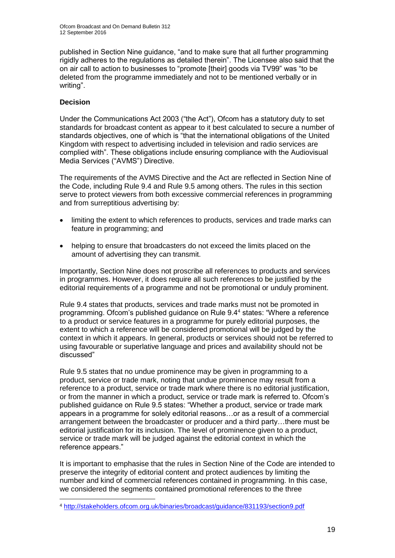published in Section Nine guidance, "and to make sure that all further programming rigidly adheres to the regulations as detailed therein". The Licensee also said that the on air call to action to businesses to "promote [their] goods via TV99" was "to be deleted from the programme immediately and not to be mentioned verbally or in writing".

### **Decision**

1

Under the Communications Act 2003 ("the Act"), Ofcom has a statutory duty to set standards for broadcast content as appear to it best calculated to secure a number of standards objectives, one of which is "that the international obligations of the United Kingdom with respect to advertising included in television and radio services are complied with". These obligations include ensuring compliance with the Audiovisual Media Services ("AVMS") Directive.

The requirements of the AVMS Directive and the Act are reflected in Section Nine of the Code, including Rule 9.4 and Rule 9.5 among others. The rules in this section serve to protect viewers from both excessive commercial references in programming and from surreptitious advertising by:

- limiting the extent to which references to products, services and trade marks can feature in programming; and
- helping to ensure that broadcasters do not exceed the limits placed on the amount of advertising they can transmit.

Importantly, Section Nine does not proscribe all references to products and services in programmes. However, it does require all such references to be justified by the editorial requirements of a programme and not be promotional or unduly prominent.

Rule 9.4 states that products, services and trade marks must not be promoted in programming. Ofcom's published guidance on Rule 9.4<sup>4</sup> states: "Where a reference to a product or service features in a programme for purely editorial purposes, the extent to which a reference will be considered promotional will be judged by the context in which it appears. In general, products or services should not be referred to using favourable or superlative language and prices and availability should not be discussed"

Rule 9.5 states that no undue prominence may be given in programming to a product, service or trade mark, noting that undue prominence may result from a reference to a product, service or trade mark where there is no editorial justification, or from the manner in which a product, service or trade mark is referred to. Ofcom's published guidance on Rule 9.5 states: "Whether a product, service or trade mark appears in a programme for solely editorial reasons…or as a result of a commercial arrangement between the broadcaster or producer and a third party…there must be editorial iustification for its inclusion. The level of prominence given to a product, service or trade mark will be judged against the editorial context in which the reference appears."

It is important to emphasise that the rules in Section Nine of the Code are intended to preserve the integrity of editorial content and protect audiences by limiting the number and kind of commercial references contained in programming. In this case, we considered the segments contained promotional references to the three

<sup>4</sup> <http://stakeholders.ofcom.org.uk/binaries/broadcast/guidance/831193/section9.pdf>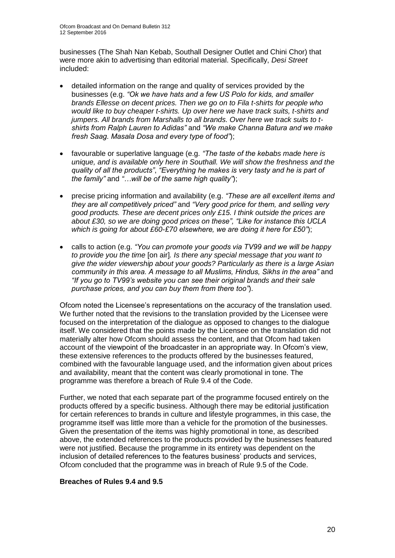businesses (The Shah Nan Kebab, Southall Designer Outlet and Chini Chor) that were more akin to advertising than editorial material. Specifically, *Desi Street*  included:

- detailed information on the range and quality of services provided by the businesses (e.g. *"Ok we have hats and a few US Polo for kids, and smaller brands Ellesse on decent prices. Then we go on to Fila t-shirts for people who would like to buy cheaper t-shirts. Up over here we have track suits, t-shirts and jumpers. All brands from Marshalls to all brands. Over here we track suits to tshirts from Ralph Lauren to Adidas"* and *"We make Channa Batura and we make fresh Saag. Masala Dosa and every type of food"*);
- favourable or superlative language (e.g*. "The taste of the kebabs made here is unique, and is available only here in Southall. We will show the freshness and the quality of all the products"*, *"Everything he makes is very tasty and he is part of the family"* and *"…will be of the same high quality"*);
- precise pricing information and availability (e.g. *"These are all excellent items and they are all competitively priced"* and *"Very good price for them, and selling very good products. These are decent prices only £15. I think outside the prices are about £30, so we are doing good prices on these", "Like for instance this UCLA which is going for about £60-£70 elsewhere, we are doing it here for £50"*);
- calls to action (e.g. *"You can promote your goods via TV99 and we will be happy to provide you the time* [on air]*. Is there any special message that you want to give the wider viewership about your goods? Particularly as there is a large Asian community in this area. A message to all Muslims, Hindus, Sikhs in the area"* and *"If you go to TV99's website you can see their original brands and their sale purchase prices, and you can buy them from there too"*).

Ofcom noted the Licensee's representations on the accuracy of the translation used. We further noted that the revisions to the translation provided by the Licensee were focused on the interpretation of the dialogue as opposed to changes to the dialogue itself. We considered that the points made by the Licensee on the translation did not materially alter how Ofcom should assess the content, and that Ofcom had taken account of the viewpoint of the broadcaster in an appropriate way. In Ofcom's view, these extensive references to the products offered by the businesses featured, combined with the favourable language used, and the information given about prices and availability, meant that the content was clearly promotional in tone. The programme was therefore a breach of Rule 9.4 of the Code.

Further, we noted that each separate part of the programme focused entirely on the products offered by a specific business. Although there may be editorial justification for certain references to brands in culture and lifestyle programmes, in this case, the programme itself was little more than a vehicle for the promotion of the businesses. Given the presentation of the items was highly promotional in tone, as described above, the extended references to the products provided by the businesses featured were not justified. Because the programme in its entirety was dependent on the inclusion of detailed references to the features business' products and services, Ofcom concluded that the programme was in breach of Rule 9.5 of the Code.

#### **Breaches of Rules 9.4 and 9.5**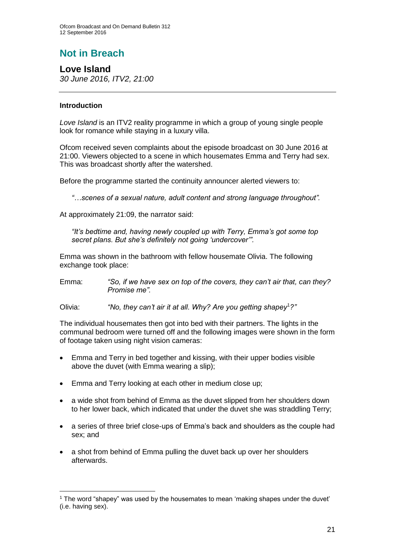# **Not in Breach**

**Love Island** *30 June 2016, ITV2, 21:00*

#### **Introduction**

1

*Love Island* is an ITV2 reality programme in which a group of young single people look for romance while staying in a luxury villa.

Ofcom received seven complaints about the episode broadcast on 30 June 2016 at 21:00. Viewers objected to a scene in which housemates Emma and Terry had sex. This was broadcast shortly after the watershed.

Before the programme started the continuity announcer alerted viewers to:

*"…scenes of a sexual nature, adult content and strong language throughout".* 

At approximately 21:09, the narrator said:

*"It's bedtime and, having newly coupled up with Terry, Emma's got some top secret plans. But she's definitely not going 'undercover'".*

Emma was shown in the bathroom with fellow housemate Olivia. The following exchange took place:

Emma: *"So, if we have sex on top of the covers, they can't air that, can they? Promise me".*

Olivia: *"No, they can't air it at all. Why? Are you getting shapey*<sup>1</sup>*?"*

The individual housemates then got into bed with their partners. The lights in the communal bedroom were turned off and the following images were shown in the form of footage taken using night vision cameras:

- Emma and Terry in bed together and kissing, with their upper bodies visible above the duvet (with Emma wearing a slip);
- Emma and Terry looking at each other in medium close up;
- a wide shot from behind of Emma as the duvet slipped from her shoulders down to her lower back, which indicated that under the duvet she was straddling Terry;
- a series of three brief close-ups of Emma's back and shoulders as the couple had sex; and
- a shot from behind of Emma pulling the duvet back up over her shoulders afterwards.

<sup>1</sup> The word "shapey" was used by the housemates to mean 'making shapes under the duvet' (i.e. having sex).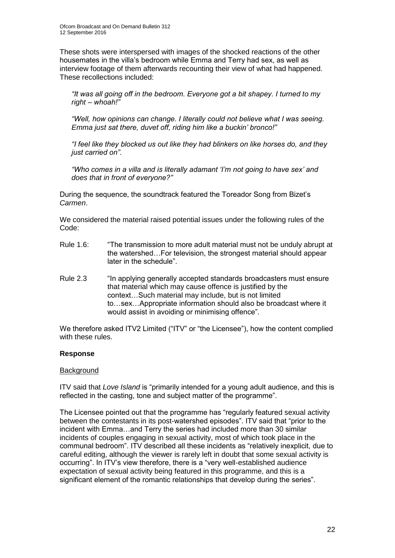These shots were interspersed with images of the shocked reactions of the other housemates in the villa's bedroom while Emma and Terry had sex, as well as interview footage of them afterwards recounting their view of what had happened. These recollections included:

*"It was all going off in the bedroom. Everyone got a bit shapey. I turned to my right – whoah!"*

"Well, how opinions can change. I literally could not believe what I was seeing. *Emma just sat there, duvet off, riding him like a buckin' bronco!"*

*"I feel like they blocked us out like they had blinkers on like horses do, and they just carried on"*.

*"Who comes in a villa and is literally adamant 'I'm not going to have sex' and does that in front of everyone?"*

During the sequence, the soundtrack featured the Toreador Song from Bizet's *Carmen*.

We considered the material raised potential issues under the following rules of the Code:

- Rule 1.6: "The transmission to more adult material must not be unduly abrupt at the watershed…For television, the strongest material should appear later in the schedule".
- Rule 2.3 "In applying generally accepted standards broadcasters must ensure that material which may cause offence is justified by the context…Such material may include, but is not limited to…sex…Appropriate information should also be broadcast where it would assist in avoiding or minimising offence".

We therefore asked ITV2 Limited ("ITV" or "the Licensee"), how the content complied with these rules.

#### **Response**

#### **Background**

ITV said that *Love Island* is "primarily intended for a young adult audience, and this is reflected in the casting, tone and subject matter of the programme".

The Licensee pointed out that the programme has "regularly featured sexual activity between the contestants in its post-watershed episodes". ITV said that "prior to the incident with Emma…and Terry the series had included more than 30 similar incidents of couples engaging in sexual activity, most of which took place in the communal bedroom". ITV described all these incidents as "relatively inexplicit, due to careful editing, although the viewer is rarely left in doubt that some sexual activity is occurring". In ITV's view therefore, there is a "very well-established audience expectation of sexual activity being featured in this programme, and this is a significant element of the romantic relationships that develop during the series".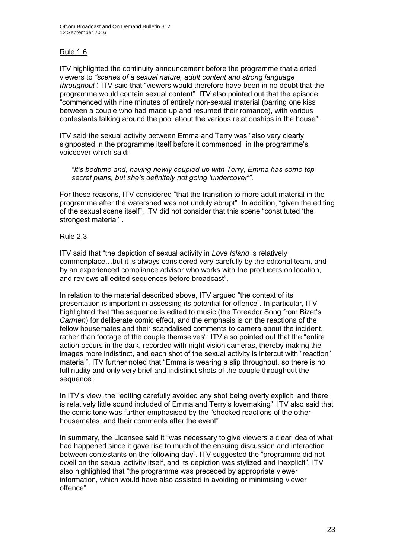### Rule 1.6

ITV highlighted the continuity announcement before the programme that alerted viewers to *"scenes of a sexual nature, adult content and strong language throughout".* ITV said that "viewers would therefore have been in no doubt that the programme would contain sexual content". ITV also pointed out that the episode "commenced with nine minutes of entirely non-sexual material (barring one kiss between a couple who had made up and resumed their romance), with various contestants talking around the pool about the various relationships in the house".

ITV said the sexual activity between Emma and Terry was "also very clearly signposted in the programme itself before it commenced" in the programme's voiceover which said:

*"It's bedtime and, having newly coupled up with Terry, Emma has some top secret plans, but she's definitely not going 'undercover'"*.

For these reasons, ITV considered "that the transition to more adult material in the programme after the watershed was not unduly abrupt". In addition, "given the editing of the sexual scene itself", ITV did not consider that this scene "constituted 'the strongest material'".

### Rule 2.3

ITV said that "the depiction of sexual activity in *Love Island* is relatively commonplace…but it is always considered very carefully by the editorial team, and by an experienced compliance advisor who works with the producers on location, and reviews all edited sequences before broadcast".

In relation to the material described above, ITV argued "the context of its presentation is important in assessing its potential for offence". In particular, ITV highlighted that "the sequence is edited to music (the Toreador Song from Bizet's *Carmen*) for deliberate comic effect, and the emphasis is on the reactions of the fellow housemates and their scandalised comments to camera about the incident, rather than footage of the couple themselves". ITV also pointed out that the "entire action occurs in the dark, recorded with night vision cameras, thereby making the images more indistinct, and each shot of the sexual activity is intercut with "reaction" material". ITV further noted that "Emma is wearing a slip throughout, so there is no full nudity and only very brief and indistinct shots of the couple throughout the sequence".

In ITV's view, the "editing carefully avoided any shot being overly explicit, and there is relatively little sound included of Emma and Terry's lovemaking". ITV also said that the comic tone was further emphasised by the "shocked reactions of the other housemates, and their comments after the event".

In summary, the Licensee said it "was necessary to give viewers a clear idea of what had happened since it gave rise to much of the ensuing discussion and interaction between contestants on the following day". ITV suggested the "programme did not dwell on the sexual activity itself, and its depiction was stylized and inexplicit". ITV also highlighted that "the programme was preceded by appropriate viewer information, which would have also assisted in avoiding or minimising viewer offence".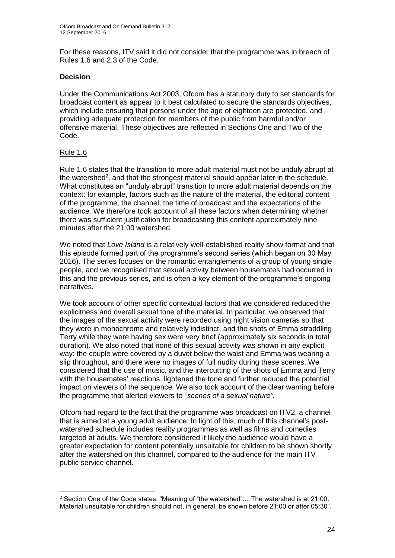For these reasons, ITV said it did not consider that the programme was in breach of Rules 1.6 and 2.3 of the Code.

#### **Decision**

Under the Communications Act 2003, Ofcom has a statutory duty to set standards for broadcast content as appear to it best calculated to secure the standards objectives, which include ensuring that persons under the age of eighteen are protected, and providing adequate protection for members of the public from harmful and/or offensive material. These objectives are reflected in Sections One and Two of the Code.

#### Rule 1.6

1

Rule 1.6 states that the transition to more adult material must not be unduly abrupt at the watershed<sup>2</sup>, and that the strongest material should appear later in the schedule. What constitutes an "unduly abrupt" transition to more adult material depends on the context: for example, factors such as the nature of the material, the editorial content of the programme, the channel, the time of broadcast and the expectations of the audience. We therefore took account of all these factors when determining whether there was sufficient justification for broadcasting this content approximately nine minutes after the 21:00 watershed.

We noted that *Love Island* is a relatively well-established reality show format and that this episode formed part of the programme's second series (which began on 30 May 2016). The series focuses on the romantic entanglements of a group of young single people, and we recognised that sexual activity between housemates had occurred in this and the previous series, and is often a key element of the programme's ongoing narratives.

We took account of other specific contextual factors that we considered reduced the explicitness and overall sexual tone of the material. In particular, we observed that the images of the sexual activity were recorded using night vision cameras so that they were in monochrome and relatively indistinct, and the shots of Emma straddling Terry while they were having sex were very brief (approximately six seconds in total duration). We also noted that none of this sexual activity was shown in any explicit way: the couple were covered by a duvet below the waist and Emma was wearing a slip throughout, and there were no images of full nudity during these scenes. We considered that the use of music, and the intercutting of the shots of Emma and Terry with the housemates' reactions, lightened the tone and further reduced the potential impact on viewers of the sequence. We also took account of the clear warning before the programme that alerted viewers to *"scenes of a sexual nature"*.

Ofcom had regard to the fact that the programme was broadcast on ITV2, a channel that is aimed at a young adult audience. In light of this, much of this channel's postwatershed schedule includes reality programmes as well as films and comedies targeted at adults. We therefore considered it likely the audience would have a greater expectation for content potentially unsuitable for children to be shown shortly after the watershed on this channel, compared to the audience for the main ITV public service channel.

<sup>2</sup> Section One of the Code states: "Meaning of "the watershed":…The watershed is at 21:00. Material unsuitable for children should not, in general, be shown before 21:00 or after 05:30".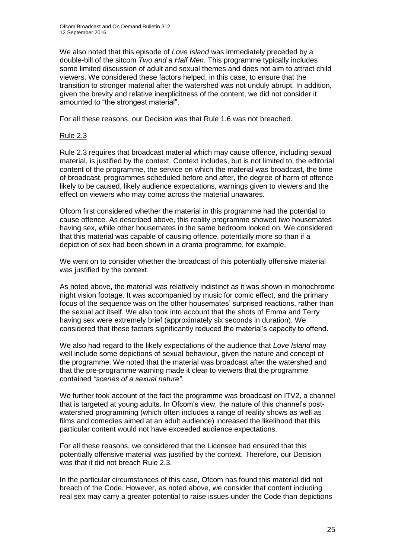We also noted that this episode of *Love Island* was immediately preceded by a double-bill of the sitcom *Two and a Half Men*. This programme typically includes some limited discussion of adult and sexual themes and does not aim to attract child viewers. We considered these factors helped, in this case, to ensure that the transition to stronger material after the watershed was not unduly abrupt. In addition, given the brevity and relative inexplicitness of the content, we did not consider it amounted to "the strongest material".

For all these reasons, our Decision was that Rule 1.6 was not breached.

#### Rule 2.3

Rule 2.3 requires that broadcast material which may cause offence, including sexual material, is justified by the context. Context includes, but is not limited to, the editorial content of the programme, the service on which the material was broadcast, the time of broadcast, programmes scheduled before and after, the degree of harm of offence likely to be caused, likely audience expectations, warnings given to viewers and the effect on viewers who may come across the material unawares.

Ofcom first considered whether the material in this programme had the potential to cause offence. As described above, this reality programme showed two housemates having sex, while other housemates in the same bedroom looked on. We considered that this material was capable of causing offence, potentially more so than if a depiction of sex had been shown in a drama programme, for example.

We went on to consider whether the broadcast of this potentially offensive material was justified by the context.

As noted above, the material was relatively indistinct as it was shown in monochrome night vision footage. It was accompanied by music for comic effect, and the primary focus of the sequence was on the other housemates' surprised reactions, rather than the sexual act itself. We also took into account that the shots of Emma and Terry having sex were extremely brief (approximately six seconds in duration). We considered that these factors significantly reduced the material's capacity to offend.

We also had regard to the likely expectations of the audience that *Love Island* may well include some depictions of sexual behaviour, given the nature and concept of the programme. We noted that the material was broadcast after the watershed and that the pre-programme warning made it clear to viewers that the programme contained *"scenes of a sexual nature"*.

We further took account of the fact the programme was broadcast on ITV2, a channel that is targeted at young adults. In Ofcom's view, the nature of this channel's postwatershed programming (which often includes a range of reality shows as well as films and comedies aimed at an adult audience) increased the likelihood that this particular content would not have exceeded audience expectations.

For all these reasons, we considered that the Licensee had ensured that this potentially offensive material was justified by the context. Therefore, our Decision was that it did not breach Rule 2.3.

In the particular circumstances of this case, Ofcom has found this material did not breach of the Code. However, as noted above, we consider that content including real sex may carry a greater potential to raise issues under the Code than depictions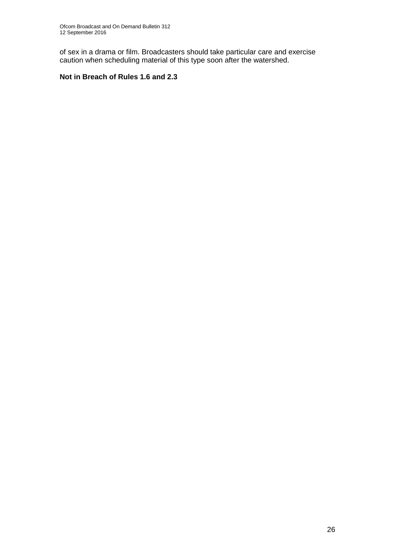of sex in a drama or film. Broadcasters should take particular care and exercise caution when scheduling material of this type soon after the watershed.

### **Not in Breach of Rules 1.6 and 2.3**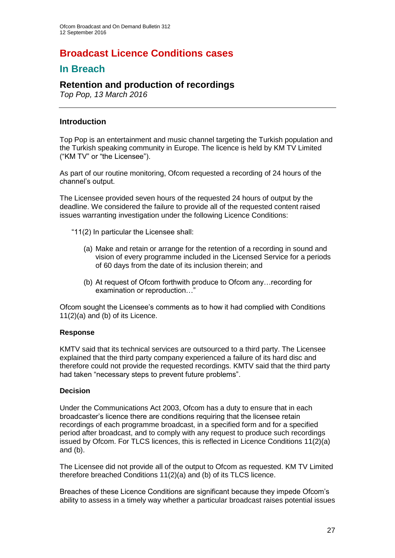# **Broadcast Licence Conditions cases**

## **In Breach**

### **Retention and production of recordings**

*Top Pop, 13 March 2016*

### **Introduction**

Top Pop is an entertainment and music channel targeting the Turkish population and the Turkish speaking community in Europe. The licence is held by KM TV Limited ("KM TV" or "the Licensee").

As part of our routine monitoring, Ofcom requested a recording of 24 hours of the channel's output.

The Licensee provided seven hours of the requested 24 hours of output by the deadline. We considered the failure to provide all of the requested content raised issues warranting investigation under the following Licence Conditions:

- "11(2) In particular the Licensee shall:
	- (a) Make and retain or arrange for the retention of a recording in sound and vision of every programme included in the Licensed Service for a periods of 60 days from the date of its inclusion therein; and
	- (b) At request of Ofcom forthwith produce to Ofcom any…recording for examination or reproduction…"

Ofcom sought the Licensee's comments as to how it had complied with Conditions 11(2)(a) and (b) of its Licence.

### **Response**

KMTV said that its technical services are outsourced to a third party. The Licensee explained that the third party company experienced a failure of its hard disc and therefore could not provide the requested recordings. KMTV said that the third party had taken "necessary steps to prevent future problems".

### **Decision**

Under the Communications Act 2003, Ofcom has a duty to ensure that in each broadcaster's licence there are conditions requiring that the licensee retain recordings of each programme broadcast, in a specified form and for a specified period after broadcast, and to comply with any request to produce such recordings issued by Ofcom. For TLCS licences, this is reflected in Licence Conditions 11(2)(a) and (b).

The Licensee did not provide all of the output to Ofcom as requested. KM TV Limited therefore breached Conditions 11(2)(a) and (b) of its TLCS licence.

Breaches of these Licence Conditions are significant because they impede Ofcom's ability to assess in a timely way whether a particular broadcast raises potential issues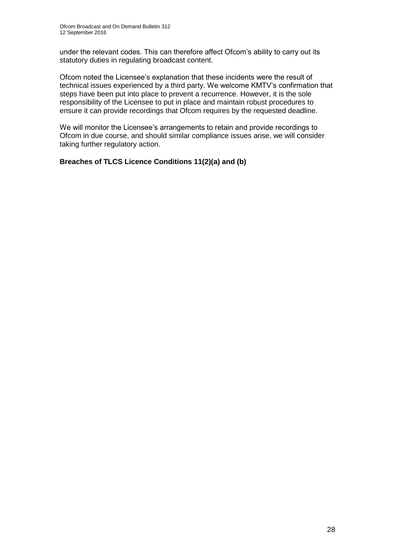under the relevant codes. This can therefore affect Ofcom's ability to carry out its statutory duties in regulating broadcast content.

Ofcom noted the Licensee's explanation that these incidents were the result of technical issues experienced by a third party. We welcome KMTV's confirmation that steps have been put into place to prevent a recurrence. However, it is the sole responsibility of the Licensee to put in place and maintain robust procedures to ensure it can provide recordings that Ofcom requires by the requested deadline.

We will monitor the Licensee's arrangements to retain and provide recordings to Ofcom in due course, and should similar compliance issues arise, we will consider taking further regulatory action.

**Breaches of TLCS Licence Conditions 11(2)(a) and (b)**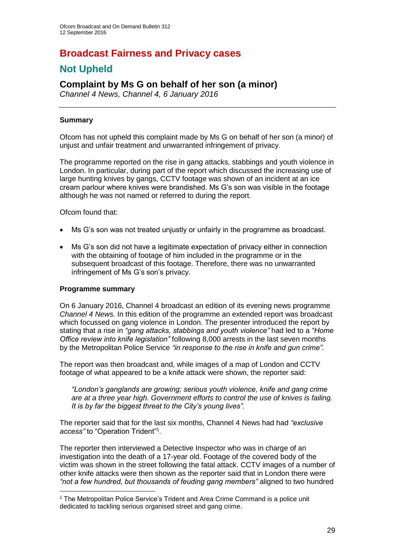# **Broadcast Fairness and Privacy cases**

# **Not Upheld**

### **Complaint by Ms G on behalf of her son (a minor)**

*Channel 4 News, Channel 4, 6 January 2016*

### **Summary**

Ofcom has not upheld this complaint made by Ms G on behalf of her son (a minor) of unjust and unfair treatment and unwarranted infringement of privacy.

The programme reported on the rise in gang attacks, stabbings and youth violence in London. In particular, during part of the report which discussed the increasing use of large hunting knives by gangs, CCTV footage was shown of an incident at an ice cream parlour where knives were brandished. Ms G's son was visible in the footage although he was not named or referred to during the report.

Ofcom found that:

- Ms G's son was not treated unjustly or unfairly in the programme as broadcast.
- Ms G's son did not have a legitimate expectation of privacy either in connection with the obtaining of footage of him included in the programme or in the subsequent broadcast of this footage. Therefore, there was no unwarranted infringement of Ms G's son's privacy.

#### **Programme summary**

1

On 6 January 2016, Channel 4 broadcast an edition of its evening news programme *Channel 4 News.* In this edition of the programme an extended report was broadcast which focussed on gang violence in London. The presenter introduced the report by stating that a rise in *"gang attacks, stabbings and youth violence"* had led to a *"Home Office review into knife legislation"* following 8,000 arrests in the last seven months by the Metropolitan Police Service *"in response to the rise in knife and gun crime".*

The report was then broadcast and, while images of a map of London and CCTV footage of what appeared to be a knife attack were shown, the reporter said:

*"London's ganglands are growing; serious youth violence, knife and gang crime are at a three year high. Government efforts to control the use of knives is failing. It is by far the biggest threat to the City's young lives".* 

The reporter said that for the last six months, Channel 4 News had had *"exclusive*  access" to "Operation Trident"<sup>1</sup>.

The reporter then interviewed a Detective Inspector who was in charge of an investigation into the death of a 17-year old. Footage of the covered body of the victim was shown in the street following the fatal attack. CCTV images of a number of other knife attacks were then shown as the reporter said that in London there were *"not a few hundred, but thousands of feuding gang members"* aligned to two hundred

<sup>1</sup> The Metropolitan Police Service's Trident and Area Crime Command is a police unit dedicated to tackling serious organised street and gang crime.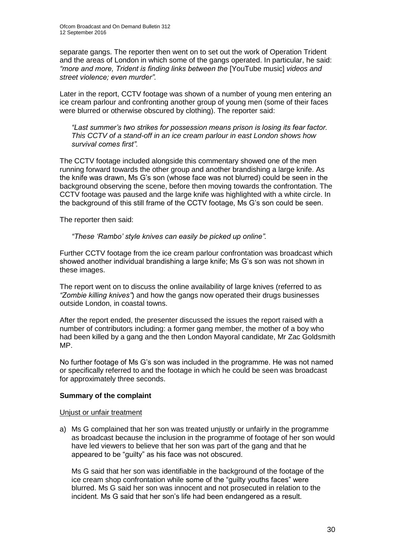separate gangs. The reporter then went on to set out the work of Operation Trident and the areas of London in which some of the gangs operated. In particular, he said: *"more and more, Trident is finding links between the* [YouTube music] *videos and street violence; even murder".*

Later in the report, CCTV footage was shown of a number of young men entering an ice cream parlour and confronting another group of young men (some of their faces were blurred or otherwise obscured by clothing). The reporter said:

*"Last summer's two strikes for possession means prison is losing its fear factor. This CCTV of a stand-off in an ice cream parlour in east London shows how survival comes first".*

The CCTV footage included alongside this commentary showed one of the men running forward towards the other group and another brandishing a large knife. As the knife was drawn, Ms G's son (whose face was not blurred) could be seen in the background observing the scene, before then moving towards the confrontation. The CCTV footage was paused and the large knife was highlighted with a white circle. In the background of this still frame of the CCTV footage, Ms G's son could be seen.

The reporter then said:

#### *"These 'Rambo' style knives can easily be picked up online".*

Further CCTV footage from the ice cream parlour confrontation was broadcast which showed another individual brandishing a large knife; Ms G's son was not shown in these images.

The report went on to discuss the online availability of large knives (referred to as *"Zombie killing knives"*) and how the gangs now operated their drugs businesses outside London, in coastal towns.

After the report ended, the presenter discussed the issues the report raised with a number of contributors including: a former gang member, the mother of a boy who had been killed by a gang and the then London Mayoral candidate, Mr Zac Goldsmith MP.

No further footage of Ms G's son was included in the programme. He was not named or specifically referred to and the footage in which he could be seen was broadcast for approximately three seconds.

#### **Summary of the complaint**

#### Unjust or unfair treatment

a) Ms G complained that her son was treated unjustly or unfairly in the programme as broadcast because the inclusion in the programme of footage of her son would have led viewers to believe that her son was part of the gang and that he appeared to be "guilty" as his face was not obscured.

Ms G said that her son was identifiable in the background of the footage of the ice cream shop confrontation while some of the "guilty youths faces" were blurred. Ms G said her son was innocent and not prosecuted in relation to the incident. Ms G said that her son's life had been endangered as a result.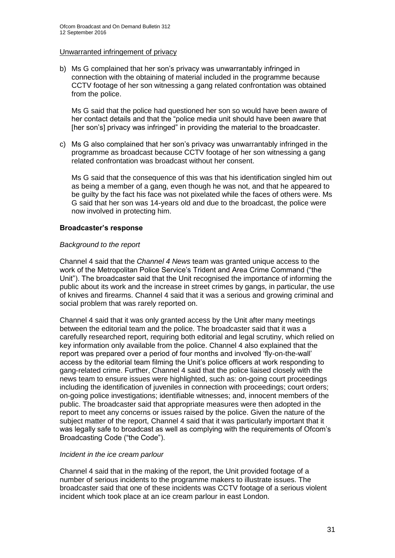#### Unwarranted infringement of privacy

b) Ms G complained that her son's privacy was unwarrantably infringed in connection with the obtaining of material included in the programme because CCTV footage of her son witnessing a gang related confrontation was obtained from the police.

Ms G said that the police had questioned her son so would have been aware of her contact details and that the "police media unit should have been aware that [her son's] privacy was infringed" in providing the material to the broadcaster.

c) Ms G also complained that her son's privacy was unwarrantably infringed in the programme as broadcast because CCTV footage of her son witnessing a gang related confrontation was broadcast without her consent.

Ms G said that the consequence of this was that his identification singled him out as being a member of a gang, even though he was not, and that he appeared to be guilty by the fact his face was not pixelated while the faces of others were. Ms G said that her son was 14-years old and due to the broadcast, the police were now involved in protecting him.

#### **Broadcaster's response**

#### *Background to the report*

Channel 4 said that the *Channel 4 News* team was granted unique access to the work of the Metropolitan Police Service's Trident and Area Crime Command ("the Unit"). The broadcaster said that the Unit recognised the importance of informing the public about its work and the increase in street crimes by gangs, in particular, the use of knives and firearms. Channel 4 said that it was a serious and growing criminal and social problem that was rarely reported on.

Channel 4 said that it was only granted access by the Unit after many meetings between the editorial team and the police. The broadcaster said that it was a carefully researched report, requiring both editorial and legal scrutiny, which relied on key information only available from the police. Channel 4 also explained that the report was prepared over a period of four months and involved 'fly-on-the-wall' access by the editorial team filming the Unit's police officers at work responding to gang-related crime. Further, Channel 4 said that the police liaised closely with the news team to ensure issues were highlighted, such as: on-going court proceedings including the identification of juveniles in connection with proceedings; court orders; on-going police investigations; identifiable witnesses; and, innocent members of the public. The broadcaster said that appropriate measures were then adopted in the report to meet any concerns or issues raised by the police. Given the nature of the subject matter of the report, Channel 4 said that it was particularly important that it was legally safe to broadcast as well as complying with the requirements of Ofcom's Broadcasting Code ("the Code").

#### *Incident in the ice cream parlour*

Channel 4 said that in the making of the report, the Unit provided footage of a number of serious incidents to the programme makers to illustrate issues. The broadcaster said that one of these incidents was CCTV footage of a serious violent incident which took place at an ice cream parlour in east London.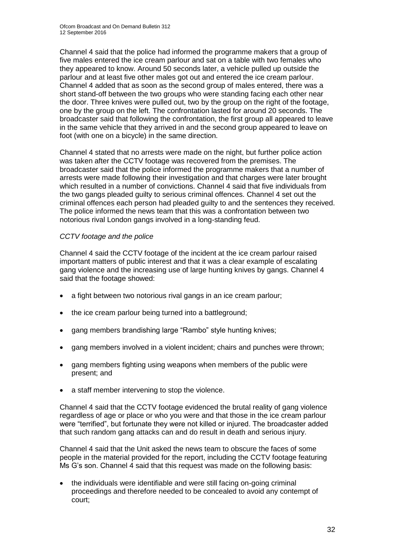Channel 4 said that the police had informed the programme makers that a group of five males entered the ice cream parlour and sat on a table with two females who they appeared to know. Around 50 seconds later, a vehicle pulled up outside the parlour and at least five other males got out and entered the ice cream parlour. Channel 4 added that as soon as the second group of males entered, there was a short stand-off between the two groups who were standing facing each other near the door. Three knives were pulled out, two by the group on the right of the footage, one by the group on the left. The confrontation lasted for around 20 seconds. The broadcaster said that following the confrontation, the first group all appeared to leave in the same vehicle that they arrived in and the second group appeared to leave on foot (with one on a bicycle) in the same direction.

Channel 4 stated that no arrests were made on the night, but further police action was taken after the CCTV footage was recovered from the premises. The broadcaster said that the police informed the programme makers that a number of arrests were made following their investigation and that charges were later brought which resulted in a number of convictions. Channel 4 said that five individuals from the two gangs pleaded guilty to serious criminal offences. Channel 4 set out the criminal offences each person had pleaded guilty to and the sentences they received. The police informed the news team that this was a confrontation between two notorious rival London gangs involved in a long-standing feud.

#### *CCTV footage and the police*

Channel 4 said the CCTV footage of the incident at the ice cream parlour raised important matters of public interest and that it was a clear example of escalating gang violence and the increasing use of large hunting knives by gangs. Channel 4 said that the footage showed:

- a fight between two notorious rival gangs in an ice cream parlour;
- the ice cream parlour being turned into a battleground;
- gang members brandishing large "Rambo" style hunting knives;
- gang members involved in a violent incident; chairs and punches were thrown;
- gang members fighting using weapons when members of the public were present; and
- a staff member intervening to stop the violence.

Channel 4 said that the CCTV footage evidenced the brutal reality of gang violence regardless of age or place or who you were and that those in the ice cream parlour were "terrified", but fortunate they were not killed or injured. The broadcaster added that such random gang attacks can and do result in death and serious injury.

Channel 4 said that the Unit asked the news team to obscure the faces of some people in the material provided for the report, including the CCTV footage featuring Ms G's son. Channel 4 said that this request was made on the following basis:

 the individuals were identifiable and were still facing on-going criminal proceedings and therefore needed to be concealed to avoid any contempt of court;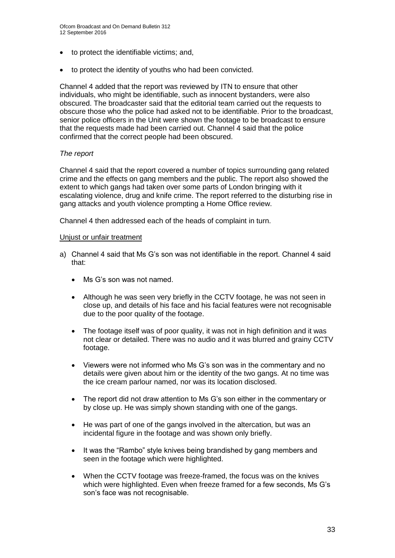- to protect the identifiable victims; and,
- to protect the identity of youths who had been convicted.

Channel 4 added that the report was reviewed by ITN to ensure that other individuals, who might be identifiable, such as innocent bystanders, were also obscured. The broadcaster said that the editorial team carried out the requests to obscure those who the police had asked not to be identifiable. Prior to the broadcast, senior police officers in the Unit were shown the footage to be broadcast to ensure that the requests made had been carried out. Channel 4 said that the police confirmed that the correct people had been obscured.

#### *The report*

Channel 4 said that the report covered a number of topics surrounding gang related crime and the effects on gang members and the public. The report also showed the extent to which gangs had taken over some parts of London bringing with it escalating violence, drug and knife crime. The report referred to the disturbing rise in gang attacks and youth violence prompting a Home Office review.

Channel 4 then addressed each of the heads of complaint in turn.

#### Unjust or unfair treatment

- a) Channel 4 said that Ms G's son was not identifiable in the report. Channel 4 said that:
	- Ms G's son was not named.
	- Although he was seen very briefly in the CCTV footage, he was not seen in close up, and details of his face and his facial features were not recognisable due to the poor quality of the footage.
	- The footage itself was of poor quality, it was not in high definition and it was not clear or detailed. There was no audio and it was blurred and grainy CCTV footage.
	- Viewers were not informed who Ms G's son was in the commentary and no details were given about him or the identity of the two gangs. At no time was the ice cream parlour named, nor was its location disclosed.
	- The report did not draw attention to Ms G's son either in the commentary or by close up. He was simply shown standing with one of the gangs.
	- He was part of one of the gangs involved in the altercation, but was an incidental figure in the footage and was shown only briefly.
	- It was the "Rambo" style knives being brandished by gang members and seen in the footage which were highlighted.
	- When the CCTV footage was freeze-framed, the focus was on the knives which were highlighted. Even when freeze framed for a few seconds, Ms G's son's face was not recognisable.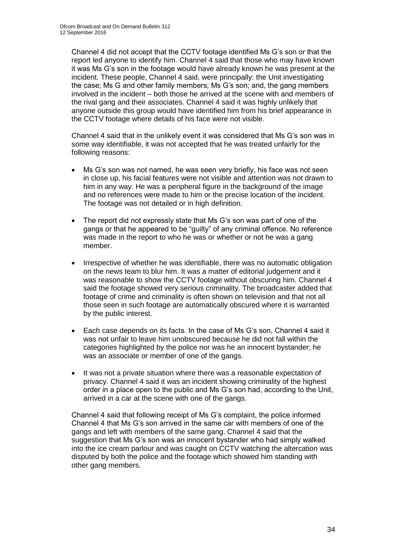Channel 4 did not accept that the CCTV footage identified Ms G's son or that the report led anyone to identify him. Channel 4 said that those who may have known it was Ms G's son in the footage would have already known he was present at the incident. These people, Channel 4 said, were principally: the Unit investigating the case; Ms G and other family members; Ms G's son; and, the gang members involved in the incident – both those he arrived at the scene with and members of the rival gang and their associates. Channel 4 said it was highly unlikely that anyone outside this group would have identified him from his brief appearance in the CCTV footage where details of his face were not visible.

Channel 4 said that in the unlikely event it was considered that Ms G's son was in some way identifiable, it was not accepted that he was treated unfairly for the following reasons:

- Ms G's son was not named, he was seen very briefly, his face was not seen in close up, his facial features were not visible and attention was not drawn to him in any way. He was a peripheral figure in the background of the image and no references were made to him or the precise location of the incident. The footage was not detailed or in high definition.
- The report did not expressly state that Ms G's son was part of one of the gangs or that he appeared to be "guilty" of any criminal offence. No reference was made in the report to who he was or whether or not he was a gang member.
- Irrespective of whether he was identifiable, there was no automatic obligation on the news team to blur him. It was a matter of editorial judgement and it was reasonable to show the CCTV footage without obscuring him. Channel 4 said the footage showed very serious criminality. The broadcaster added that footage of crime and criminality is often shown on television and that not all those seen in such footage are automatically obscured where it is warranted by the public interest.
- Each case depends on its facts. In the case of Ms G's son, Channel 4 said it was not unfair to leave him unobscured because he did not fall within the categories highlighted by the police nor was he an innocent bystander; he was an associate or member of one of the gangs.
- It was not a private situation where there was a reasonable expectation of privacy. Channel 4 said it was an incident showing criminality of the highest order in a place open to the public and Ms G's son had, according to the Unit, arrived in a car at the scene with one of the gangs.

Channel 4 said that following receipt of Ms G's complaint, the police informed Channel 4 that Ms G's son arrived in the same car with members of one of the gangs and left with members of the same gang. Channel 4 said that the suggestion that Ms G's son was an innocent bystander who had simply walked into the ice cream parlour and was caught on CCTV watching the altercation was disputed by both the police and the footage which showed him standing with other gang members.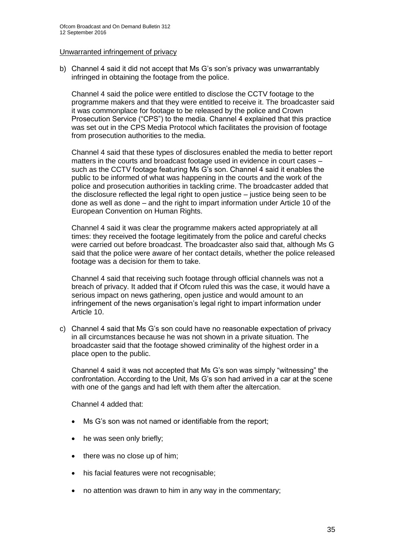#### Unwarranted infringement of privacy

b) Channel 4 said it did not accept that Ms G's son's privacy was unwarrantably infringed in obtaining the footage from the police.

Channel 4 said the police were entitled to disclose the CCTV footage to the programme makers and that they were entitled to receive it. The broadcaster said it was commonplace for footage to be released by the police and Crown Prosecution Service ("CPS") to the media. Channel 4 explained that this practice was set out in the CPS Media Protocol which facilitates the provision of footage from prosecution authorities to the media.

Channel 4 said that these types of disclosures enabled the media to better report matters in the courts and broadcast footage used in evidence in court cases – such as the CCTV footage featuring Ms G's son. Channel 4 said it enables the public to be informed of what was happening in the courts and the work of the police and prosecution authorities in tackling crime. The broadcaster added that the disclosure reflected the legal right to open justice – justice being seen to be done as well as done – and the right to impart information under Article 10 of the European Convention on Human Rights.

Channel 4 said it was clear the programme makers acted appropriately at all times: they received the footage legitimately from the police and careful checks were carried out before broadcast. The broadcaster also said that, although Ms G said that the police were aware of her contact details, whether the police released footage was a decision for them to take.

Channel 4 said that receiving such footage through official channels was not a breach of privacy. It added that if Ofcom ruled this was the case, it would have a serious impact on news gathering, open justice and would amount to an infringement of the news organisation's legal right to impart information under Article 10.

c) Channel 4 said that Ms G's son could have no reasonable expectation of privacy in all circumstances because he was not shown in a private situation. The broadcaster said that the footage showed criminality of the highest order in a place open to the public.

Channel 4 said it was not accepted that Ms G's son was simply "witnessing" the confrontation. According to the Unit, Ms G's son had arrived in a car at the scene with one of the gangs and had left with them after the altercation.

Channel 4 added that:

- Ms G's son was not named or identifiable from the report;
- he was seen only briefly;
- there was no close up of him;
- his facial features were not recognisable;
- no attention was drawn to him in any way in the commentary;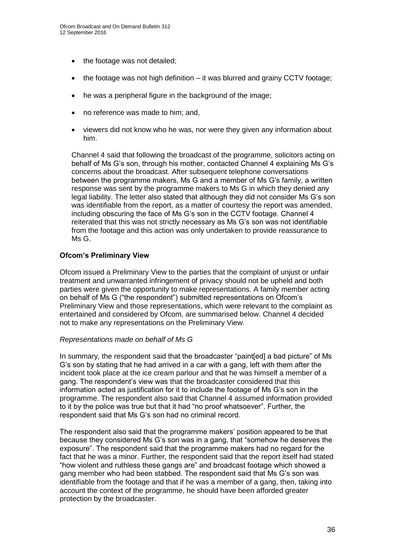- the footage was not detailed;
- the footage was not high definition it was blurred and grainy CCTV footage;
- he was a peripheral figure in the background of the image;
- no reference was made to him; and,
- viewers did not know who he was, nor were they given any information about him.

Channel 4 said that following the broadcast of the programme, solicitors acting on behalf of Ms G's son, through his mother, contacted Channel 4 explaining Ms G's concerns about the broadcast. After subsequent telephone conversations between the programme makers, Ms G and a member of Ms G's family, a written response was sent by the programme makers to Ms G in which they denied any legal liability. The letter also stated that although they did not consider Ms G's son was identifiable from the report, as a matter of courtesy the report was amended, including obscuring the face of Ms G's son in the CCTV footage. Channel 4 reiterated that this was not strictly necessary as Ms G's son was not identifiable from the footage and this action was only undertaken to provide reassurance to Ms G.

#### **Ofcom's Preliminary View**

Ofcom issued a Preliminary View to the parties that the complaint of unjust or unfair treatment and unwarranted infringement of privacy should not be upheld and both parties were given the opportunity to make representations. A family member acting on behalf of Ms G ("the respondent") submitted representations on Ofcom's Preliminary View and those representations, which were relevant to the complaint as entertained and considered by Ofcom, are summarised below. Channel 4 decided not to make any representations on the Preliminary View.

#### *Representations made on behalf of Ms G*

In summary, the respondent said that the broadcaster "paint[ed] a bad picture" of Ms G's son by stating that he had arrived in a car with a gang, left with them after the incident took place at the ice cream parlour and that he was himself a member of a gang. The respondent's view was that the broadcaster considered that this information acted as justification for it to include the footage of Ms G's son in the programme. The respondent also said that Channel 4 assumed information provided to it by the police was true but that it had "no proof whatsoever". Further, the respondent said that Ms G's son had no criminal record.

The respondent also said that the programme makers' position appeared to be that because they considered Ms G's son was in a gang, that "somehow he deserves the exposure". The respondent said that the programme makers had no regard for the fact that he was a minor. Further, the respondent said that the report itself had stated "how violent and ruthless these gangs are" and broadcast footage which showed a gang member who had been stabbed. The respondent said that Ms G's son was identifiable from the footage and that if he was a member of a gang, then, taking into account the context of the programme, he should have been afforded greater protection by the broadcaster.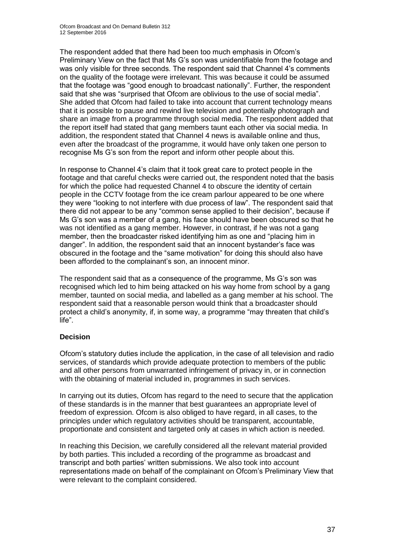The respondent added that there had been too much emphasis in Ofcom's Preliminary View on the fact that Ms G's son was unidentifiable from the footage and was only visible for three seconds. The respondent said that Channel 4's comments on the quality of the footage were irrelevant. This was because it could be assumed that the footage was "good enough to broadcast nationally". Further, the respondent said that she was "surprised that Ofcom are oblivious to the use of social media". She added that Ofcom had failed to take into account that current technology means that it is possible to pause and rewind live television and potentially photograph and share an image from a programme through social media. The respondent added that the report itself had stated that gang members taunt each other via social media. In addition, the respondent stated that Channel 4 news is available online and thus, even after the broadcast of the programme, it would have only taken one person to recognise Ms G's son from the report and inform other people about this.

In response to Channel 4's claim that it took great care to protect people in the footage and that careful checks were carried out, the respondent noted that the basis for which the police had requested Channel 4 to obscure the identity of certain people in the CCTV footage from the ice cream parlour appeared to be one where they were "looking to not interfere with due process of law". The respondent said that there did not appear to be any "common sense applied to their decision", because if Ms G's son was a member of a gang, his face should have been obscured so that he was not identified as a gang member. However, in contrast, if he was not a gang member, then the broadcaster risked identifying him as one and "placing him in danger". In addition, the respondent said that an innocent bystander's face was obscured in the footage and the "same motivation" for doing this should also have been afforded to the complainant's son, an innocent minor.

The respondent said that as a consequence of the programme, Ms G's son was recognised which led to him being attacked on his way home from school by a gang member, taunted on social media, and labelled as a gang member at his school. The respondent said that a reasonable person would think that a broadcaster should protect a child's anonymity, if, in some way, a programme "may threaten that child's life".

# **Decision**

Ofcom's statutory duties include the application, in the case of all television and radio services, of standards which provide adequate protection to members of the public and all other persons from unwarranted infringement of privacy in, or in connection with the obtaining of material included in, programmes in such services.

In carrying out its duties, Ofcom has regard to the need to secure that the application of these standards is in the manner that best guarantees an appropriate level of freedom of expression. Ofcom is also obliged to have regard, in all cases, to the principles under which regulatory activities should be transparent, accountable, proportionate and consistent and targeted only at cases in which action is needed.

In reaching this Decision, we carefully considered all the relevant material provided by both parties. This included a recording of the programme as broadcast and transcript and both parties' written submissions. We also took into account representations made on behalf of the complainant on Ofcom's Preliminary View that were relevant to the complaint considered.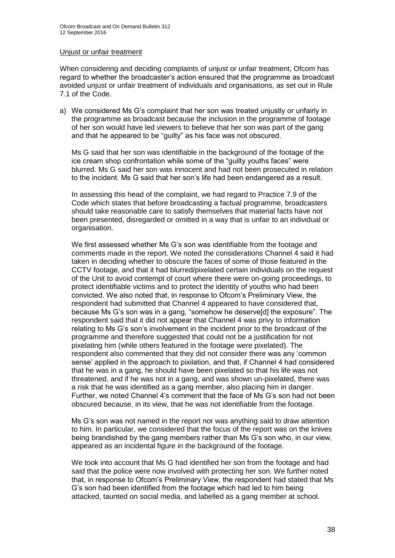#### Unjust or unfair treatment

When considering and deciding complaints of unjust or unfair treatment, Ofcom has regard to whether the broadcaster's action ensured that the programme as broadcast avoided unjust or unfair treatment of individuals and organisations, as set out in Rule 7.1 of the Code.

a) We considered Ms G's complaint that her son was treated unjustly or unfairly in the programme as broadcast because the inclusion in the programme of footage of her son would have led viewers to believe that her son was part of the gang and that he appeared to be "guilty" as his face was not obscured.

Ms G said that her son was identifiable in the background of the footage of the ice cream shop confrontation while some of the "guilty youths faces" were blurred. Ms G said her son was innocent and had not been prosecuted in relation to the incident. Ms G said that her son's life had been endangered as a result.

In assessing this head of the complaint, we had regard to Practice 7.9 of the Code which states that before broadcasting a factual programme, broadcasters should take reasonable care to satisfy themselves that material facts have not been presented, disregarded or omitted in a way that is unfair to an individual or organisation.

We first assessed whether Ms G's son was identifiable from the footage and comments made in the report. We noted the considerations Channel 4 said it had taken in deciding whether to obscure the faces of some of those featured in the CCTV footage, and that it had blurred/pixelated certain individuals on the request of the Unit to avoid contempt of court where there were on-going proceedings, to protect identifiable victims and to protect the identity of youths who had been convicted. We also noted that, in response to Ofcom's Preliminary View, the respondent had submitted that Channel 4 appeared to have considered that, because Ms G's son was in a gang, "somehow he deserve[d] the exposure". The respondent said that it did not appear that Channel 4 was privy to information relating to Ms G's son's involvement in the incident prior to the broadcast of the programme and therefore suggested that could not be a justification for not pixelating him (while others featured in the footage were pixelated). The respondent also commented that they did not consider there was any 'common sense' applied in the approach to pixilation, and that, if Channel 4 had considered that he was in a gang, he should have been pixelated so that his life was not threatened, and if he was not in a gang, and was shown un-pixelated, there was a risk that he was identified as a gang member, also placing him in danger. Further, we noted Channel 4's comment that the face of Ms G's son had not been obscured because, in its view, that he was not identifiable from the footage.

Ms G's son was not named in the report nor was anything said to draw attention to him. In particular, we considered that the focus of the report was on the knives being brandished by the gang members rather than Ms G's son who, in our view, appeared as an incidental figure in the background of the footage.

We took into account that Ms G had identified her son from the footage and had said that the police were now involved with protecting her son. We further noted that, in response to Ofcom's Preliminary View, the respondent had stated that Ms G's son had been identified from the footage which had led to him being attacked, taunted on social media, and labelled as a gang member at school.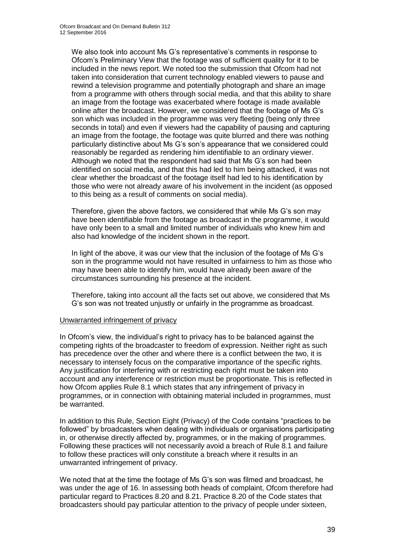We also took into account Ms G's representative's comments in response to Ofcom's Preliminary View that the footage was of sufficient quality for it to be included in the news report. We noted too the submission that Ofcom had not taken into consideration that current technology enabled viewers to pause and rewind a television programme and potentially photograph and share an image from a programme with others through social media, and that this ability to share an image from the footage was exacerbated where footage is made available online after the broadcast. However, we considered that the footage of Ms G's son which was included in the programme was very fleeting (being only three seconds in total) and even if viewers had the capability of pausing and capturing an image from the footage, the footage was quite blurred and there was nothing particularly distinctive about Ms G's son's appearance that we considered could reasonably be regarded as rendering him identifiable to an ordinary viewer. Although we noted that the respondent had said that Ms G's son had been identified on social media, and that this had led to him being attacked, it was not clear whether the broadcast of the footage itself had led to his identification by those who were not already aware of his involvement in the incident (as opposed to this being as a result of comments on social media).

Therefore, given the above factors, we considered that while Ms G's son may have been identifiable from the footage as broadcast in the programme, it would have only been to a small and limited number of individuals who knew him and also had knowledge of the incident shown in the report.

In light of the above, it was our view that the inclusion of the footage of Ms G's son in the programme would not have resulted in unfairness to him as those who may have been able to identify him, would have already been aware of the circumstances surrounding his presence at the incident.

Therefore, taking into account all the facts set out above, we considered that Ms G's son was not treated unjustly or unfairly in the programme as broadcast.

#### Unwarranted infringement of privacy

In Ofcom's view, the individual's right to privacy has to be balanced against the competing rights of the broadcaster to freedom of expression. Neither right as such has precedence over the other and where there is a conflict between the two, it is necessary to intensely focus on the comparative importance of the specific rights. Any justification for interfering with or restricting each right must be taken into account and any interference or restriction must be proportionate. This is reflected in how Ofcom applies Rule 8.1 which states that any infringement of privacy in programmes, or in connection with obtaining material included in programmes, must be warranted.

In addition to this Rule, Section Eight (Privacy) of the Code contains "practices to be followed" by broadcasters when dealing with individuals or organisations participating in, or otherwise directly affected by, programmes, or in the making of programmes. Following these practices will not necessarily avoid a breach of Rule 8.1 and failure to follow these practices will only constitute a breach where it results in an unwarranted infringement of privacy.

We noted that at the time the footage of Ms G's son was filmed and broadcast, he was under the age of 16. In assessing both heads of complaint, Ofcom therefore had particular regard to Practices 8.20 and 8.21. Practice 8.20 of the Code states that broadcasters should pay particular attention to the privacy of people under sixteen,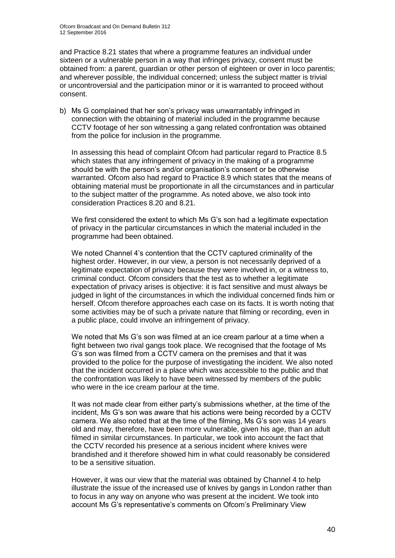and Practice 8.21 states that where a programme features an individual under sixteen or a vulnerable person in a way that infringes privacy, consent must be obtained from: a parent, guardian or other person of eighteen or over in loco parentis; and wherever possible, the individual concerned; unless the subject matter is trivial or uncontroversial and the participation minor or it is warranted to proceed without consent.

b) Ms G complained that her son's privacy was unwarrantably infringed in connection with the obtaining of material included in the programme because CCTV footage of her son witnessing a gang related confrontation was obtained from the police for inclusion in the programme.

In assessing this head of complaint Ofcom had particular regard to Practice 8.5 which states that any infringement of privacy in the making of a programme should be with the person's and/or organisation's consent or be otherwise warranted. Ofcom also had regard to Practice 8.9 which states that the means of obtaining material must be proportionate in all the circumstances and in particular to the subject matter of the programme. As noted above, we also took into consideration Practices 8.20 and 8.21.

We first considered the extent to which Ms G's son had a legitimate expectation of privacy in the particular circumstances in which the material included in the programme had been obtained.

We noted Channel 4's contention that the CCTV captured criminality of the highest order. However, in our view, a person is not necessarily deprived of a legitimate expectation of privacy because they were involved in, or a witness to, criminal conduct. Ofcom considers that the test as to whether a legitimate expectation of privacy arises is objective: it is fact sensitive and must always be judged in light of the circumstances in which the individual concerned finds him or herself. Ofcom therefore approaches each case on its facts. It is worth noting that some activities may be of such a private nature that filming or recording, even in a public place, could involve an infringement of privacy.

We noted that Ms G's son was filmed at an ice cream parlour at a time when a fight between two rival gangs took place. We recognised that the footage of Ms G's son was filmed from a CCTV camera on the premises and that it was provided to the police for the purpose of investigating the incident. We also noted that the incident occurred in a place which was accessible to the public and that the confrontation was likely to have been witnessed by members of the public who were in the ice cream parlour at the time.

It was not made clear from either party's submissions whether, at the time of the incident, Ms G's son was aware that his actions were being recorded by a CCTV camera. We also noted that at the time of the filming, Ms G's son was 14 years old and may, therefore, have been more vulnerable, given his age, than an adult filmed in similar circumstances. In particular, we took into account the fact that the CCTV recorded his presence at a serious incident where knives were brandished and it therefore showed him in what could reasonably be considered to be a sensitive situation.

However, it was our view that the material was obtained by Channel 4 to help illustrate the issue of the increased use of knives by gangs in London rather than to focus in any way on anyone who was present at the incident. We took into account Ms G's representative's comments on Ofcom's Preliminary View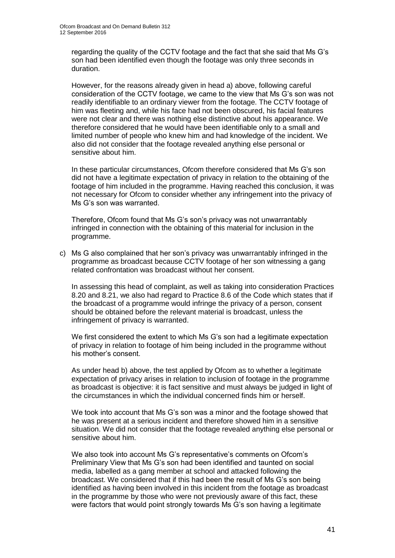regarding the quality of the CCTV footage and the fact that she said that Ms G's son had been identified even though the footage was only three seconds in duration.

However, for the reasons already given in head a) above, following careful consideration of the CCTV footage, we came to the view that Ms G's son was not readily identifiable to an ordinary viewer from the footage. The CCTV footage of him was fleeting and, while his face had not been obscured, his facial features were not clear and there was nothing else distinctive about his appearance. We therefore considered that he would have been identifiable only to a small and limited number of people who knew him and had knowledge of the incident. We also did not consider that the footage revealed anything else personal or sensitive about him.

In these particular circumstances, Ofcom therefore considered that Ms G's son did not have a legitimate expectation of privacy in relation to the obtaining of the footage of him included in the programme. Having reached this conclusion, it was not necessary for Ofcom to consider whether any infringement into the privacy of Ms G's son was warranted.

Therefore, Ofcom found that Ms G's son's privacy was not unwarrantably infringed in connection with the obtaining of this material for inclusion in the programme.

c) Ms G also complained that her son's privacy was unwarrantably infringed in the programme as broadcast because CCTV footage of her son witnessing a gang related confrontation was broadcast without her consent.

In assessing this head of complaint, as well as taking into consideration Practices 8.20 and 8.21, we also had regard to Practice 8.6 of the Code which states that if the broadcast of a programme would infringe the privacy of a person, consent should be obtained before the relevant material is broadcast, unless the infringement of privacy is warranted.

We first considered the extent to which Ms G's son had a legitimate expectation of privacy in relation to footage of him being included in the programme without his mother's consent.

As under head b) above, the test applied by Ofcom as to whether a legitimate expectation of privacy arises in relation to inclusion of footage in the programme as broadcast is objective: it is fact sensitive and must always be judged in light of the circumstances in which the individual concerned finds him or herself.

We took into account that Ms G's son was a minor and the footage showed that he was present at a serious incident and therefore showed him in a sensitive situation. We did not consider that the footage revealed anything else personal or sensitive about him.

We also took into account Ms G's representative's comments on Ofcom's Preliminary View that Ms G's son had been identified and taunted on social media, labelled as a gang member at school and attacked following the broadcast. We considered that if this had been the result of Ms G's son being identified as having been involved in this incident from the footage as broadcast in the programme by those who were not previously aware of this fact, these were factors that would point strongly towards Ms G's son having a legitimate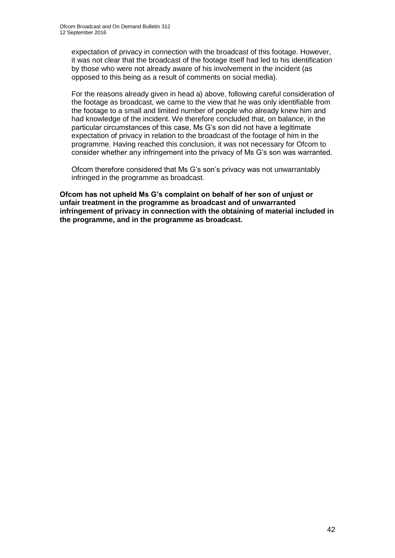expectation of privacy in connection with the broadcast of this footage. However, it was not clear that the broadcast of the footage itself had led to his identification by those who were not already aware of his involvement in the incident (as opposed to this being as a result of comments on social media).

For the reasons already given in head a) above, following careful consideration of the footage as broadcast, we came to the view that he was only identifiable from the footage to a small and limited number of people who already knew him and had knowledge of the incident. We therefore concluded that, on balance, in the particular circumstances of this case, Ms G's son did not have a legitimate expectation of privacy in relation to the broadcast of the footage of him in the programme. Having reached this conclusion, it was not necessary for Ofcom to consider whether any infringement into the privacy of Ms G's son was warranted.

Ofcom therefore considered that Ms G's son's privacy was not unwarrantably infringed in the programme as broadcast.

**Ofcom has not upheld Ms G's complaint on behalf of her son of unjust or unfair treatment in the programme as broadcast and of unwarranted infringement of privacy in connection with the obtaining of material included in the programme, and in the programme as broadcast.**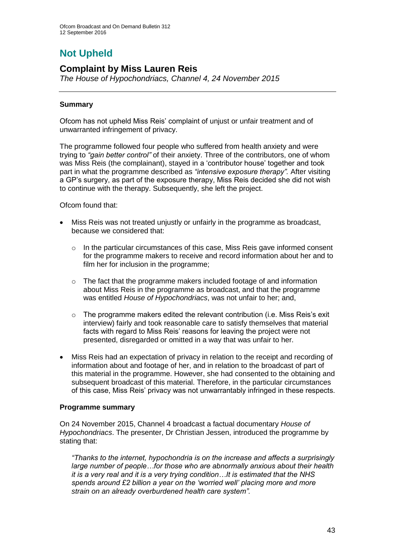# **Not Upheld**

# **Complaint by Miss Lauren Reis**

*The House of Hypochondriacs, Channel 4, 24 November 2015*

# **Summary**

Ofcom has not upheld Miss Reis' complaint of unjust or unfair treatment and of unwarranted infringement of privacy.

The programme followed four people who suffered from health anxiety and were trying to *"gain better control"* of their anxiety. Three of the contributors, one of whom was Miss Reis (the complainant), stayed in a 'contributor house' together and took part in what the programme described as *"intensive exposure therapy".* After visiting a GP's surgery, as part of the exposure therapy, Miss Reis decided she did not wish to continue with the therapy. Subsequently, she left the project.

Ofcom found that:

- Miss Reis was not treated unjustly or unfairly in the programme as broadcast, because we considered that:
	- $\circ$  In the particular circumstances of this case. Miss Reis gave informed consent for the programme makers to receive and record information about her and to film her for inclusion in the programme;
	- o The fact that the programme makers included footage of and information about Miss Reis in the programme as broadcast, and that the programme was entitled *House of Hypochondriacs*, was not unfair to her; and,
	- $\circ$  The programme makers edited the relevant contribution (i.e. Miss Reis's exit interview) fairly and took reasonable care to satisfy themselves that material facts with regard to Miss Reis' reasons for leaving the project were not presented, disregarded or omitted in a way that was unfair to her.
- Miss Reis had an expectation of privacy in relation to the receipt and recording of information about and footage of her, and in relation to the broadcast of part of this material in the programme. However, she had consented to the obtaining and subsequent broadcast of this material. Therefore, in the particular circumstances of this case, Miss Reis' privacy was not unwarrantably infringed in these respects.

# **Programme summary**

On 24 November 2015, Channel 4 broadcast a factual documentary *House of Hypochondriacs*. The presenter, Dr Christian Jessen, introduced the programme by stating that:

*"Thanks to the internet, hypochondria is on the increase and affects a surprisingly large number of people…for those who are abnormally anxious about their health it is a very real and it is a very trying condition…It is estimated that the NHS spends around £2 billion a year on the 'worried well' placing more and more strain on an already overburdened health care system".*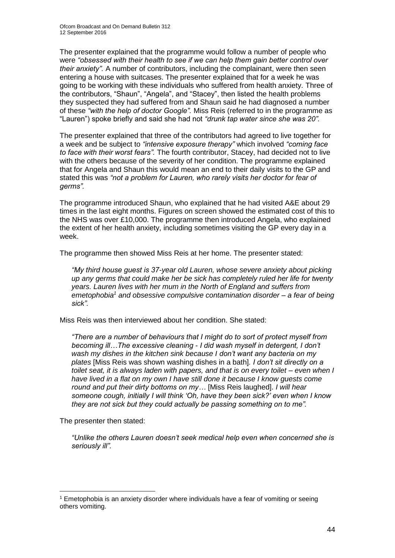The presenter explained that the programme would follow a number of people who were *"obsessed with their health to see if we can help them gain better control over their anxiety".* A number of contributors, including the complainant, were then seen entering a house with suitcases. The presenter explained that for a week he was going to be working with these individuals who suffered from health anxiety*.* Three of the contributors, "Shaun", "Angela", and "Stacey", then listed the health problems they suspected they had suffered from and Shaun said he had diagnosed a number of these *"with the help of doctor Google".* Miss Reis (referred to in the programme as "Lauren") spoke briefly and said she had not *"drunk tap water since she was 20".* 

The presenter explained that three of the contributors had agreed to live together for a week and be subject to *"intensive exposure therapy"* which involved *"coming face to face with their worst fears".* The fourth contributor, Stacey, had decided not to live with the others because of the severity of her condition. The programme explained that for Angela and Shaun this would mean an end to their daily visits to the GP and stated this was *"not a problem for Lauren, who rarely visits her doctor for fear of germs".* 

The programme introduced Shaun, who explained that he had visited A&E about 29 times in the last eight months. Figures on screen showed the estimated cost of this to the NHS was over £10,000. The programme then introduced Angela, who explained the extent of her health anxiety, including sometimes visiting the GP every day in a week.

The programme then showed Miss Reis at her home. The presenter stated:

*"My third house guest is 37-year old Lauren, whose severe anxiety about picking up any germs that could make her be sick has completely ruled her life for twenty years. Lauren lives with her mum in the North of England and suffers from emetophobia<sup>1</sup> and obsessive compulsive contamination disorder – a fear of being sick".* 

Miss Reis was then interviewed about her condition. She stated:

*"There are a number of behaviours that I might do to sort of protect myself from becoming ill…The excessive cleaning - I did wash myself in detergent, I don't wash my dishes in the kitchen sink because I don't want any bacteria on my plates* [Miss Reis was shown washing dishes in a bath]*. I don't sit directly on a toilet seat, it is always laden with papers, and that is on every toilet – even when I have lived in a flat on my own I have still done it because I know guests come round and put their dirty bottoms on my…* [Miss Reis laughed]. *I will hear someone cough, initially I will think 'Oh, have they been sick?' even when I know they are not sick but they could actually be passing something on to me".*

The presenter then stated:

1

*"Unlike the others Lauren doesn't seek medical help even when concerned she is seriously ill".*

<sup>1</sup> Emetophobia is an anxiety disorder where individuals have a fear of vomiting or seeing others vomiting.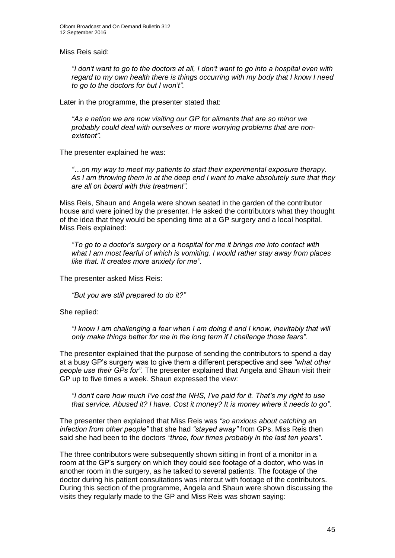Miss Reis said:

*"I don't want to go to the doctors at all, I don't want to go into a hospital even with regard to my own health there is things occurring with my body that I know I need to go to the doctors for but I won't".* 

Later in the programme, the presenter stated that:

*"As a nation we are now visiting our GP for ailments that are so minor we probably could deal with ourselves or more worrying problems that are nonexistent".*

The presenter explained he was:

*"…on my way to meet my patients to start their experimental exposure therapy. As I am throwing them in at the deep end I want to make absolutely sure that they are all on board with this treatment".* 

Miss Reis, Shaun and Angela were shown seated in the garden of the contributor house and were joined by the presenter. He asked the contributors what they thought of the idea that they would be spending time at a GP surgery and a local hospital. Miss Reis explained:

*"To go to a doctor's surgery or a hospital for me it brings me into contact with what I am most fearful of which is vomiting. I would rather stay away from places like that. It creates more anxiety for me".*

The presenter asked Miss Reis:

*"But you are still prepared to do it?"*

She replied:

*"I know I am challenging a fear when I am doing it and I know, inevitably that will only make things better for me in the long term if I challenge those fears".*

The presenter explained that the purpose of sending the contributors to spend a day at a busy GP's surgery was to give them a different perspective and see *"what other people use their GPs for"*. The presenter explained that Angela and Shaun visit their GP up to five times a week. Shaun expressed the view:

*"I don't care how much I've cost the NHS, I've paid for it. That's my right to use that service. Abused it? I have. Cost it money? It is money where it needs to go".*

The presenter then explained that Miss Reis was *"so anxious about catching an infection from other people"* that she had *"stayed away"* from GPs. Miss Reis then said she had been to the doctors *"three, four times probably in the last ten years"*.

The three contributors were subsequently shown sitting in front of a monitor in a room at the GP's surgery on which they could see footage of a doctor, who was in another room in the surgery, as he talked to several patients. The footage of the doctor during his patient consultations was intercut with footage of the contributors. During this section of the programme, Angela and Shaun were shown discussing the visits they regularly made to the GP and Miss Reis was shown saying: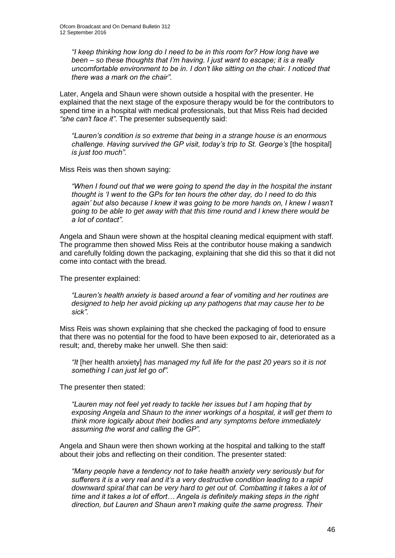*"I keep thinking how long do I need to be in this room for? How long have we been – so these thoughts that I'm having. I just want to escape; it is a really uncomfortable environment to be in. I don't like sitting on the chair. I noticed that there was a mark on the chair".*

Later, Angela and Shaun were shown outside a hospital with the presenter. He explained that the next stage of the exposure therapy would be for the contributors to spend time in a hospital with medical professionals, but that Miss Reis had decided *"she can't face it"*. The presenter subsequently said:

*"Lauren's condition is so extreme that being in a strange house is an enormous challenge. Having survived the GP visit, today's trip to St. George's* [the hospital] *is just too much".*

Miss Reis was then shown saying:

*"When I found out that we were going to spend the day in the hospital the instant thought is 'I went to the GPs for ten hours the other day, do I need to do this again' but also because I knew it was going to be more hands on, I knew I wasn't going to be able to get away with that this time round and I knew there would be a lot of contact".*

Angela and Shaun were shown at the hospital cleaning medical equipment with staff. The programme then showed Miss Reis at the contributor house making a sandwich and carefully folding down the packaging, explaining that she did this so that it did not come into contact with the bread.

The presenter explained:

*"Lauren's health anxiety is based around a fear of vomiting and her routines are designed to help her avoid picking up any pathogens that may cause her to be sick".* 

Miss Reis was shown explaining that she checked the packaging of food to ensure that there was no potential for the food to have been exposed to air, deteriorated as a result; and, thereby make her unwell. She then said:

*"It* [her health anxiety] *has managed my full life for the past 20 years so it is not something I can just let go of".*

The presenter then stated:

*"Lauren may not feel yet ready to tackle her issues but I am hoping that by exposing Angela and Shaun to the inner workings of a hospital, it will get them to think more logically about their bodies and any symptoms before immediately assuming the worst and calling the GP".* 

Angela and Shaun were then shown working at the hospital and talking to the staff about their jobs and reflecting on their condition. The presenter stated:

*"Many people have a tendency not to take health anxiety very seriously but for sufferers it is a very real and it's a very destructive condition leading to a rapid downward spiral that can be very hard to get out of. Combatting it takes a lot of time and it takes a lot of effort… Angela is definitely making steps in the right direction, but Lauren and Shaun aren't making quite the same progress. Their*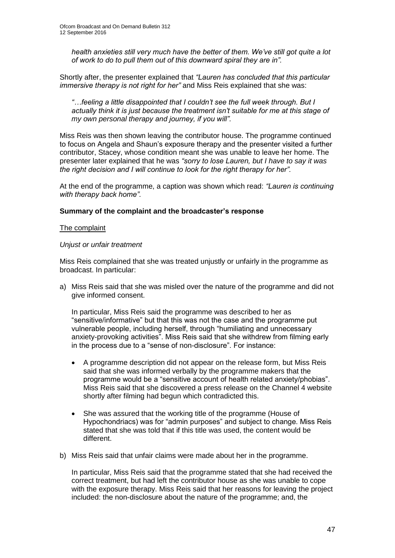*health anxieties still very much have the better of them. We've still got quite a lot of work to do to pull them out of this downward spiral they are in".*

Shortly after, the presenter explained that *"Lauren has concluded that this particular immersive therapy is not right for her"* and Miss Reis explained that she was:

*"…feeling a little disappointed that I couldn't see the full week through. But I actually think it is just because the treatment isn't suitable for me at this stage of my own personal therapy and journey, if you will".*

Miss Reis was then shown leaving the contributor house. The programme continued to focus on Angela and Shaun's exposure therapy and the presenter visited a further contributor, Stacey, whose condition meant she was unable to leave her home. The presenter later explained that he was *"sorry to lose Lauren, but I have to say it was the right decision and I will continue to look for the right therapy for her".*

At the end of the programme, a caption was shown which read: *"Lauren is continuing with therapy back home".* 

#### **Summary of the complaint and the broadcaster's response**

#### The complaint

#### *Unjust or unfair treatment*

Miss Reis complained that she was treated unjustly or unfairly in the programme as broadcast. In particular:

a) Miss Reis said that she was misled over the nature of the programme and did not give informed consent.

In particular, Miss Reis said the programme was described to her as "sensitive/informative" but that this was not the case and the programme put vulnerable people, including herself, through "humiliating and unnecessary anxiety-provoking activities". Miss Reis said that she withdrew from filming early in the process due to a "sense of non-disclosure". For instance:

- A programme description did not appear on the release form, but Miss Reis said that she was informed verbally by the programme makers that the programme would be a "sensitive account of health related anxiety/phobias". Miss Reis said that she discovered a press release on the Channel 4 website shortly after filming had begun which contradicted this.
- She was assured that the working title of the programme (House of Hypochondriacs) was for "admin purposes" and subject to change. Miss Reis stated that she was told that if this title was used, the content would be different.
- b) Miss Reis said that unfair claims were made about her in the programme.

In particular, Miss Reis said that the programme stated that she had received the correct treatment, but had left the contributor house as she was unable to cope with the exposure therapy. Miss Reis said that her reasons for leaving the project included: the non-disclosure about the nature of the programme; and, the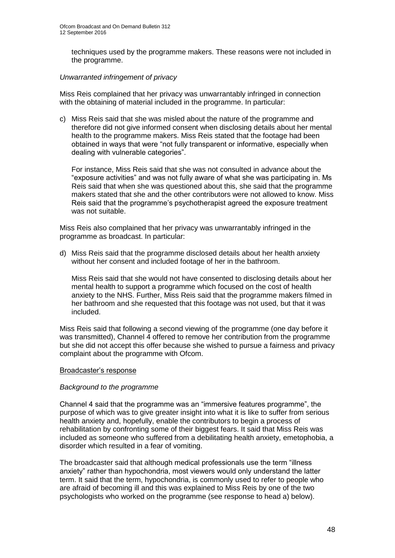techniques used by the programme makers. These reasons were not included in the programme.

# *Unwarranted infringement of privacy*

Miss Reis complained that her privacy was unwarrantably infringed in connection with the obtaining of material included in the programme. In particular:

c) Miss Reis said that she was misled about the nature of the programme and therefore did not give informed consent when disclosing details about her mental health to the programme makers. Miss Reis stated that the footage had been obtained in ways that were "not fully transparent or informative, especially when dealing with vulnerable categories".

For instance, Miss Reis said that she was not consulted in advance about the "exposure activities" and was not fully aware of what she was participating in. Ms Reis said that when she was questioned about this, she said that the programme makers stated that she and the other contributors were not allowed to know. Miss Reis said that the programme's psychotherapist agreed the exposure treatment was not suitable.

Miss Reis also complained that her privacy was unwarrantably infringed in the programme as broadcast. In particular:

d) Miss Reis said that the programme disclosed details about her health anxiety without her consent and included footage of her in the bathroom.

Miss Reis said that she would not have consented to disclosing details about her mental health to support a programme which focused on the cost of health anxiety to the NHS. Further, Miss Reis said that the programme makers filmed in her bathroom and she requested that this footage was not used, but that it was included.

Miss Reis said that following a second viewing of the programme (one day before it was transmitted), Channel 4 offered to remove her contribution from the programme but she did not accept this offer because she wished to pursue a fairness and privacy complaint about the programme with Ofcom.

#### Broadcaster's response

# *Background to the programme*

Channel 4 said that the programme was an "immersive features programme", the purpose of which was to give greater insight into what it is like to suffer from serious health anxiety and, hopefully, enable the contributors to begin a process of rehabilitation by confronting some of their biggest fears. It said that Miss Reis was included as someone who suffered from a debilitating health anxiety, emetophobia, a disorder which resulted in a fear of vomiting.

The broadcaster said that although medical professionals use the term "illness anxiety" rather than hypochondria, most viewers would only understand the latter term. It said that the term, hypochondria, is commonly used to refer to people who are afraid of becoming ill and this was explained to Miss Reis by one of the two psychologists who worked on the programme (see response to head a) below).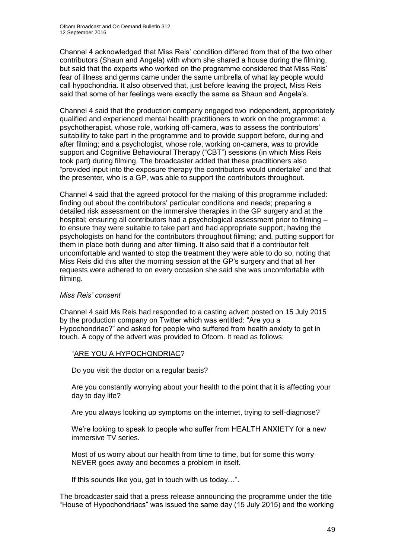Channel 4 acknowledged that Miss Reis' condition differed from that of the two other contributors (Shaun and Angela) with whom she shared a house during the filming, but said that the experts who worked on the programme considered that Miss Reis' fear of illness and germs came under the same umbrella of what lay people would call hypochondria. It also observed that, just before leaving the project, Miss Reis said that some of her feelings were exactly the same as Shaun and Angela's.

Channel 4 said that the production company engaged two independent, appropriately qualified and experienced mental health practitioners to work on the programme: a psychotherapist, whose role, working off-camera, was to assess the contributors' suitability to take part in the programme and to provide support before, during and after filming; and a psychologist, whose role, working on-camera, was to provide support and Cognitive Behavioural Therapy ("CBT") sessions (in which Miss Reis took part) during filming. The broadcaster added that these practitioners also "provided input into the exposure therapy the contributors would undertake" and that the presenter, who is a GP, was able to support the contributors throughout.

Channel 4 said that the agreed protocol for the making of this programme included: finding out about the contributors' particular conditions and needs; preparing a detailed risk assessment on the immersive therapies in the GP surgery and at the hospital; ensuring all contributors had a psychological assessment prior to filming – to ensure they were suitable to take part and had appropriate support; having the psychologists on hand for the contributors throughout filming; and, putting support for them in place both during and after filming. It also said that if a contributor felt uncomfortable and wanted to stop the treatment they were able to do so, noting that Miss Reis did this after the morning session at the GP's surgery and that all her requests were adhered to on every occasion she said she was uncomfortable with filming.

# *Miss Reis' consent*

Channel 4 said Ms Reis had responded to a casting advert posted on 15 July 2015 by the production company on Twitter which was entitled: "Are you a Hypochondriac?" and asked for people who suffered from health anxiety to get in touch. A copy of the advert was provided to Ofcom. It read as follows:

# "ARE YOU A HYPOCHONDRIAC?

Do you visit the doctor on a regular basis?

Are you constantly worrying about your health to the point that it is affecting your day to day life?

Are you always looking up symptoms on the internet, trying to self-diagnose?

We're looking to speak to people who suffer from HEALTH ANXIETY for a new immersive TV series.

Most of us worry about our health from time to time, but for some this worry NEVER goes away and becomes a problem in itself.

If this sounds like you, get in touch with us today…".

The broadcaster said that a press release announcing the programme under the title "House of Hypochondriacs" was issued the same day (15 July 2015) and the working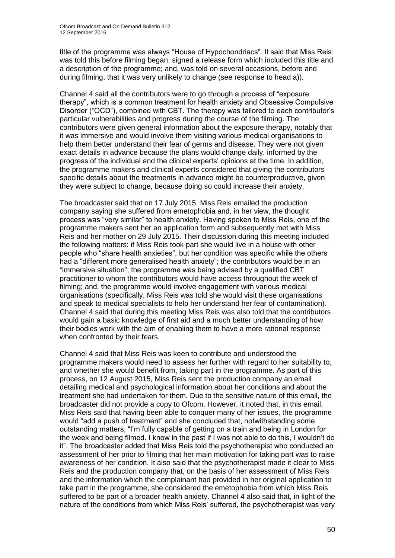title of the programme was always "House of Hypochondriacs". It said that Miss Reis: was told this before filming began; signed a release form which included this title and a description of the programme; and, was told on several occasions, before and during filming, that it was very unlikely to change (see response to head a)).

Channel 4 said all the contributors were to go through a process of "exposure therapy", which is a common treatment for health anxiety and Obsessive Compulsive Disorder ("OCD"), combined with CBT. The therapy was tailored to each contributor's particular vulnerabilities and progress during the course of the filming. The contributors were given general information about the exposure therapy, notably that it was immersive and would involve them visiting various medical organisations to help them better understand their fear of germs and disease. They were not given exact details in advance because the plans would change daily, informed by the progress of the individual and the clinical experts' opinions at the time. In addition, the programme makers and clinical experts considered that giving the contributors specific details about the treatments in advance might be counterproductive, given they were subject to change, because doing so could increase their anxiety.

The broadcaster said that on 17 July 2015, Miss Reis emailed the production company saying she suffered from emetophobia and, in her view, the thought process was "very similar" to health anxiety. Having spoken to Miss Reis, one of the programme makers sent her an application form and subsequently met with Miss Reis and her mother on 29 July 2015. Their discussion during this meeting included the following matters: if Miss Reis took part she would live in a house with other people who "share health anxieties", but her condition was specific while the others had a "different more generalised health anxiety"; the contributors would be in an "immersive situation"; the programme was being advised by a qualified CBT practitioner to whom the contributors would have access throughout the week of filming; and, the programme would involve engagement with various medical organisations (specifically, Miss Reis was told she would visit these organisations and speak to medical specialists to help her understand her fear of contamination). Channel 4 said that during this meeting Miss Reis was also told that the contributors would gain a basic knowledge of first aid and a much better understanding of how their bodies work with the aim of enabling them to have a more rational response when confronted by their fears.

Channel 4 said that Miss Reis was keen to contribute and understood the programme makers would need to assess her further with regard to her suitability to, and whether she would benefit from, taking part in the programme. As part of this process, on 12 August 2015, Miss Reis sent the production company an email detailing medical and psychological information about her conditions and about the treatment she had undertaken for them. Due to the sensitive nature of this email, the broadcaster did not provide a copy to Ofcom. However, it noted that, in this email, Miss Reis said that having been able to conquer many of her issues, the programme would "add a push of treatment" and she concluded that, notwithstanding some outstanding matters, "I'm fully capable of getting on a train and being in London for the week and being filmed. I know in the past if I was not able to do this, I wouldn't do it". The broadcaster added that Miss Reis told the psychotherapist who conducted an assessment of her prior to filming that her main motivation for taking part was to raise awareness of her condition. It also said that the psychotherapist made it clear to Miss Reis and the production company that, on the basis of her assessment of Miss Reis and the information which the complainant had provided in her original application to take part in the programme, she considered the emetophobia from which Miss Reis suffered to be part of a broader health anxiety. Channel 4 also said that, in light of the nature of the conditions from which Miss Reis' suffered, the psychotherapist was very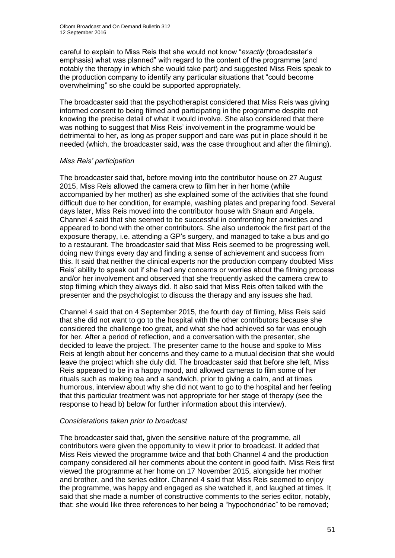careful to explain to Miss Reis that she would not know "*exactly* (broadcaster's emphasis) what was planned" with regard to the content of the programme (and notably the therapy in which she would take part) and suggested Miss Reis speak to the production company to identify any particular situations that "could become overwhelming" so she could be supported appropriately.

The broadcaster said that the psychotherapist considered that Miss Reis was giving informed consent to being filmed and participating in the programme despite not knowing the precise detail of what it would involve. She also considered that there was nothing to suggest that Miss Reis' involvement in the programme would be detrimental to her, as long as proper support and care was put in place should it be needed (which, the broadcaster said, was the case throughout and after the filming).

# *Miss Reis' participation*

The broadcaster said that, before moving into the contributor house on 27 August 2015, Miss Reis allowed the camera crew to film her in her home (while accompanied by her mother) as she explained some of the activities that she found difficult due to her condition, for example, washing plates and preparing food. Several days later, Miss Reis moved into the contributor house with Shaun and Angela. Channel 4 said that she seemed to be successful in confronting her anxieties and appeared to bond with the other contributors. She also undertook the first part of the exposure therapy, i.e. attending a GP's surgery, and managed to take a bus and go to a restaurant. The broadcaster said that Miss Reis seemed to be progressing well, doing new things every day and finding a sense of achievement and success from this. It said that neither the clinical experts nor the production company doubted Miss Reis' ability to speak out if she had any concerns or worries about the filming process and/or her involvement and observed that she frequently asked the camera crew to stop filming which they always did. It also said that Miss Reis often talked with the presenter and the psychologist to discuss the therapy and any issues she had.

Channel 4 said that on 4 September 2015, the fourth day of filming, Miss Reis said that she did not want to go to the hospital with the other contributors because she considered the challenge too great, and what she had achieved so far was enough for her. After a period of reflection, and a conversation with the presenter, she decided to leave the project. The presenter came to the house and spoke to Miss Reis at length about her concerns and they came to a mutual decision that she would leave the project which she duly did. The broadcaster said that before she left, Miss Reis appeared to be in a happy mood, and allowed cameras to film some of her rituals such as making tea and a sandwich, prior to giving a calm, and at times humorous, interview about why she did not want to go to the hospital and her feeling that this particular treatment was not appropriate for her stage of therapy (see the response to head b) below for further information about this interview).

# *Considerations taken prior to broadcast*

The broadcaster said that, given the sensitive nature of the programme, all contributors were given the opportunity to view it prior to broadcast. It added that Miss Reis viewed the programme twice and that both Channel 4 and the production company considered all her comments about the content in good faith. Miss Reis first viewed the programme at her home on 17 November 2015, alongside her mother and brother, and the series editor. Channel 4 said that Miss Reis seemed to enjoy the programme, was happy and engaged as she watched it, and laughed at times. It said that she made a number of constructive comments to the series editor, notably, that: she would like three references to her being a "hypochondriac" to be removed;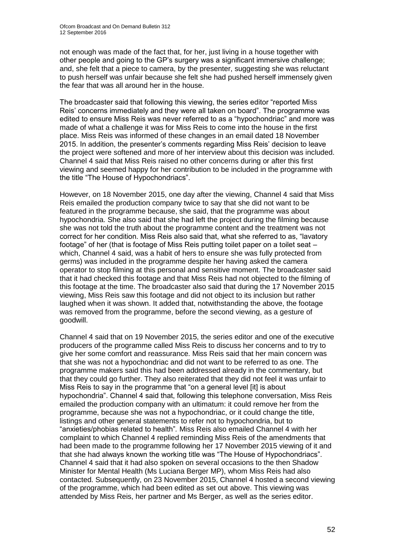not enough was made of the fact that, for her, just living in a house together with other people and going to the GP's surgery was a significant immersive challenge; and, she felt that a piece to camera, by the presenter, suggesting she was reluctant to push herself was unfair because she felt she had pushed herself immensely given the fear that was all around her in the house.

The broadcaster said that following this viewing, the series editor "reported Miss Reis' concerns immediately and they were all taken on board". The programme was edited to ensure Miss Reis was never referred to as a "hypochondriac" and more was made of what a challenge it was for Miss Reis to come into the house in the first place. Miss Reis was informed of these changes in an email dated 18 November 2015. In addition, the presenter's comments regarding Miss Reis' decision to leave the project were softened and more of her interview about this decision was included. Channel 4 said that Miss Reis raised no other concerns during or after this first viewing and seemed happy for her contribution to be included in the programme with the title "The House of Hypochondriacs".

However, on 18 November 2015, one day after the viewing, Channel 4 said that Miss Reis emailed the production company twice to say that she did not want to be featured in the programme because, she said, that the programme was about hypochondria. She also said that she had left the project during the filming because she was not told the truth about the programme content and the treatment was not correct for her condition. Miss Reis also said that, what she referred to as, "lavatory footage" of her (that is footage of Miss Reis putting toilet paper on a toilet seat – which, Channel 4 said, was a habit of hers to ensure she was fully protected from germs) was included in the programme despite her having asked the camera operator to stop filming at this personal and sensitive moment. The broadcaster said that it had checked this footage and that Miss Reis had not objected to the filming of this footage at the time. The broadcaster also said that during the 17 November 2015 viewing, Miss Reis saw this footage and did not object to its inclusion but rather laughed when it was shown. It added that, notwithstanding the above, the footage was removed from the programme, before the second viewing, as a gesture of goodwill.

Channel 4 said that on 19 November 2015, the series editor and one of the executive producers of the programme called Miss Reis to discuss her concerns and to try to give her some comfort and reassurance. Miss Reis said that her main concern was that she was not a hypochondriac and did not want to be referred to as one. The programme makers said this had been addressed already in the commentary, but that they could go further. They also reiterated that they did not feel it was unfair to Miss Reis to say in the programme that "on a general level [it] is about hypochondria". Channel 4 said that, following this telephone conversation, Miss Reis emailed the production company with an ultimatum: it could remove her from the programme, because she was not a hypochondriac, or it could change the title, listings and other general statements to refer not to hypochondria, but to "anxieties/phobias related to health"*.* Miss Reis also emailed Channel 4 with her complaint to which Channel 4 replied reminding Miss Reis of the amendments that had been made to the programme following her 17 November 2015 viewing of it and that she had always known the working title was "The House of Hypochondriacs". Channel 4 said that it had also spoken on several occasions to the then Shadow Minister for Mental Health (Ms Luciana Berger MP), whom Miss Reis had also contacted. Subsequently, on 23 November 2015, Channel 4 hosted a second viewing of the programme, which had been edited as set out above. This viewing was attended by Miss Reis, her partner and Ms Berger, as well as the series editor.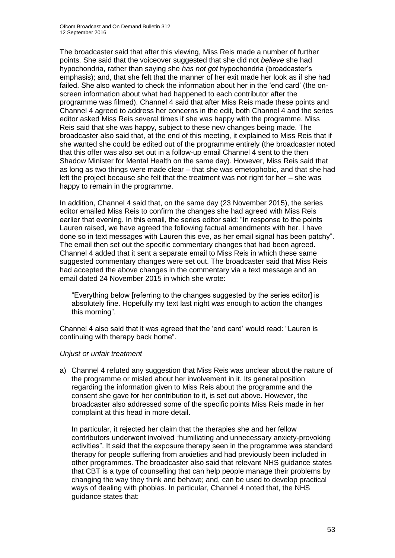The broadcaster said that after this viewing, Miss Reis made a number of further points. She said that the voiceover suggested that she did not *believe* she had hypochondria, rather than saying she *has not got* hypochondria (broadcaster's emphasis); and, that she felt that the manner of her exit made her look as if she had failed. She also wanted to check the information about her in the 'end card' (the onscreen information about what had happened to each contributor after the programme was filmed). Channel 4 said that after Miss Reis made these points and Channel 4 agreed to address her concerns in the edit, both Channel 4 and the series editor asked Miss Reis several times if she was happy with the programme. Miss Reis said that she was happy, subject to these new changes being made. The broadcaster also said that, at the end of this meeting, it explained to Miss Reis that if she wanted she could be edited out of the programme entirely (the broadcaster noted that this offer was also set out in a follow-up email Channel 4 sent to the then Shadow Minister for Mental Health on the same day). However, Miss Reis said that as long as two things were made clear – that she was emetophobic, and that she had left the project because she felt that the treatment was not right for her – she was happy to remain in the programme.

In addition, Channel 4 said that, on the same day (23 November 2015), the series editor emailed Miss Reis to confirm the changes she had agreed with Miss Reis earlier that evening. In this email, the series editor said: "In response to the points Lauren raised, we have agreed the following factual amendments with her. I have done so in text messages with Lauren this eve, as her email signal has been patchy". The email then set out the specific commentary changes that had been agreed. Channel 4 added that it sent a separate email to Miss Reis in which these same suggested commentary changes were set out. The broadcaster said that Miss Reis had accepted the above changes in the commentary via a text message and an email dated 24 November 2015 in which she wrote:

"Everything below [referring to the changes suggested by the series editor] is absolutely fine. Hopefully my text last night was enough to action the changes this morning".

Channel 4 also said that it was agreed that the 'end card' would read: "Lauren is continuing with therapy back home".

# *Unjust or unfair treatment*

a) Channel 4 refuted any suggestion that Miss Reis was unclear about the nature of the programme or misled about her involvement in it. Its general position regarding the information given to Miss Reis about the programme and the consent she gave for her contribution to it, is set out above. However, the broadcaster also addressed some of the specific points Miss Reis made in her complaint at this head in more detail.

In particular, it rejected her claim that the therapies she and her fellow contributors underwent involved "humiliating and unnecessary anxiety-provoking activities". It said that the exposure therapy seen in the programme was standard therapy for people suffering from anxieties and had previously been included in other programmes. The broadcaster also said that relevant NHS guidance states that CBT is a type of counselling that can help people manage their problems by changing the way they think and behave; and, can be used to develop practical ways of dealing with phobias. In particular, Channel 4 noted that, the NHS guidance states that: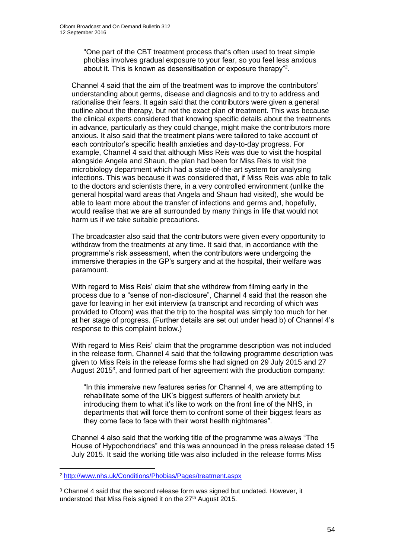"One part of the CBT treatment process that's often used to treat simple phobias involves gradual exposure to your fear, so you feel less anxious about it. This is known as desensitisation or exposure therapy"<sup>2</sup>.

Channel 4 said that the aim of the treatment was to improve the contributors' understanding about germs, disease and diagnosis and to try to address and rationalise their fears. It again said that the contributors were given a general outline about the therapy, but not the exact plan of treatment. This was because the clinical experts considered that knowing specific details about the treatments in advance, particularly as they could change, might make the contributors more anxious. It also said that the treatment plans were tailored to take account of each contributor's specific health anxieties and day-to-day progress. For example, Channel 4 said that although Miss Reis was due to visit the hospital alongside Angela and Shaun, the plan had been for Miss Reis to visit the microbiology department which had a state-of-the-art system for analysing infections. This was because it was considered that, if Miss Reis was able to talk to the doctors and scientists there, in a very controlled environment (unlike the general hospital ward areas that Angela and Shaun had visited), she would be able to learn more about the transfer of infections and germs and, hopefully, would realise that we are all surrounded by many things in life that would not harm us if we take suitable precautions.

The broadcaster also said that the contributors were given every opportunity to withdraw from the treatments at any time. It said that, in accordance with the programme's risk assessment, when the contributors were undergoing the immersive therapies in the GP's surgery and at the hospital, their welfare was paramount.

With regard to Miss Reis' claim that she withdrew from filming early in the process due to a "sense of non-disclosure", Channel 4 said that the reason she gave for leaving in her exit interview (a transcript and recording of which was provided to Ofcom) was that the trip to the hospital was simply too much for her at her stage of progress. (Further details are set out under head b) of Channel 4's response to this complaint below.)

With regard to Miss Reis' claim that the programme description was not included in the release form, Channel 4 said that the following programme description was given to Miss Reis in the release forms she had signed on 29 July 2015 and 27 August 2015<sup>3</sup>, and formed part of her agreement with the production company:

"In this immersive new features series for Channel 4, we are attempting to rehabilitate some of the UK's biggest sufferers of health anxiety but introducing them to what it's like to work on the front line of the NHS, in departments that will force them to confront some of their biggest fears as they come face to face with their worst health nightmares".

Channel 4 also said that the working title of the programme was always "The House of Hypochondriacs" and this was announced in the press release dated 15 July 2015. It said the working title was also included in the release forms Miss

1

<sup>2</sup> <http://www.nhs.uk/Conditions/Phobias/Pages/treatment.aspx>

<sup>3</sup> Channel 4 said that the second release form was signed but undated. However, it understood that Miss Reis signed it on the 27<sup>th</sup> August 2015.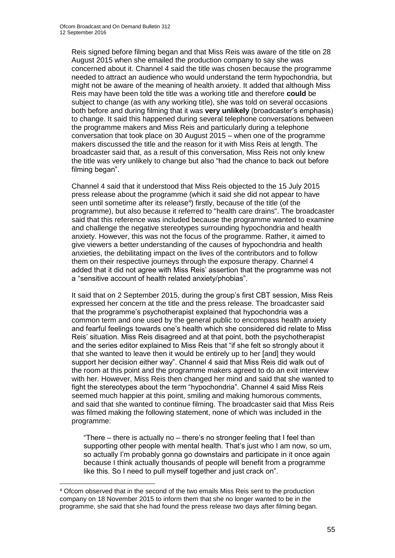Reis signed before filming began and that Miss Reis was aware of the title on 28 August 2015 when she emailed the production company to say she was concerned about it. Channel 4 said the title was chosen because the programme needed to attract an audience who would understand the term hypochondria, but might not be aware of the meaning of health anxiety. It added that although Miss Reis may have been told the title was a working title and therefore **could** be subject to change (as with any working title), she was told on several occasions both before and during filming that it was **very unlikely** (broadcaster's emphasis) to change. It said this happened during several telephone conversations between the programme makers and Miss Reis and particularly during a telephone conversation that took place on 30 August 2015 – when one of the programme makers discussed the title and the reason for it with Miss Reis at length. The broadcaster said that, as a result of this conversation, Miss Reis not only knew the title was very unlikely to change but also "had the chance to back out before filming began".

Channel 4 said that it understood that Miss Reis objected to the 15 July 2015 press release about the programme (which it said she did not appear to have seen until sometime after its release<sup>4</sup>) firstly, because of the title (of the programme), but also because it referred to "health care drains". The broadcaster said that this reference was included because the programme wanted to examine and challenge the negative stereotypes surrounding hypochondria and health anxiety. However, this was not the focus of the programme. Rather, it aimed to give viewers a better understanding of the causes of hypochondria and health anxieties, the debilitating impact on the lives of the contributors and to follow them on their respective journeys through the exposure therapy. Channel 4 added that it did not agree with Miss Reis' assertion that the programme was not a "sensitive account of health related anxiety/phobias".

It said that on 2 September 2015, during the group's first CBT session, Miss Reis expressed her concern at the title and the press release. The broadcaster said that the programme's psychotherapist explained that hypochondria was a common term and one used by the general public to encompass health anxiety and fearful feelings towards one's health which she considered did relate to Miss Reis' situation. Miss Reis disagreed and at that point, both the psychotherapist and the series editor explained to Miss Reis that "if she felt so strongly about it that she wanted to leave then it would be entirely up to her [and] they would support her decision either way". Channel 4 said that Miss Reis did walk out of the room at this point and the programme makers agreed to do an exit interview with her. However, Miss Reis then changed her mind and said that she wanted to fight the stereotypes about the term "hypochondria". Channel 4 said Miss Reis seemed much happier at this point, smiling and making humorous comments, and said that she wanted to continue filming. The broadcaster said that Miss Reis was filmed making the following statement, none of which was included in the programme:

"There – there is actually no – there's no stronger feeling that I feel than supporting other people with mental health. That's just who I am now, so um, so actually I'm probably gonna go downstairs and participate in it once again because I think actually thousands of people will benefit from a programme like this. So I need to pull myself together and just crack on".

1

<sup>4</sup> Ofcom observed that in the second of the two emails Miss Reis sent to the production company on 18 November 2015 to inform them that she no longer wanted to be in the programme, she said that she had found the press release two days after filming began.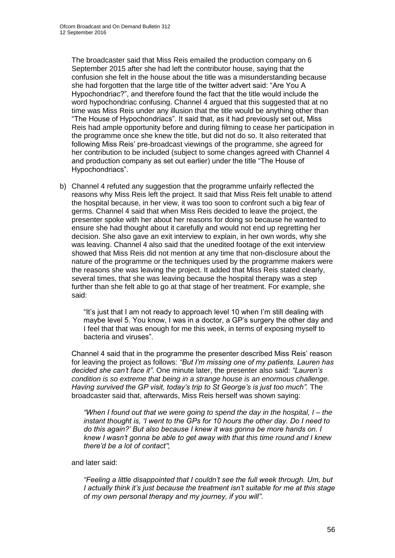The broadcaster said that Miss Reis emailed the production company on 6 September 2015 after she had left the contributor house, saying that the confusion she felt in the house about the title was a misunderstanding because she had forgotten that the large title of the twitter advert said: "Are You A Hypochondriac?", and therefore found the fact that the title would include the word hypochondriac confusing. Channel 4 argued that this suggested that at no time was Miss Reis under any illusion that the title would be anything other than "The House of Hypochondriacs". It said that, as it had previously set out, Miss Reis had ample opportunity before and during filming to cease her participation in the programme once she knew the title, but did not do so. It also reiterated that following Miss Reis' pre-broadcast viewings of the programme, she agreed for her contribution to be included (subject to some changes agreed with Channel 4 and production company as set out earlier) under the title "The House of Hypochondriacs".

b) Channel 4 refuted any suggestion that the programme unfairly reflected the reasons why Miss Reis left the project. It said that Miss Reis felt unable to attend the hospital because, in her view, it was too soon to confront such a big fear of germs. Channel 4 said that when Miss Reis decided to leave the project, the presenter spoke with her about her reasons for doing so because he wanted to ensure she had thought about it carefully and would not end up regretting her decision. She also gave an exit interview to explain, in her own words, why she was leaving. Channel 4 also said that the unedited footage of the exit interview showed that Miss Reis did not mention at any time that non-disclosure about the nature of the programme or the techniques used by the programme makers were the reasons she was leaving the project. It added that Miss Reis stated clearly, several times, that she was leaving because the hospital therapy was a step further than she felt able to go at that stage of her treatment. For example, she said:

"It's just that I am not ready to approach level 10 when I'm still dealing with maybe level 5. You know, I was in a doctor, a GP's surgery the other day and I feel that that was enough for me this week, in terms of exposing myself to bacteria and viruses".

Channel 4 said that in the programme the presenter described Miss Reis' reason for leaving the project as follows: *"But I'm missing one of my patients. Lauren has decided she can't face it"*. One minute later, the presenter also said: *"Lauren's condition is so extreme that being in a strange house is an enormous challenge. Having survived the GP visit, today's trip to St George's is just too much".* The broadcaster said that, afterwards, Miss Reis herself was shown saying:

*"When I found out that we were going to spend the day in the hospital, I – the instant thought is, 'I went to the GPs for 10 hours the other day. Do I need to do this again?' But also because I knew it was gonna be more hands on. I knew I wasn't gonna be able to get away with that this time round and I knew there'd be a lot of contact"*;

# and later said:

*"Feeling a little disappointed that I couldn't see the full week through. Um, but I actually think it's just because the treatment isn't suitable for me at this stage of my own personal therapy and my journey, if you will"*.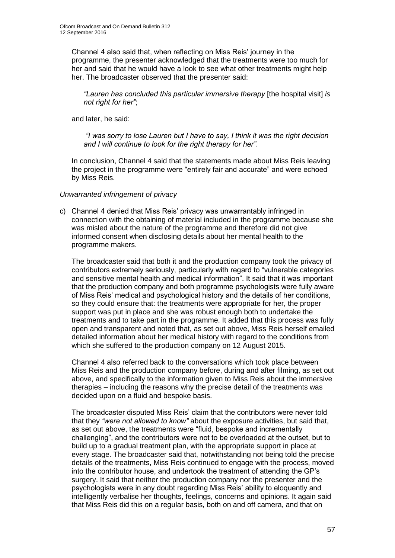Channel 4 also said that, when reflecting on Miss Reis' journey in the programme, the presenter acknowledged that the treatments were too much for her and said that he would have a look to see what other treatments might help her. The broadcaster observed that the presenter said:

*"Lauren has concluded this particular immersive therapy* [the hospital visit] *is not right for her"*;

and later, he said:

*"I was sorry to lose Lauren but I have to say, I think it was the right decision and I will continue to look for the right therapy for her"*.

In conclusion, Channel 4 said that the statements made about Miss Reis leaving the project in the programme were "entirely fair and accurate" and were echoed by Miss Reis.

#### *Unwarranted infringement of privacy*

c) Channel 4 denied that Miss Reis' privacy was unwarrantably infringed in connection with the obtaining of material included in the programme because she was misled about the nature of the programme and therefore did not give informed consent when disclosing details about her mental health to the programme makers.

The broadcaster said that both it and the production company took the privacy of contributors extremely seriously, particularly with regard to "vulnerable categories and sensitive mental health and medical information". It said that it was important that the production company and both programme psychologists were fully aware of Miss Reis' medical and psychological history and the details of her conditions, so they could ensure that: the treatments were appropriate for her, the proper support was put in place and she was robust enough both to undertake the treatments and to take part in the programme. It added that this process was fully open and transparent and noted that, as set out above, Miss Reis herself emailed detailed information about her medical history with regard to the conditions from which she suffered to the production company on 12 August 2015.

Channel 4 also referred back to the conversations which took place between Miss Reis and the production company before, during and after filming, as set out above, and specifically to the information given to Miss Reis about the immersive therapies – including the reasons why the precise detail of the treatments was decided upon on a fluid and bespoke basis.

The broadcaster disputed Miss Reis' claim that the contributors were never told that they *"were not allowed to know"* about the exposure activities, but said that, as set out above, the treatments were "fluid, bespoke and incrementally challenging", and the contributors were not to be overloaded at the outset, but to build up to a gradual treatment plan, with the appropriate support in place at every stage. The broadcaster said that, notwithstanding not being told the precise details of the treatments, Miss Reis continued to engage with the process, moved into the contributor house, and undertook the treatment of attending the GP's surgery. It said that neither the production company nor the presenter and the psychologists were in any doubt regarding Miss Reis' ability to eloquently and intelligently verbalise her thoughts, feelings, concerns and opinions. It again said that Miss Reis did this on a regular basis, both on and off camera, and that on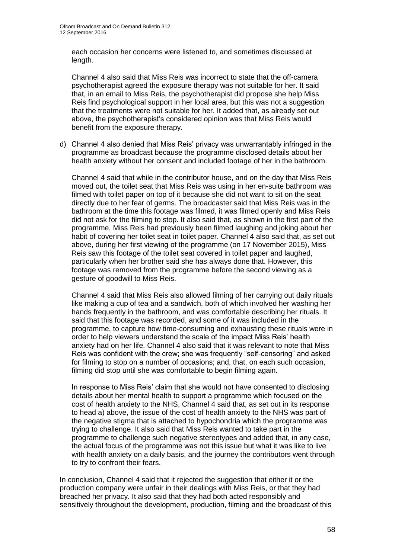each occasion her concerns were listened to, and sometimes discussed at length.

Channel 4 also said that Miss Reis was incorrect to state that the off-camera psychotherapist agreed the exposure therapy was not suitable for her. It said that, in an email to Miss Reis, the psychotherapist did propose she help Miss Reis find psychological support in her local area, but this was not a suggestion that the treatments were not suitable for her. It added that, as already set out above, the psychotherapist's considered opinion was that Miss Reis would benefit from the exposure therapy.

d) Channel 4 also denied that Miss Reis' privacy was unwarrantably infringed in the programme as broadcast because the programme disclosed details about her health anxiety without her consent and included footage of her in the bathroom.

Channel 4 said that while in the contributor house, and on the day that Miss Reis moved out, the toilet seat that Miss Reis was using in her en-suite bathroom was filmed with toilet paper on top of it because she did not want to sit on the seat directly due to her fear of germs. The broadcaster said that Miss Reis was in the bathroom at the time this footage was filmed, it was filmed openly and Miss Reis did not ask for the filming to stop. It also said that, as shown in the first part of the programme, Miss Reis had previously been filmed laughing and joking about her habit of covering her toilet seat in toilet paper. Channel 4 also said that, as set out above, during her first viewing of the programme (on 17 November 2015), Miss Reis saw this footage of the toilet seat covered in toilet paper and laughed, particularly when her brother said she has always done that. However, this footage was removed from the programme before the second viewing as a gesture of goodwill to Miss Reis.

Channel 4 said that Miss Reis also allowed filming of her carrying out daily rituals like making a cup of tea and a sandwich, both of which involved her washing her hands frequently in the bathroom, and was comfortable describing her rituals. It said that this footage was recorded, and some of it was included in the programme, to capture how time-consuming and exhausting these rituals were in order to help viewers understand the scale of the impact Miss Reis' health anxiety had on her life. Channel 4 also said that it was relevant to note that Miss Reis was confident with the crew; she was frequently "self-censoring" and asked for filming to stop on a number of occasions; and, that, on each such occasion, filming did stop until she was comfortable to begin filming again.

In response to Miss Reis' claim that she would not have consented to disclosing details about her mental health to support a programme which focused on the cost of health anxiety to the NHS, Channel 4 said that, as set out in its response to head a) above, the issue of the cost of health anxiety to the NHS was part of the negative stigma that is attached to hypochondria which the programme was trying to challenge. It also said that Miss Reis wanted to take part in the programme to challenge such negative stereotypes and added that, in any case, the actual focus of the programme was not this issue but what it was like to live with health anxiety on a daily basis, and the journey the contributors went through to try to confront their fears.

In conclusion, Channel 4 said that it rejected the suggestion that either it or the production company were unfair in their dealings with Miss Reis, or that they had breached her privacy. It also said that they had both acted responsibly and sensitively throughout the development, production, filming and the broadcast of this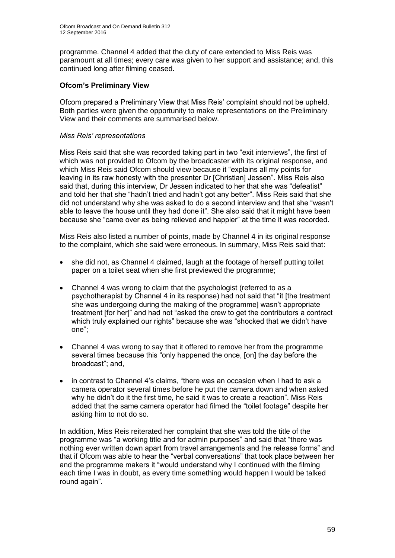programme. Channel 4 added that the duty of care extended to Miss Reis was paramount at all times; every care was given to her support and assistance; and, this continued long after filming ceased.

# **Ofcom's Preliminary View**

Ofcom prepared a Preliminary View that Miss Reis' complaint should not be upheld. Both parties were given the opportunity to make representations on the Preliminary View and their comments are summarised below.

# *Miss Reis' representations*

Miss Reis said that she was recorded taking part in two "exit interviews", the first of which was not provided to Ofcom by the broadcaster with its original response, and which Miss Reis said Ofcom should view because it "explains all my points for leaving in its raw honesty with the presenter Dr [Christian] Jessen". Miss Reis also said that, during this interview, Dr Jessen indicated to her that she was "defeatist" and told her that she "hadn't tried and hadn't got any better". Miss Reis said that she did not understand why she was asked to do a second interview and that she "wasn't able to leave the house until they had done it". She also said that it might have been because she "came over as being relieved and happier" at the time it was recorded.

Miss Reis also listed a number of points, made by Channel 4 in its original response to the complaint, which she said were erroneous. In summary, Miss Reis said that:

- she did not, as Channel 4 claimed, laugh at the footage of herself putting toilet paper on a toilet seat when she first previewed the programme;
- Channel 4 was wrong to claim that the psychologist (referred to as a psychotherapist by Channel 4 in its response) had not said that "it [the treatment she was undergoing during the making of the programme] wasn't appropriate treatment [for her]" and had not "asked the crew to get the contributors a contract which truly explained our rights" because she was "shocked that we didn't have one";
- Channel 4 was wrong to say that it offered to remove her from the programme several times because this "only happened the once, [on] the day before the broadcast"; and,
- in contrast to Channel 4's claims, "there was an occasion when I had to ask a camera operator several times before he put the camera down and when asked why he didn't do it the first time, he said it was to create a reaction". Miss Reis added that the same camera operator had filmed the "toilet footage" despite her asking him to not do so.

In addition, Miss Reis reiterated her complaint that she was told the title of the programme was "a working title and for admin purposes" and said that "there was nothing ever written down apart from travel arrangements and the release forms" and that if Ofcom was able to hear the "verbal conversations" that took place between her and the programme makers it "would understand why I continued with the filming each time I was in doubt, as every time something would happen I would be talked round again".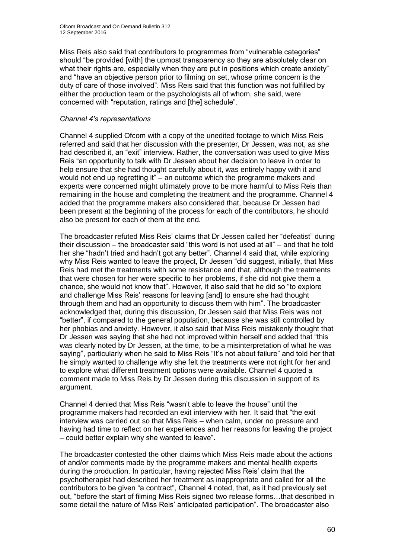Miss Reis also said that contributors to programmes from "vulnerable categories" should "be provided [with] the upmost transparency so they are absolutely clear on what their rights are, especially when they are put in positions which create anxiety" and "have an objective person prior to filming on set, whose prime concern is the duty of care of those involved". Miss Reis said that this function was not fulfilled by either the production team or the psychologists all of whom, she said, were concerned with "reputation, ratings and [the] schedule".

#### *Channel 4's representations*

Channel 4 supplied Ofcom with a copy of the unedited footage to which Miss Reis referred and said that her discussion with the presenter, Dr Jessen, was not, as she had described it, an "exit" interview. Rather, the conversation was used to give Miss Reis "an opportunity to talk with Dr Jessen about her decision to leave in order to help ensure that she had thought carefully about it, was entirely happy with it and would not end up regretting it" – an outcome which the programme makers and experts were concerned might ultimately prove to be more harmful to Miss Reis than remaining in the house and completing the treatment and the programme. Channel 4 added that the programme makers also considered that, because Dr Jessen had been present at the beginning of the process for each of the contributors, he should also be present for each of them at the end.

The broadcaster refuted Miss Reis' claims that Dr Jessen called her "defeatist" during their discussion – the broadcaster said "this word is not used at all" – and that he told her she "hadn't tried and hadn't got any better". Channel 4 said that, while exploring why Miss Reis wanted to leave the project, Dr Jessen "did suggest, initially, that Miss Reis had met the treatments with some resistance and that, although the treatments that were chosen for her were specific to her problems, if she did not give them a chance, she would not know that". However, it also said that he did so "to explore and challenge Miss Reis' reasons for leaving [and] to ensure she had thought through them and had an opportunity to discuss them with him". The broadcaster acknowledged that, during this discussion, Dr Jessen said that Miss Reis was not "better", if compared to the general population, because she was still controlled by her phobias and anxiety. However, it also said that Miss Reis mistakenly thought that Dr Jessen was saying that she had not improved within herself and added that "this was clearly noted by Dr Jessen, at the time, to be a misinterpretation of what he was saying", particularly when he said to Miss Reis "It's not about failure" and told her that he simply wanted to challenge why she felt the treatments were not right for her and to explore what different treatment options were available. Channel 4 quoted a comment made to Miss Reis by Dr Jessen during this discussion in support of its argument.

Channel 4 denied that Miss Reis "wasn't able to leave the house" until the programme makers had recorded an exit interview with her. It said that "the exit interview was carried out so that Miss Reis – when calm, under no pressure and having had time to reflect on her experiences and her reasons for leaving the project – could better explain why she wanted to leave".

The broadcaster contested the other claims which Miss Reis made about the actions of and/or comments made by the programme makers and mental health experts during the production. In particular, having rejected Miss Reis' claim that the psychotherapist had described her treatment as inappropriate and called for all the contributors to be given "a contract", Channel 4 noted, that, as it had previously set out, "before the start of filming Miss Reis signed two release forms…that described in some detail the nature of Miss Reis' anticipated participation". The broadcaster also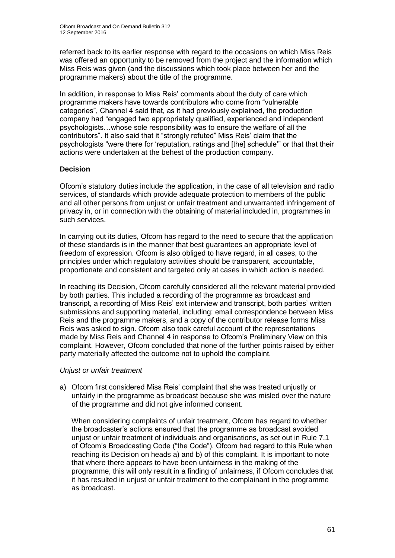referred back to its earlier response with regard to the occasions on which Miss Reis was offered an opportunity to be removed from the project and the information which Miss Reis was given (and the discussions which took place between her and the programme makers) about the title of the programme.

In addition, in response to Miss Reis' comments about the duty of care which programme makers have towards contributors who come from "vulnerable categories", Channel 4 said that, as it had previously explained, the production company had "engaged two appropriately qualified, experienced and independent psychologists…whose sole responsibility was to ensure the welfare of all the contributors". It also said that it "strongly refuted" Miss Reis' claim that the psychologists "were there for 'reputation, ratings and [the] schedule'" or that that their actions were undertaken at the behest of the production company.

# **Decision**

Ofcom's statutory duties include the application, in the case of all television and radio services, of standards which provide adequate protection to members of the public and all other persons from unjust or unfair treatment and unwarranted infringement of privacy in, or in connection with the obtaining of material included in, programmes in such services.

In carrying out its duties, Ofcom has regard to the need to secure that the application of these standards is in the manner that best guarantees an appropriate level of freedom of expression. Ofcom is also obliged to have regard, in all cases, to the principles under which regulatory activities should be transparent, accountable, proportionate and consistent and targeted only at cases in which action is needed.

In reaching its Decision, Ofcom carefully considered all the relevant material provided by both parties. This included a recording of the programme as broadcast and transcript, a recording of Miss Reis' exit interview and transcript, both parties' written submissions and supporting material, including: email correspondence between Miss Reis and the programme makers, and a copy of the contributor release forms Miss Reis was asked to sign. Ofcom also took careful account of the representations made by Miss Reis and Channel 4 in response to Ofcom's Preliminary View on this complaint. However, Ofcom concluded that none of the further points raised by either party materially affected the outcome not to uphold the complaint.

# *Unjust or unfair treatment*

a) Ofcom first considered Miss Reis' complaint that she was treated unjustly or unfairly in the programme as broadcast because she was misled over the nature of the programme and did not give informed consent.

When considering complaints of unfair treatment, Ofcom has regard to whether the broadcaster's actions ensured that the programme as broadcast avoided unjust or unfair treatment of individuals and organisations, as set out in Rule 7.1 of Ofcom's Broadcasting Code ("the Code"). Ofcom had regard to this Rule when reaching its Decision on heads a) and b) of this complaint. It is important to note that where there appears to have been unfairness in the making of the programme, this will only result in a finding of unfairness, if Ofcom concludes that it has resulted in unjust or unfair treatment to the complainant in the programme as broadcast.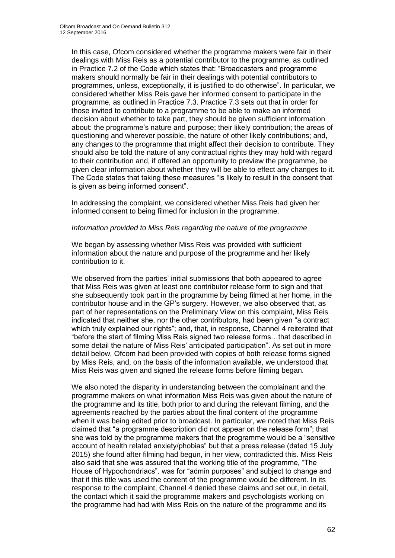In this case, Ofcom considered whether the programme makers were fair in their dealings with Miss Reis as a potential contributor to the programme, as outlined in Practice 7.2 of the Code which states that: "Broadcasters and programme makers should normally be fair in their dealings with potential contributors to programmes, unless, exceptionally, it is justified to do otherwise". In particular, we considered whether Miss Reis gave her informed consent to participate in the programme, as outlined in Practice 7.3. Practice 7.3 sets out that in order for those invited to contribute to a programme to be able to make an informed decision about whether to take part, they should be given sufficient information about: the programme's nature and purpose; their likely contribution; the areas of questioning and wherever possible, the nature of other likely contributions; and, any changes to the programme that might affect their decision to contribute. They should also be told the nature of any contractual rights they may hold with regard to their contribution and, if offered an opportunity to preview the programme, be given clear information about whether they will be able to effect any changes to it. The Code states that taking these measures "is likely to result in the consent that is given as being informed consent".

In addressing the complaint, we considered whether Miss Reis had given her informed consent to being filmed for inclusion in the programme.

#### *Information provided to Miss Reis regarding the nature of the programme*

We began by assessing whether Miss Reis was provided with sufficient information about the nature and purpose of the programme and her likely contribution to it.

We observed from the parties' initial submissions that both appeared to agree that Miss Reis was given at least one contributor release form to sign and that she subsequently took part in the programme by being filmed at her home, in the contributor house and in the GP's surgery. However, we also observed that, as part of her representations on the Preliminary View on this complaint, Miss Reis indicated that neither she, nor the other contributors, had been given "a contract which truly explained our rights"; and, that, in response, Channel 4 reiterated that "before the start of filming Miss Reis signed two release forms…that described in some detail the nature of Miss Reis' anticipated participation". As set out in more detail below, Ofcom had been provided with copies of both release forms signed by Miss Reis, and, on the basis of the information available, we understood that Miss Reis was given and signed the release forms before filming began.

We also noted the disparity in understanding between the complainant and the programme makers on what information Miss Reis was given about the nature of the programme and its title, both prior to and during the relevant filming, and the agreements reached by the parties about the final content of the programme when it was being edited prior to broadcast. In particular, we noted that Miss Reis claimed that "a programme description did not appear on the release form"; that she was told by the programme makers that the programme would be a "sensitive account of health related anxiety/phobias" but that a press release (dated 15 July 2015) she found after filming had begun, in her view, contradicted this. Miss Reis also said that she was assured that the working title of the programme, "The House of Hypochondriacs"*,* was for "admin purposes" and subject to change and that if this title was used the content of the programme would be different. In its response to the complaint, Channel 4 denied these claims and set out, in detail, the contact which it said the programme makers and psychologists working on the programme had had with Miss Reis on the nature of the programme and its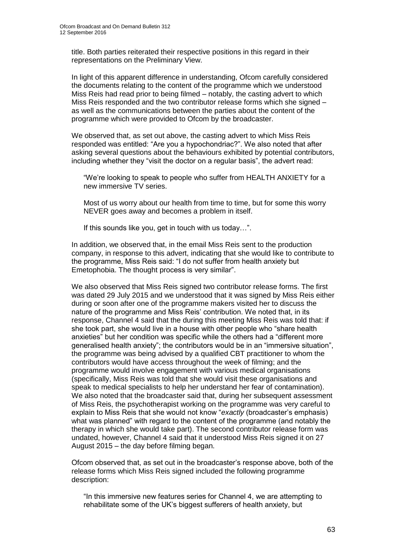title. Both parties reiterated their respective positions in this regard in their representations on the Preliminary View.

In light of this apparent difference in understanding, Ofcom carefully considered the documents relating to the content of the programme which we understood Miss Reis had read prior to being filmed – notably, the casting advert to which Miss Reis responded and the two contributor release forms which she signed – as well as the communications between the parties about the content of the programme which were provided to Ofcom by the broadcaster.

We observed that, as set out above, the casting advert to which Miss Reis responded was entitled: "Are you a hypochondriac?". We also noted that after asking several questions about the behaviours exhibited by potential contributors, including whether they "visit the doctor on a regular basis", the advert read:

"We're looking to speak to people who suffer from HEALTH ANXIETY for a new immersive TV series.

Most of us worry about our health from time to time, but for some this worry NEVER goes away and becomes a problem in itself.

If this sounds like you, get in touch with us today…".

In addition, we observed that, in the email Miss Reis sent to the production company, in response to this advert, indicating that she would like to contribute to the programme, Miss Reis said: "I do not suffer from health anxiety but Emetophobia. The thought process is very similar".

We also observed that Miss Reis signed two contributor release forms. The first was dated 29 July 2015 and we understood that it was signed by Miss Reis either during or soon after one of the programme makers visited her to discuss the nature of the programme and Miss Reis' contribution. We noted that, in its response, Channel 4 said that the during this meeting Miss Reis was told that: if she took part, she would live in a house with other people who "share health anxieties" but her condition was specific while the others had a "different more generalised health anxiety"; the contributors would be in an "immersive situation", the programme was being advised by a qualified CBT practitioner to whom the contributors would have access throughout the week of filming; and the programme would involve engagement with various medical organisations (specifically, Miss Reis was told that she would visit these organisations and speak to medical specialists to help her understand her fear of contamination). We also noted that the broadcaster said that, during her subsequent assessment of Miss Reis, the psychotherapist working on the programme was very careful to explain to Miss Reis that she would not know "*exactly* (broadcaster's emphasis) what was planned" with regard to the content of the programme (and notably the therapy in which she would take part). The second contributor release form was undated, however, Channel 4 said that it understood Miss Reis signed it on 27 August 2015 – the day before filming began.

Ofcom observed that, as set out in the broadcaster's response above, both of the release forms which Miss Reis signed included the following programme description:

"In this immersive new features series for Channel 4, we are attempting to rehabilitate some of the UK's biggest sufferers of health anxiety, but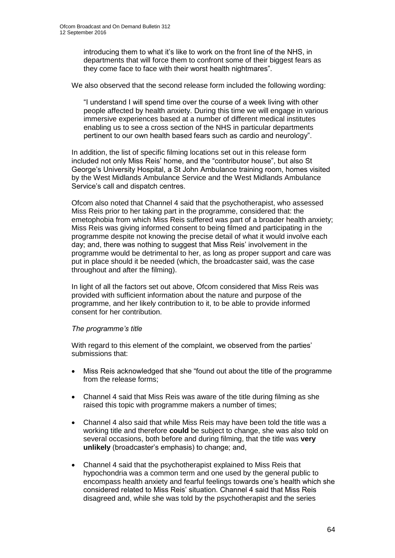introducing them to what it's like to work on the front line of the NHS, in departments that will force them to confront some of their biggest fears as they come face to face with their worst health nightmares".

We also observed that the second release form included the following wording:

"I understand I will spend time over the course of a week living with other people affected by health anxiety. During this time we will engage in various immersive experiences based at a number of different medical institutes enabling us to see a cross section of the NHS in particular departments pertinent to our own health based fears such as cardio and neurology".

In addition, the list of specific filming locations set out in this release form included not only Miss Reis' home, and the "contributor house", but also St George's University Hospital, a St John Ambulance training room, homes visited by the West Midlands Ambulance Service and the West Midlands Ambulance Service's call and dispatch centres.

Ofcom also noted that Channel 4 said that the psychotherapist, who assessed Miss Reis prior to her taking part in the programme, considered that: the emetophobia from which Miss Reis suffered was part of a broader health anxiety; Miss Reis was giving informed consent to being filmed and participating in the programme despite not knowing the precise detail of what it would involve each day; and, there was nothing to suggest that Miss Reis' involvement in the programme would be detrimental to her, as long as proper support and care was put in place should it be needed (which, the broadcaster said, was the case throughout and after the filming).

In light of all the factors set out above, Ofcom considered that Miss Reis was provided with sufficient information about the nature and purpose of the programme, and her likely contribution to it, to be able to provide informed consent for her contribution.

# *The programme's title*

With regard to this element of the complaint, we observed from the parties' submissions that:

- Miss Reis acknowledged that she "found out about the title of the programme from the release forms;
- Channel 4 said that Miss Reis was aware of the title during filming as she raised this topic with programme makers a number of times;
- Channel 4 also said that while Miss Reis may have been told the title was a working title and therefore **could** be subject to change, she was also told on several occasions, both before and during filming, that the title was **very unlikely** (broadcaster's emphasis) to change; and,
- Channel 4 said that the psychotherapist explained to Miss Reis that hypochondria was a common term and one used by the general public to encompass health anxiety and fearful feelings towards one's health which she considered related to Miss Reis' situation. Channel 4 said that Miss Reis disagreed and, while she was told by the psychotherapist and the series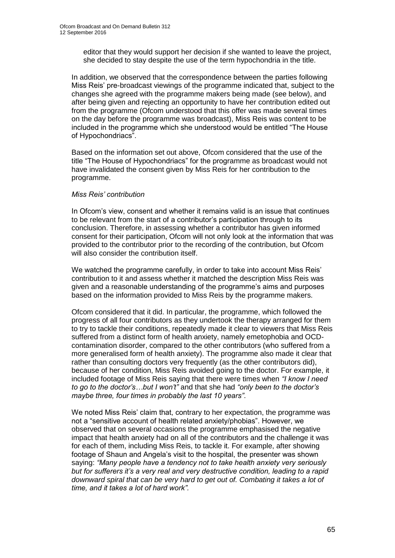editor that they would support her decision if she wanted to leave the project, she decided to stay despite the use of the term hypochondria in the title.

In addition, we observed that the correspondence between the parties following Miss Reis' pre-broadcast viewings of the programme indicated that, subject to the changes she agreed with the programme makers being made (see below), and after being given and rejecting an opportunity to have her contribution edited out from the programme (Ofcom understood that this offer was made several times on the day before the programme was broadcast), Miss Reis was content to be included in the programme which she understood would be entitled "The House of Hypochondriacs".

Based on the information set out above, Ofcom considered that the use of the title "The House of Hypochondriacs" for the programme as broadcast would not have invalidated the consent given by Miss Reis for her contribution to the programme.

#### *Miss Reis' contribution*

In Ofcom's view, consent and whether it remains valid is an issue that continues to be relevant from the start of a contributor's participation through to its conclusion. Therefore, in assessing whether a contributor has given informed consent for their participation, Ofcom will not only look at the information that was provided to the contributor prior to the recording of the contribution, but Ofcom will also consider the contribution itself.

We watched the programme carefully, in order to take into account Miss Reis' contribution to it and assess whether it matched the description Miss Reis was given and a reasonable understanding of the programme's aims and purposes based on the information provided to Miss Reis by the programme makers.

Ofcom considered that it did. In particular, the programme, which followed the progress of all four contributors as they undertook the therapy arranged for them to try to tackle their conditions, repeatedly made it clear to viewers that Miss Reis suffered from a distinct form of health anxiety, namely emetophobia and OCDcontamination disorder, compared to the other contributors (who suffered from a more generalised form of health anxiety). The programme also made it clear that rather than consulting doctors very frequently (as the other contributors did), because of her condition, Miss Reis avoided going to the doctor. For example, it included footage of Miss Reis saying that there were times when *"I know I need to go to the doctor's…but I won't"* and that she had *"only been to the doctor's maybe three, four times in probably the last 10 years"*.

We noted Miss Reis' claim that, contrary to her expectation, the programme was not a "sensitive account of health related anxiety/phobias". However, we observed that on several occasions the programme emphasised the negative impact that health anxiety had on all of the contributors and the challenge it was for each of them, including Miss Reis, to tackle it. For example, after showing footage of Shaun and Angela's visit to the hospital, the presenter was shown saying: *"Many people have a tendency not to take health anxiety very seriously but for sufferers it's a very real and very destructive condition, leading to a rapid downward spiral that can be very hard to get out of. Combating it takes a lot of time, and it takes a lot of hard work".*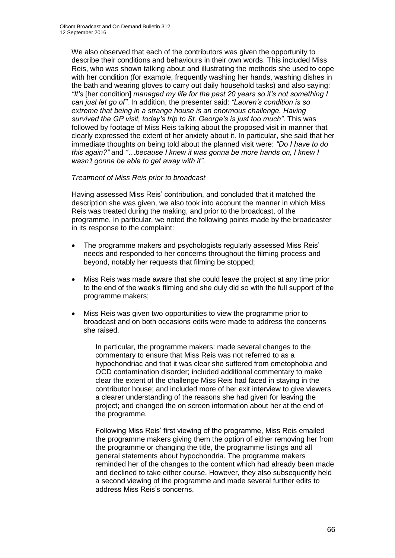We also observed that each of the contributors was given the opportunity to describe their conditions and behaviours in their own words. This included Miss Reis, who was shown talking about and illustrating the methods she used to cope with her condition (for example, frequently washing her hands, washing dishes in the bath and wearing gloves to carry out daily household tasks) and also saying: *"It's* [her condition] *managed my life for the past 20 years so it's not something I can just let go of"*. In addition, the presenter said: *"Lauren's condition is so extreme that being in a strange house is an enormous challenge. Having survived the GP visit, today's trip to St. George's is just too much"*. This was followed by footage of Miss Reis talking about the proposed visit in manner that clearly expressed the extent of her anxiety about it. In particular, she said that her immediate thoughts on being told about the planned visit were: *"Do I have to do this again?"* and *"…because I knew it was gonna be more hands on, I knew I wasn't gonna be able to get away with it"*.

# *Treatment of Miss Reis prior to broadcast*

Having assessed Miss Reis' contribution, and concluded that it matched the description she was given, we also took into account the manner in which Miss Reis was treated during the making, and prior to the broadcast, of the programme. In particular, we noted the following points made by the broadcaster in its response to the complaint:

- The programme makers and psychologists regularly assessed Miss Reis' needs and responded to her concerns throughout the filming process and beyond, notably her requests that filming be stopped;
- Miss Reis was made aware that she could leave the project at any time prior to the end of the week's filming and she duly did so with the full support of the programme makers;
- Miss Reis was given two opportunities to view the programme prior to broadcast and on both occasions edits were made to address the concerns she raised.

In particular, the programme makers: made several changes to the commentary to ensure that Miss Reis was not referred to as a hypochondriac and that it was clear she suffered from emetophobia and OCD contamination disorder; included additional commentary to make clear the extent of the challenge Miss Reis had faced in staying in the contributor house; and included more of her exit interview to give viewers a clearer understanding of the reasons she had given for leaving the project; and changed the on screen information about her at the end of the programme.

Following Miss Reis' first viewing of the programme, Miss Reis emailed the programme makers giving them the option of either removing her from the programme or changing the title, the programme listings and all general statements about hypochondria. The programme makers reminded her of the changes to the content which had already been made and declined to take either course. However, they also subsequently held a second viewing of the programme and made several further edits to address Miss Reis's concerns.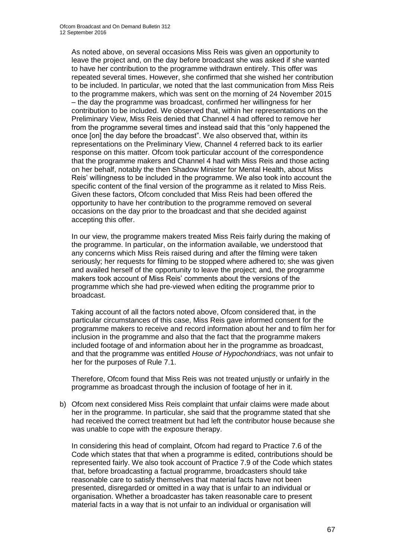As noted above, on several occasions Miss Reis was given an opportunity to leave the project and, on the day before broadcast she was asked if she wanted to have her contribution to the programme withdrawn entirely. This offer was repeated several times. However, she confirmed that she wished her contribution to be included. In particular, we noted that the last communication from Miss Reis to the programme makers, which was sent on the morning of 24 November 2015 – the day the programme was broadcast, confirmed her willingness for her contribution to be included. We observed that, within her representations on the Preliminary View, Miss Reis denied that Channel 4 had offered to remove her from the programme several times and instead said that this "only happened the once [on] the day before the broadcast". We also observed that, within its representations on the Preliminary View, Channel 4 referred back to its earlier response on this matter. Ofcom took particular account of the correspondence that the programme makers and Channel 4 had with Miss Reis and those acting on her behalf, notably the then Shadow Minister for Mental Health, about Miss Reis' willingness to be included in the programme. We also took into account the specific content of the final version of the programme as it related to Miss Reis. Given these factors, Ofcom concluded that Miss Reis had been offered the opportunity to have her contribution to the programme removed on several occasions on the day prior to the broadcast and that she decided against accepting this offer.

In our view, the programme makers treated Miss Reis fairly during the making of the programme. In particular, on the information available, we understood that any concerns which Miss Reis raised during and after the filming were taken seriously; her requests for filming to be stopped where adhered to; she was given and availed herself of the opportunity to leave the project; and, the programme makers took account of Miss Reis' comments about the versions of the programme which she had pre-viewed when editing the programme prior to broadcast.

Taking account of all the factors noted above, Ofcom considered that, in the particular circumstances of this case, Miss Reis gave informed consent for the programme makers to receive and record information about her and to film her for inclusion in the programme and also that the fact that the programme makers included footage of and information about her in the programme as broadcast, and that the programme was entitled *House of Hypochondriacs*, was not unfair to her for the purposes of Rule 7.1.

Therefore, Ofcom found that Miss Reis was not treated unjustly or unfairly in the programme as broadcast through the inclusion of footage of her in it.

b) Ofcom next considered Miss Reis complaint that unfair claims were made about her in the programme. In particular, she said that the programme stated that she had received the correct treatment but had left the contributor house because she was unable to cope with the exposure therapy.

In considering this head of complaint, Ofcom had regard to Practice 7.6 of the Code which states that that when a programme is edited, contributions should be represented fairly. We also took account of Practice 7.9 of the Code which states that, before broadcasting a factual programme, broadcasters should take reasonable care to satisfy themselves that material facts have not been presented, disregarded or omitted in a way that is unfair to an individual or organisation. Whether a broadcaster has taken reasonable care to present material facts in a way that is not unfair to an individual or organisation will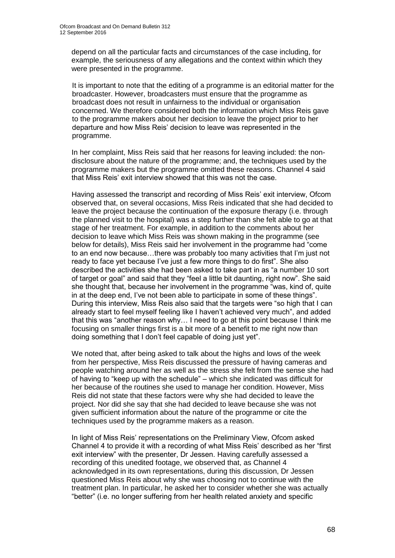depend on all the particular facts and circumstances of the case including, for example, the seriousness of any allegations and the context within which they were presented in the programme.

It is important to note that the editing of a programme is an editorial matter for the broadcaster. However, broadcasters must ensure that the programme as broadcast does not result in unfairness to the individual or organisation concerned. We therefore considered both the information which Miss Reis gave to the programme makers about her decision to leave the project prior to her departure and how Miss Reis' decision to leave was represented in the programme.

In her complaint, Miss Reis said that her reasons for leaving included: the nondisclosure about the nature of the programme; and, the techniques used by the programme makers but the programme omitted these reasons. Channel 4 said that Miss Reis' exit interview showed that this was not the case.

Having assessed the transcript and recording of Miss Reis' exit interview, Ofcom observed that, on several occasions, Miss Reis indicated that she had decided to leave the project because the continuation of the exposure therapy (i.e. through the planned visit to the hospital) was a step further than she felt able to go at that stage of her treatment. For example, in addition to the comments about her decision to leave which Miss Reis was shown making in the programme (see below for details), Miss Reis said her involvement in the programme had "come to an end now because…there was probably too many activities that I'm just not ready to face yet because I've just a few more things to do first". She also described the activities she had been asked to take part in as "a number 10 sort of target or goal" and said that they "feel a little bit daunting, right now". She said she thought that, because her involvement in the programme "was, kind of, quite in at the deep end, I've not been able to participate in some of these things". During this interview, Miss Reis also said that the targets were "so high that I can already start to feel myself feeling like I haven't achieved very much", and added that this was "another reason why… I need to go at this point because I think me focusing on smaller things first is a bit more of a benefit to me right now than doing something that I don't feel capable of doing just yet".

We noted that, after being asked to talk about the highs and lows of the week from her perspective, Miss Reis discussed the pressure of having cameras and people watching around her as well as the stress she felt from the sense she had of having to "keep up with the schedule" – which she indicated was difficult for her because of the routines she used to manage her condition. However, Miss Reis did not state that these factors were why she had decided to leave the project. Nor did she say that she had decided to leave because she was not given sufficient information about the nature of the programme or cite the techniques used by the programme makers as a reason.

In light of Miss Reis' representations on the Preliminary View, Ofcom asked Channel 4 to provide it with a recording of what Miss Reis' described as her "first exit interview" with the presenter, Dr Jessen. Having carefully assessed a recording of this unedited footage, we observed that, as Channel 4 acknowledged in its own representations, during this discussion, Dr Jessen questioned Miss Reis about why she was choosing not to continue with the treatment plan. In particular, he asked her to consider whether she was actually "better" (i.e. no longer suffering from her health related anxiety and specific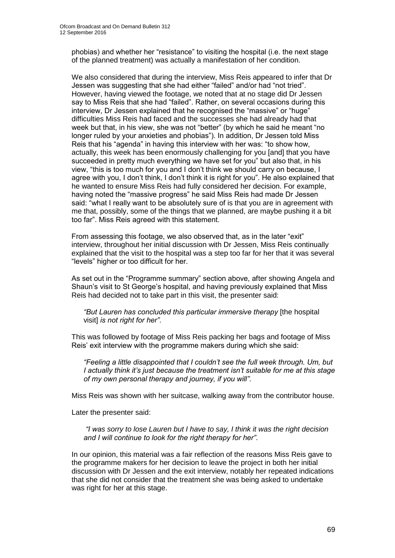phobias) and whether her "resistance" to visiting the hospital (i.e. the next stage of the planned treatment) was actually a manifestation of her condition.

We also considered that during the interview, Miss Reis appeared to infer that Dr Jessen was suggesting that she had either "failed" and/or had "not tried". However, having viewed the footage, we noted that at no stage did Dr Jessen say to Miss Reis that she had "failed". Rather, on several occasions during this interview, Dr Jessen explained that he recognised the "massive" or "huge" difficulties Miss Reis had faced and the successes she had already had that week but that, in his view, she was not "better" (by which he said he meant "no longer ruled by your anxieties and phobias"). In addition, Dr Jessen told Miss Reis that his "agenda" in having this interview with her was: "to show how, actually, this week has been enormously challenging for you [and] that you have succeeded in pretty much everything we have set for you" but also that, in his view, "this is too much for you and I don't think we should carry on because, I agree with you, I don't think, I don't think it is right for you". He also explained that he wanted to ensure Miss Reis had fully considered her decision. For example, having noted the "massive progress" he said Miss Reis had made Dr Jessen said: "what I really want to be absolutely sure of is that you are in agreement with me that, possibly, some of the things that we planned, are maybe pushing it a bit too far". Miss Reis agreed with this statement.

From assessing this footage, we also observed that, as in the later "exit" interview, throughout her initial discussion with Dr Jessen, Miss Reis continually explained that the visit to the hospital was a step too far for her that it was several "levels" higher or too difficult for her.

As set out in the "Programme summary" section above, after showing Angela and Shaun's visit to St George's hospital, and having previously explained that Miss Reis had decided not to take part in this visit, the presenter said:

*"But Lauren has concluded this particular immersive therapy* [the hospital visit] *is not right for her"*.

This was followed by footage of Miss Reis packing her bags and footage of Miss Reis' exit interview with the programme makers during which she said:

*"Feeling a little disappointed that I couldn't see the full week through. Um, but I actually think it's just because the treatment isn't suitable for me at this stage of my own personal therapy and journey, if you will"*.

Miss Reis was shown with her suitcase, walking away from the contributor house.

Later the presenter said:

*"I was sorry to lose Lauren but I have to say, I think it was the right decision and I will continue to look for the right therapy for her"*.

In our opinion, this material was a fair reflection of the reasons Miss Reis gave to the programme makers for her decision to leave the project in both her initial discussion with Dr Jessen and the exit interview, notably her repeated indications that she did not consider that the treatment she was being asked to undertake was right for her at this stage.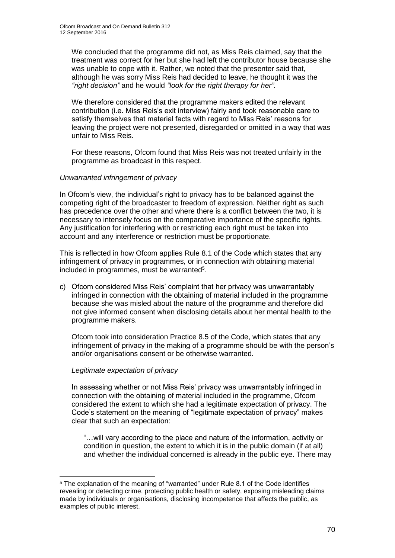We concluded that the programme did not, as Miss Reis claimed, say that the treatment was correct for her but she had left the contributor house because she was unable to cope with it. Rather, we noted that the presenter said that, although he was sorry Miss Reis had decided to leave, he thought it was the *"right decision"* and he would *"look for the right therapy for her"*.

We therefore considered that the programme makers edited the relevant contribution (i.e. Miss Reis's exit interview) fairly and took reasonable care to satisfy themselves that material facts with regard to Miss Reis' reasons for leaving the project were not presented, disregarded or omitted in a way that was unfair to Miss Reis.

For these reasons, Ofcom found that Miss Reis was not treated unfairly in the programme as broadcast in this respect.

# *Unwarranted infringement of privacy*

In Ofcom's view, the individual's right to privacy has to be balanced against the competing right of the broadcaster to freedom of expression. Neither right as such has precedence over the other and where there is a conflict between the two, it is necessary to intensely focus on the comparative importance of the specific rights. Any justification for interfering with or restricting each right must be taken into account and any interference or restriction must be proportionate.

This is reflected in how Ofcom applies Rule 8.1 of the Code which states that any infringement of privacy in programmes, or in connection with obtaining material included in programmes, must be warranted<sup>5</sup>.

c) Ofcom considered Miss Reis' complaint that her privacy was unwarrantably infringed in connection with the obtaining of material included in the programme because she was misled about the nature of the programme and therefore did not give informed consent when disclosing details about her mental health to the programme makers.

Ofcom took into consideration Practice 8.5 of the Code, which states that any infringement of privacy in the making of a programme should be with the person's and/or organisations consent or be otherwise warranted.

# *Legitimate expectation of privacy*

1

In assessing whether or not Miss Reis' privacy was unwarrantably infringed in connection with the obtaining of material included in the programme, Ofcom considered the extent to which she had a legitimate expectation of privacy. The Code's statement on the meaning of "legitimate expectation of privacy" makes clear that such an expectation:

"…will vary according to the place and nature of the information, activity or condition in question, the extent to which it is in the public domain (if at all) and whether the individual concerned is already in the public eye. There may

<sup>5</sup> The explanation of the meaning of "warranted" under Rule 8.1 of the Code identifies revealing or detecting crime, protecting public health or safety, exposing misleading claims made by individuals or organisations, disclosing incompetence that affects the public, as examples of public interest.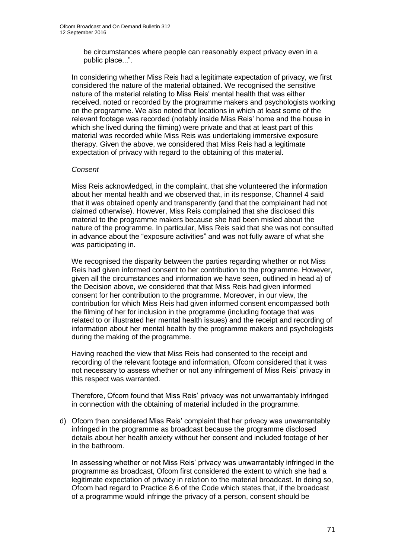be circumstances where people can reasonably expect privacy even in a public place...".

In considering whether Miss Reis had a legitimate expectation of privacy, we first considered the nature of the material obtained. We recognised the sensitive nature of the material relating to Miss Reis' mental health that was either received, noted or recorded by the programme makers and psychologists working on the programme. We also noted that locations in which at least some of the relevant footage was recorded (notably inside Miss Reis' home and the house in which she lived during the filming) were private and that at least part of this material was recorded while Miss Reis was undertaking immersive exposure therapy. Given the above, we considered that Miss Reis had a legitimate expectation of privacy with regard to the obtaining of this material.

#### *Consent*

Miss Reis acknowledged, in the complaint, that she volunteered the information about her mental health and we observed that, in its response, Channel 4 said that it was obtained openly and transparently (and that the complainant had not claimed otherwise). However, Miss Reis complained that she disclosed this material to the programme makers because she had been misled about the nature of the programme. In particular, Miss Reis said that she was not consulted in advance about the "exposure activities" and was not fully aware of what she was participating in.

We recognised the disparity between the parties regarding whether or not Miss Reis had given informed consent to her contribution to the programme. However, given all the circumstances and information we have seen, outlined in head a) of the Decision above, we considered that that Miss Reis had given informed consent for her contribution to the programme. Moreover, in our view, the contribution for which Miss Reis had given informed consent encompassed both the filming of her for inclusion in the programme (including footage that was related to or illustrated her mental health issues) and the receipt and recording of information about her mental health by the programme makers and psychologists during the making of the programme.

Having reached the view that Miss Reis had consented to the receipt and recording of the relevant footage and information, Ofcom considered that it was not necessary to assess whether or not any infringement of Miss Reis' privacy in this respect was warranted.

Therefore, Ofcom found that Miss Reis' privacy was not unwarrantably infringed in connection with the obtaining of material included in the programme.

d) Ofcom then considered Miss Reis' complaint that her privacy was unwarrantably infringed in the programme as broadcast because the programme disclosed details about her health anxiety without her consent and included footage of her in the bathroom.

In assessing whether or not Miss Reis' privacy was unwarrantably infringed in the programme as broadcast, Ofcom first considered the extent to which she had a legitimate expectation of privacy in relation to the material broadcast. In doing so, Ofcom had regard to Practice 8.6 of the Code which states that, if the broadcast of a programme would infringe the privacy of a person, consent should be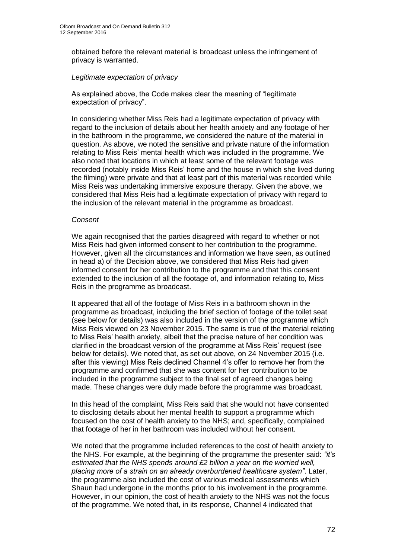obtained before the relevant material is broadcast unless the infringement of privacy is warranted.

# *Legitimate expectation of privacy*

As explained above, the Code makes clear the meaning of "legitimate expectation of privacy".

In considering whether Miss Reis had a legitimate expectation of privacy with regard to the inclusion of details about her health anxiety and any footage of her in the bathroom in the programme, we considered the nature of the material in question. As above, we noted the sensitive and private nature of the information relating to Miss Reis' mental health which was included in the programme. We also noted that locations in which at least some of the relevant footage was recorded (notably inside Miss Reis' home and the house in which she lived during the filming) were private and that at least part of this material was recorded while Miss Reis was undertaking immersive exposure therapy. Given the above, we considered that Miss Reis had a legitimate expectation of privacy with regard to the inclusion of the relevant material in the programme as broadcast.

#### *Consent*

We again recognised that the parties disagreed with regard to whether or not Miss Reis had given informed consent to her contribution to the programme. However, given all the circumstances and information we have seen, as outlined in head a) of the Decision above, we considered that Miss Reis had given informed consent for her contribution to the programme and that this consent extended to the inclusion of all the footage of, and information relating to, Miss Reis in the programme as broadcast.

It appeared that all of the footage of Miss Reis in a bathroom shown in the programme as broadcast, including the brief section of footage of the toilet seat (see below for details) was also included in the version of the programme which Miss Reis viewed on 23 November 2015. The same is true of the material relating to Miss Reis' health anxiety, albeit that the precise nature of her condition was clarified in the broadcast version of the programme at Miss Reis' request (see below for details). We noted that, as set out above, on 24 November 2015 (i.e. after this viewing) Miss Reis declined Channel 4's offer to remove her from the programme and confirmed that she was content for her contribution to be included in the programme subject to the final set of agreed changes being made. These changes were duly made before the programme was broadcast.

In this head of the complaint, Miss Reis said that she would not have consented to disclosing details about her mental health to support a programme which focused on the cost of health anxiety to the NHS; and, specifically, complained that footage of her in her bathroom was included without her consent.

We noted that the programme included references to the cost of health anxiety to the NHS. For example, at the beginning of the programme the presenter said: *"it's estimated that the NHS spends around £2 billion a year on the worried well, placing more of a strain on an already overburdened healthcare system"*. Later, the programme also included the cost of various medical assessments which Shaun had undergone in the months prior to his involvement in the programme. However, in our opinion, the cost of health anxiety to the NHS was not the focus of the programme. We noted that, in its response, Channel 4 indicated that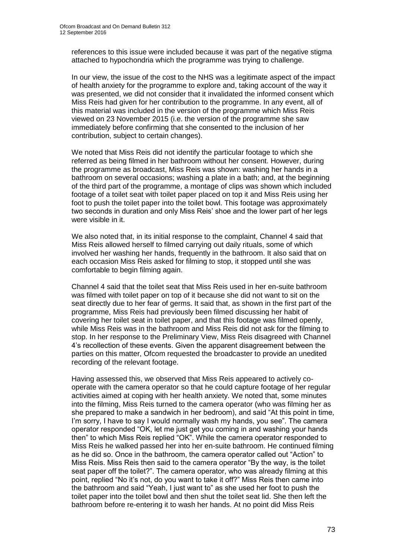references to this issue were included because it was part of the negative stigma attached to hypochondria which the programme was trying to challenge.

In our view, the issue of the cost to the NHS was a legitimate aspect of the impact of health anxiety for the programme to explore and, taking account of the way it was presented, we did not consider that it invalidated the informed consent which Miss Reis had given for her contribution to the programme. In any event, all of this material was included in the version of the programme which Miss Reis viewed on 23 November 2015 (i.e. the version of the programme she saw immediately before confirming that she consented to the inclusion of her contribution, subject to certain changes).

We noted that Miss Reis did not identify the particular footage to which she referred as being filmed in her bathroom without her consent. However, during the programme as broadcast, Miss Reis was shown: washing her hands in a bathroom on several occasions; washing a plate in a bath; and, at the beginning of the third part of the programme, a montage of clips was shown which included footage of a toilet seat with toilet paper placed on top it and Miss Reis using her foot to push the toilet paper into the toilet bowl. This footage was approximately two seconds in duration and only Miss Reis' shoe and the lower part of her legs were visible in it.

We also noted that, in its initial response to the complaint, Channel 4 said that Miss Reis allowed herself to filmed carrying out daily rituals, some of which involved her washing her hands, frequently in the bathroom. It also said that on each occasion Miss Reis asked for filming to stop, it stopped until she was comfortable to begin filming again.

Channel 4 said that the toilet seat that Miss Reis used in her en-suite bathroom was filmed with toilet paper on top of it because she did not want to sit on the seat directly due to her fear of germs. It said that, as shown in the first part of the programme, Miss Reis had previously been filmed discussing her habit of covering her toilet seat in toilet paper, and that this footage was filmed openly, while Miss Reis was in the bathroom and Miss Reis did not ask for the filming to stop. In her response to the Preliminary View, Miss Reis disagreed with Channel 4's recollection of these events. Given the apparent disagreement between the parties on this matter, Ofcom requested the broadcaster to provide an unedited recording of the relevant footage.

Having assessed this, we observed that Miss Reis appeared to actively cooperate with the camera operator so that he could capture footage of her regular activities aimed at coping with her health anxiety. We noted that, some minutes into the filming, Miss Reis turned to the camera operator (who was filming her as she prepared to make a sandwich in her bedroom), and said "At this point in time, I'm sorry, I have to say I would normally wash my hands, you see". The camera operator responded "OK, let me just get you coming in and washing your hands then" to which Miss Reis replied "OK". While the camera operator responded to Miss Reis he walked passed her into her en-suite bathroom. He continued filming as he did so. Once in the bathroom, the camera operator called out "Action" to Miss Reis. Miss Reis then said to the camera operator "By the way, is the toilet seat paper off the toilet?". The camera operator, who was already filming at this point, replied "No it's not, do you want to take it off?" Miss Reis then came into the bathroom and said "Yeah, I just want to" as she used her foot to push the toilet paper into the toilet bowl and then shut the toilet seat lid. She then left the bathroom before re-entering it to wash her hands. At no point did Miss Reis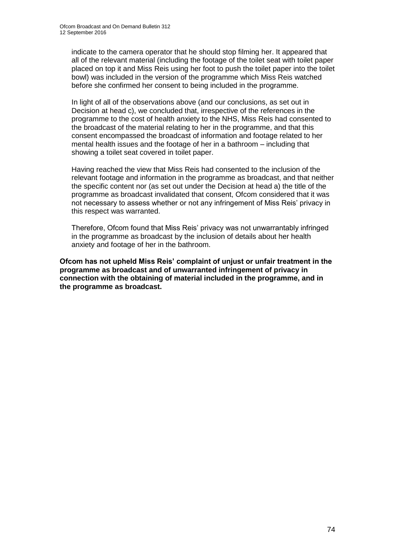indicate to the camera operator that he should stop filming her. It appeared that all of the relevant material (including the footage of the toilet seat with toilet paper placed on top it and Miss Reis using her foot to push the toilet paper into the toilet bowl) was included in the version of the programme which Miss Reis watched before she confirmed her consent to being included in the programme.

In light of all of the observations above (and our conclusions, as set out in Decision at head c), we concluded that, irrespective of the references in the programme to the cost of health anxiety to the NHS, Miss Reis had consented to the broadcast of the material relating to her in the programme, and that this consent encompassed the broadcast of information and footage related to her mental health issues and the footage of her in a bathroom – including that showing a toilet seat covered in toilet paper.

Having reached the view that Miss Reis had consented to the inclusion of the relevant footage and information in the programme as broadcast, and that neither the specific content nor (as set out under the Decision at head a) the title of the programme as broadcast invalidated that consent, Ofcom considered that it was not necessary to assess whether or not any infringement of Miss Reis' privacy in this respect was warranted.

Therefore, Ofcom found that Miss Reis' privacy was not unwarrantably infringed in the programme as broadcast by the inclusion of details about her health anxiety and footage of her in the bathroom.

**Ofcom has not upheld Miss Reis' complaint of unjust or unfair treatment in the programme as broadcast and of unwarranted infringement of privacy in connection with the obtaining of material included in the programme, and in the programme as broadcast.**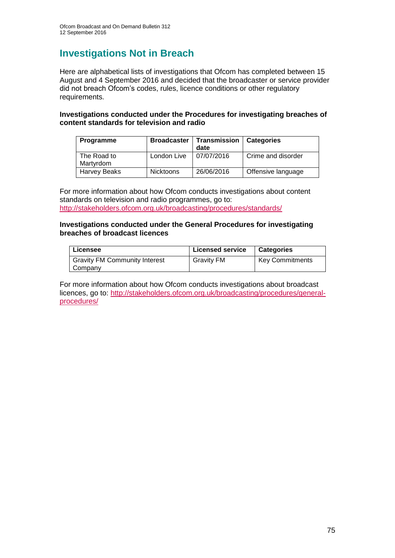# **Investigations Not in Breach**

Here are alphabetical lists of investigations that Ofcom has completed between 15 August and 4 September 2016 and decided that the broadcaster or service provider did not breach Ofcom's codes, rules, licence conditions or other regulatory requirements.

### **Investigations conducted under the Procedures for investigating breaches of content standards for television and radio**

| Programme                | <b>Broadcaster</b> | Transmission   Categories<br>date |                    |
|--------------------------|--------------------|-----------------------------------|--------------------|
| The Road to<br>Martyrdom | London Live        | 07/07/2016                        | Crime and disorder |
| Harvey Beaks             | Nicktoons          | 26/06/2016                        | Offensive language |

For more information about how Ofcom conducts investigations about content standards on television and radio programmes, go to: <http://stakeholders.ofcom.org.uk/broadcasting/procedures/standards/>

#### **Investigations conducted under the General Procedures for investigating breaches of broadcast licences**

| Licensee                             | <b>Licensed service</b> | <b>Categories</b>      |
|--------------------------------------|-------------------------|------------------------|
| <b>Gravity FM Community Interest</b> | <b>Gravity FM</b>       | <b>Key Commitments</b> |
| Company                              |                         |                        |

For more information about how Ofcom conducts investigations about broadcast licences, go to: [http://stakeholders.ofcom.org.uk/broadcasting/procedures/general](http://stakeholders.ofcom.org.uk/broadcasting/procedures/general-procedures/)[procedures/](http://stakeholders.ofcom.org.uk/broadcasting/procedures/general-procedures/)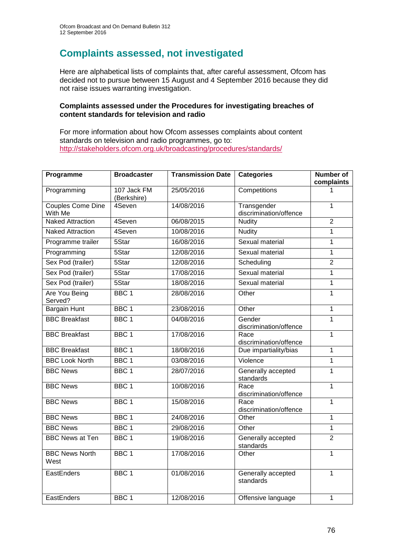# **Complaints assessed, not investigated**

Here are alphabetical lists of complaints that, after careful assessment, Ofcom has decided not to pursue between 15 August and 4 September 2016 because they did not raise issues warranting investigation.

### **Complaints assessed under the Procedures for investigating breaches of content standards for television and radio**

For more information about how Ofcom assesses complaints about content standards on television and radio programmes, go to: <http://stakeholders.ofcom.org.uk/broadcasting/procedures/standards/>

| Programme                       | <b>Broadcaster</b>         | <b>Transmission Date</b> | <b>Categories</b>                     | <b>Number of</b><br>complaints |
|---------------------------------|----------------------------|--------------------------|---------------------------------------|--------------------------------|
| Programming                     | 107 Jack FM<br>(Berkshire) | 25/05/2016               | Competitions                          |                                |
| Couples Come Dine<br>With Me    | 4Seven                     | 14/08/2016               | Transgender<br>discrimination/offence | $\mathbf{1}$                   |
| <b>Naked Attraction</b>         | 4Seven                     | 06/08/2015               | <b>Nudity</b>                         | $\overline{2}$                 |
| <b>Naked Attraction</b>         | 4Seven                     | 10/08/2016               | <b>Nudity</b>                         | $\mathbf{1}$                   |
| Programme trailer               | 5Star                      | 16/08/2016               | Sexual material                       | 1                              |
| Programming                     | 5Star                      | 12/08/2016               | Sexual material                       | $\mathbf{1}$                   |
| Sex Pod (trailer)               | 5Star                      | 12/08/2016               | Scheduling                            | $\overline{2}$                 |
| Sex Pod (trailer)               | 5S <sub>tar</sub>          | 17/08/2016               | Sexual material                       | $\mathbf{1}$                   |
| Sex Pod (trailer)               | 5Star                      | 18/08/2016               | Sexual material                       | $\mathbf{1}$                   |
| <b>Are You Being</b><br>Served? | BBC <sub>1</sub>           | 28/08/2016               | Other                                 | $\mathbf{1}$                   |
| <b>Bargain Hunt</b>             | BBC <sub>1</sub>           | 23/08/2016               | Other                                 | $\overline{1}$                 |
| <b>BBC Breakfast</b>            | BBC <sub>1</sub>           | 04/08/2016               | Gender<br>discrimination/offence      | $\mathbf{1}$                   |
| <b>BBC Breakfast</b>            | BBC <sub>1</sub>           | 17/08/2016               | Race<br>discrimination/offence        | $\mathbf{1}$                   |
| <b>BBC Breakfast</b>            | BBC <sub>1</sub>           | 18/08/2016               | Due impartiality/bias                 | 1                              |
| <b>BBC Look North</b>           | BBC <sub>1</sub>           | 03/08/2016               | Violence                              | $\overline{1}$                 |
| <b>BBC News</b>                 | BBC <sub>1</sub>           | 28/07/2016               | Generally accepted<br>standards       | $\mathbf{1}$                   |
| <b>BBC News</b>                 | BBC <sub>1</sub>           | 10/08/2016               | Race<br>discrimination/offence        | 1                              |
| <b>BBC News</b>                 | BBC <sub>1</sub>           | 15/08/2016               | Race<br>discrimination/offence        | $\mathbf{1}$                   |
| <b>BBC News</b>                 | BBC <sub>1</sub>           | 24/08/2016               | Other                                 | $\overline{1}$                 |
| <b>BBC News</b>                 | BBC <sub>1</sub>           | 29/08/2016               | Other                                 | $\mathbf{1}$                   |
| <b>BBC News at Ten</b>          | BBC <sub>1</sub>           | 19/08/2016               | Generally accepted<br>standards       | $\overline{2}$                 |
| <b>BBC News North</b><br>West   | BBC <sub>1</sub>           | 17/08/2016               | Other                                 | 1                              |
| EastEnders                      | BBC <sub>1</sub>           | 01/08/2016               | Generally accepted<br>standards       | $\overline{1}$                 |
| EastEnders                      | BBC <sub>1</sub>           | 12/08/2016               | Offensive language                    | $\mathbf{1}$                   |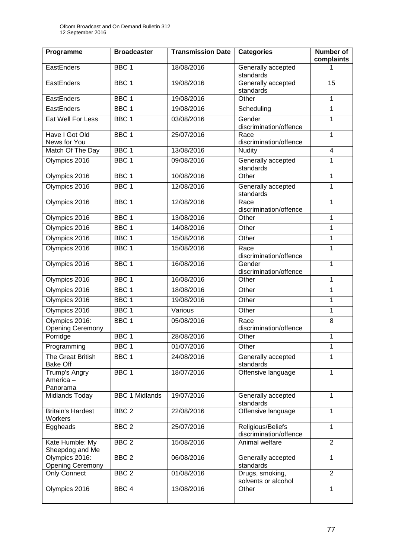| Programme                                 | <b>Broadcaster</b>    | <b>Transmission Date</b> | <b>Categories</b>                           | <b>Number of</b><br>complaints |
|-------------------------------------------|-----------------------|--------------------------|---------------------------------------------|--------------------------------|
| EastEnders                                | BBC <sub>1</sub>      | 18/08/2016               | Generally accepted<br>standards             | 1                              |
| EastEnders                                | BBC <sub>1</sub>      | 19/08/2016               | Generally accepted<br>standards             | 15                             |
| EastEnders                                | BBC <sub>1</sub>      | 19/08/2016               | Other                                       | 1                              |
| EastEnders                                | BBC <sub>1</sub>      | 19/08/2016               | Scheduling                                  | 1                              |
| Eat Well For Less                         | BBC <sub>1</sub>      | 03/08/2016               | Gender<br>discrimination/offence            | $\mathbf{1}$                   |
| Have I Got Old<br>News for You            | BBC <sub>1</sub>      | 25/07/2016               | Race<br>discrimination/offence              | $\mathbf{1}$                   |
| Match Of The Day                          | BBC <sub>1</sub>      | 13/08/2016               | <b>Nudity</b>                               | $\overline{4}$                 |
| Olympics 2016                             | BBC <sub>1</sub>      | 09/08/2016               | Generally accepted<br>standards             | 1                              |
| Olympics 2016                             | BBC <sub>1</sub>      | 10/08/2016               | Other                                       | $\mathbf{1}$                   |
| Olympics 2016                             | BBC <sub>1</sub>      | 12/08/2016               | Generally accepted<br>standards             | $\mathbf{1}$                   |
| Olympics 2016                             | BBC <sub>1</sub>      | 12/08/2016               | Race<br>discrimination/offence              | 1                              |
| Olympics 2016                             | BBC <sub>1</sub>      | 13/08/2016               | Other                                       | 1                              |
| Olympics 2016                             | BBC <sub>1</sub>      | 14/08/2016               | Other                                       | 1                              |
| Olympics 2016                             | BBC <sub>1</sub>      | 15/08/2016               | Other                                       | $\mathbf{1}$                   |
| Olympics 2016                             | BBC <sub>1</sub>      | 15/08/2016               | Race<br>discrimination/offence              | $\mathbf{1}$                   |
| Olympics 2016                             | BBC <sub>1</sub>      | 16/08/2016               | Gender<br>discrimination/offence            | $\mathbf{1}$                   |
| Olympics 2016                             | BBC <sub>1</sub>      | 16/08/2016               | Other                                       | 1                              |
| Olympics 2016                             | BBC <sub>1</sub>      | 18/08/2016               | Other                                       | 1                              |
| Olympics 2016                             | BBC <sub>1</sub>      | 19/08/2016               | Other                                       | $\mathbf{1}$                   |
| Olympics 2016                             | BBC <sub>1</sub>      | Various                  | Other                                       | 1                              |
| Olympics 2016:<br><b>Opening Ceremony</b> | BBC <sub>1</sub>      | 05/08/2016               | Race<br>discrimination/offence              | 8                              |
| Porridge                                  | BBC <sub>1</sub>      | 28/08/2016               | Other                                       | 1                              |
| Programming                               | BBC 1                 | 01/07/2016               | Other                                       | 1                              |
| The Great British<br><b>Bake Off</b>      | BBC <sub>1</sub>      | 24/08/2016               | Generally accepted<br>standards             | 1                              |
| Trump's Angry<br>America-<br>Panorama     | BBC <sub>1</sub>      | 18/07/2016               | Offensive language                          | 1                              |
| Midlands Today                            | <b>BBC 1 Midlands</b> | 19/07/2016               | Generally accepted<br>standards             | $\mathbf{1}$                   |
| <b>Britain's Hardest</b><br>Workers       | BBC <sub>2</sub>      | 22/08/2016               | Offensive language                          | $\mathbf{1}$                   |
| Eggheads                                  | BBC <sub>2</sub>      | 25/07/2016               | Religious/Beliefs<br>discrimination/offence | 1                              |
| Kate Humble: My<br>Sheepdog and Me        | BBC <sub>2</sub>      | 15/08/2016               | Animal welfare                              | $\overline{2}$                 |
| Olympics 2016:<br><b>Opening Ceremony</b> | BBC <sub>2</sub>      | 06/08/2016               | Generally accepted<br>standards             | $\mathbf{1}$                   |
| <b>Only Connect</b>                       | BBC <sub>2</sub>      | 01/08/2016               | Drugs, smoking,<br>solvents or alcohol      | $\overline{2}$                 |
| Olympics 2016                             | BBC <sub>4</sub>      | 13/08/2016               | Other                                       | $\mathbf{1}$                   |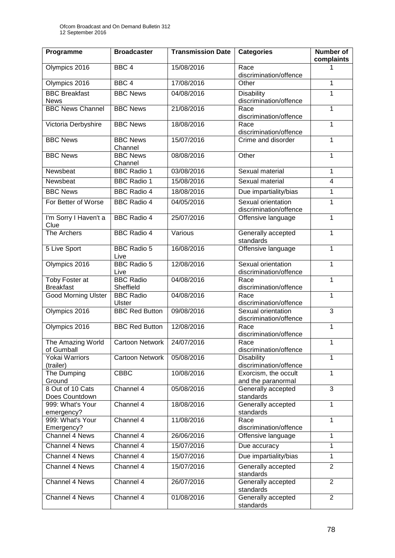| Programme                           | <b>Broadcaster</b>            | <b>Transmission Date</b> | <b>Categories</b>                            | Number of<br>complaints |
|-------------------------------------|-------------------------------|--------------------------|----------------------------------------------|-------------------------|
| Olympics 2016                       | BBC <sub>4</sub>              | 15/08/2016               | Race<br>discrimination/offence               | 1                       |
| Olympics 2016                       | BBC <sub>4</sub>              | 17/08/2016               | Other                                        | 1                       |
| <b>BBC Breakfast</b><br><b>News</b> | <b>BBC News</b>               | 04/08/2016               | <b>Disability</b><br>discrimination/offence  | 1                       |
| <b>BBC News Channel</b>             | <b>BBC News</b>               | 21/08/2016               | Race<br>discrimination/offence               | 1                       |
| Victoria Derbyshire                 | <b>BBC News</b>               | 18/08/2016               | Race<br>discrimination/offence               | 1                       |
| <b>BBC News</b>                     | <b>BBC News</b><br>Channel    | 15/07/2016               | Crime and disorder                           | $\mathbf{1}$            |
| <b>BBC News</b>                     | <b>BBC News</b><br>Channel    | 08/08/2016               | Other                                        | $\mathbf{1}$            |
| Newsbeat                            | <b>BBC Radio 1</b>            | 03/08/2016               | Sexual material                              | 1                       |
| Newsbeat                            | <b>BBC Radio 1</b>            | 15/08/2016               | Sexual material                              | $\overline{4}$          |
| <b>BBC News</b>                     | <b>BBC Radio 4</b>            | 18/08/2016               | Due impartiality/bias                        | 1                       |
| For Better of Worse                 | <b>BBC Radio 4</b>            | 04/05/2016               | Sexual orientation<br>discrimination/offence | $\mathbf{1}$            |
| I'm Sorry I Haven't a<br>Clue       | <b>BBC Radio 4</b>            | 25/07/2016               | Offensive language                           | 1                       |
| The Archers                         | <b>BBC Radio 4</b>            | Various                  | Generally accepted<br>standards              | $\mathbf{1}$            |
| 5 Live Sport                        | <b>BBC Radio 5</b><br>Live    | 16/08/2016               | Offensive language                           | 1                       |
| Olympics 2016                       | <b>BBC Radio 5</b><br>Live    | 12/08/2016               | Sexual orientation<br>discrimination/offence | 1                       |
| Toby Foster at<br><b>Breakfast</b>  | <b>BBC Radio</b><br>Sheffield | 04/08/2016               | Race<br>discrimination/offence               | $\mathbf 1$             |
| <b>Good Morning Ulster</b>          | <b>BBC Radio</b><br>Ulster    | 04/08/2016               | Race<br>discrimination/offence               | $\mathbf{1}$            |
| Olympics 2016                       | <b>BBC Red Button</b>         | 09/08/2016               | Sexual orientation<br>discrimination/offence | 3                       |
| Olympics 2016                       | <b>BBC Red Button</b>         | 12/08/2016               | Race<br>discrimination/offence               | $\mathbf{1}$            |
| The Amazing World<br>of Gumball     | Cartoon Network               | 24/07/2016               | Race<br>discrimination/offence               | 1                       |
| Yokai Warriors<br>(trailer)         | <b>Cartoon Network</b>        | 05/08/2016               | <b>Disability</b><br>discrimination/offence  | 1                       |
| The Dumping<br>Ground               | <b>CBBC</b>                   | 10/08/2016               | Exorcism, the occult<br>and the paranormal   | $\mathbf{1}$            |
| 8 Out of 10 Cats<br>Does Countdown  | Channel 4                     | 05/08/2016               | Generally accepted<br>standards              | 3                       |
| 999: What's Your<br>emergency?      | Channel 4                     | 18/08/2016               | Generally accepted<br>standards              | 1                       |
| 999: What's Your<br>Emergency?      | Channel 4                     | 11/08/2016               | Race<br>discrimination/offence               | $\mathbf{1}$            |
| Channel 4 News                      | Channel 4                     | 26/06/2016               | Offensive language                           | 1                       |
| Channel 4 News                      | Channel 4                     | 15/07/2016               | Due accuracy                                 | $\mathbf{1}$            |
| Channel 4 News                      | Channel 4                     | 15/07/2016               | Due impartiality/bias                        | 1                       |
| Channel 4 News                      | Channel 4                     | 15/07/2016               | Generally accepted<br>standards              | $\overline{2}$          |
| Channel 4 News                      | Channel 4                     | 26/07/2016               | Generally accepted<br>standards              | $\overline{2}$          |
| Channel 4 News                      | Channel 4                     | 01/08/2016               | Generally accepted<br>standards              | $\overline{2}$          |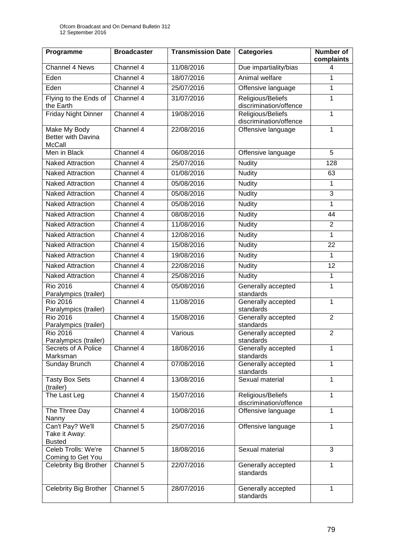| Programme                                                  | <b>Broadcaster</b> | <b>Transmission Date</b> | <b>Categories</b>                           | <b>Number of</b><br>complaints |
|------------------------------------------------------------|--------------------|--------------------------|---------------------------------------------|--------------------------------|
| Channel 4 News                                             | Channel 4          | 11/08/2016               | Due impartiality/bias                       | 4                              |
| Eden                                                       | Channel 4          | 18/07/2016               | Animal welfare                              | $\mathbf{1}$                   |
| Eden                                                       | Channel 4          | 25/07/2016               | Offensive language                          | 1                              |
| Flying to the Ends of<br>the Earth                         | Channel 4          | 31/07/2016               | Religious/Beliefs<br>discrimination/offence | $\mathbf{1}$                   |
| <b>Friday Night Dinner</b>                                 | Channel 4          | 19/08/2016               | Religious/Beliefs<br>discrimination/offence | 1                              |
| <b>Make My Body</b><br>Better with Davina<br><b>McCall</b> | Channel 4          | 22/08/2016               | Offensive language                          | $\mathbf{1}$                   |
| Men in Black                                               | Channel 4          | 06/08/2016               | Offensive language                          | 5                              |
| <b>Naked Attraction</b>                                    | Channel 4          | 25/07/2016               | <b>Nudity</b>                               | 128                            |
| <b>Naked Attraction</b>                                    | Channel 4          | 01/08/2016               | <b>Nudity</b>                               | 63                             |
| <b>Naked Attraction</b>                                    | Channel 4          | 05/08/2016               | <b>Nudity</b>                               | 1                              |
| <b>Naked Attraction</b>                                    | Channel 4          | 05/08/2016               | <b>Nudity</b>                               | 3                              |
| <b>Naked Attraction</b>                                    | Channel 4          | 05/08/2016               | <b>Nudity</b>                               | $\mathbf{1}$                   |
| <b>Naked Attraction</b>                                    | Channel 4          | 08/08/2016               | <b>Nudity</b>                               | 44                             |
| <b>Naked Attraction</b>                                    | Channel 4          | 11/08/2016               | <b>Nudity</b>                               | $\overline{2}$                 |
| <b>Naked Attraction</b>                                    | Channel 4          | 12/08/2016               | <b>Nudity</b>                               | $\overline{1}$                 |
| <b>Naked Attraction</b>                                    | Channel 4          | 15/08/2016               | <b>Nudity</b>                               | 22                             |
| <b>Naked Attraction</b>                                    | Channel 4          | 19/08/2016               | <b>Nudity</b>                               | $\mathbf{1}$                   |
| <b>Naked Attraction</b>                                    | Channel 4          | 22/08/2016               | <b>Nudity</b>                               | 12                             |
| <b>Naked Attraction</b>                                    | Channel 4          | 25/08/2016               | <b>Nudity</b>                               | $\mathbf{1}$                   |
| <b>Rio 2016</b><br>Paralympics (trailer)                   | Channel 4          | 05/08/2016               | Generally accepted<br>standards             | $\mathbf{1}$                   |
| <b>Rio 2016</b><br>Paralympics (trailer)                   | Channel 4          | 11/08/2016               | Generally accepted<br>standards             | $\overline{1}$                 |
| <b>Rio 2016</b><br>Paralympics (trailer)                   | Channel 4          | 15/08/2016               | Generally accepted<br>standards             | $\overline{2}$                 |
| <b>Rio 2016</b><br>Paralympics (trailer)                   | Channel 4          | Various                  | Generally accepted<br>standards             | $\overline{2}$                 |
| Secrets of A Police<br>Marksman                            | Channel 4          | 18/08/2016               | Generally accepted<br>standards             | 1                              |
| Sunday Brunch                                              | Channel 4          | 07/08/2016               | Generally accepted<br>standards             | 1                              |
| <b>Tasty Box Sets</b><br>(trailer)                         | Channel 4          | 13/08/2016               | Sexual material                             | 1                              |
| The Last Leg                                               | Channel 4          | 15/07/2016               | Religious/Beliefs<br>discrimination/offence | $\mathbf{1}$                   |
| The Three Day<br>Nanny                                     | Channel 4          | 10/08/2016               | Offensive language                          | $\mathbf{1}$                   |
| Can't Pay? We'll<br>Take it Away:<br><b>Busted</b>         | Channel 5          | 25/07/2016               | Offensive language                          | 1                              |
| Celeb Trolls: We're<br>Coming to Get You                   | Channel 5          | 18/08/2016               | Sexual material                             | 3                              |
| Celebrity Big Brother                                      | Channel 5          | 22/07/2016               | Generally accepted<br>standards             | $\mathbf{1}$                   |
| Celebrity Big Brother                                      | Channel 5          | 28/07/2016               | Generally accepted<br>standards             | 1                              |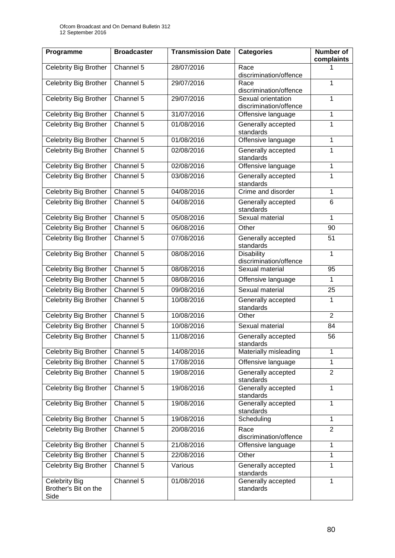| Programme                                     | <b>Broadcaster</b> | <b>Transmission Date</b> | <b>Categories</b>                            | <b>Number of</b><br>complaints |
|-----------------------------------------------|--------------------|--------------------------|----------------------------------------------|--------------------------------|
| Celebrity Big Brother                         | Channel 5          | 28/07/2016               | Race<br>discrimination/offence               |                                |
| <b>Celebrity Big Brother</b>                  | Channel 5          | 29/07/2016               | Race<br>discrimination/offence               | $\mathbf{1}$                   |
| <b>Celebrity Big Brother</b>                  | Channel 5          | 29/07/2016               | Sexual orientation<br>discrimination/offence | 1                              |
| Celebrity Big Brother                         | Channel 5          | 31/07/2016               | Offensive language                           | 1                              |
| <b>Celebrity Big Brother</b>                  | Channel 5          | 01/08/2016               | Generally accepted<br>standards              | $\mathbf 1$                    |
| Celebrity Big Brother                         | Channel $5$        | 01/08/2016               | Offensive language                           | 1                              |
| <b>Celebrity Big Brother</b>                  | Channel 5          | 02/08/2016               | Generally accepted<br>standards              | $\mathbf{1}$                   |
| Celebrity Big Brother                         | Channel 5          | 02/08/2016               | Offensive language                           | $\mathbf{1}$                   |
| <b>Celebrity Big Brother</b>                  | Channel 5          | 03/08/2016               | Generally accepted<br>standards              | $\mathbf 1$                    |
| Celebrity Big Brother                         | Channel 5          | 04/08/2016               | Crime and disorder                           | 1                              |
| <b>Celebrity Big Brother</b>                  | Channel 5          | 04/08/2016               | Generally accepted<br>standards              | 6                              |
| Celebrity Big Brother                         | Channel 5          | 05/08/2016               | Sexual material                              | 1                              |
| Celebrity Big Brother                         | Channel 5          | 06/08/2016               | Other                                        | 90                             |
| Celebrity Big Brother                         | Channel 5          | 07/08/2016               | Generally accepted<br>standards              | 51                             |
| Celebrity Big Brother                         | Channel 5          | 08/08/2016               | <b>Disability</b><br>discrimination/offence  | $\mathbf{1}$                   |
| Celebrity Big Brother                         | Channel 5          | 08/08/2016               | Sexual material                              | 95                             |
| Celebrity Big Brother                         | Channel 5          | 08/08/2016               | Offensive language                           | 1                              |
| Celebrity Big Brother                         | Channel 5          | 09/08/2016               | Sexual material                              | 25                             |
| Celebrity Big Brother                         | Channel 5          | 10/08/2016               | Generally accepted<br>standards              | 1                              |
| Celebrity Big Brother                         | Channel 5          | 10/08/2016               | Other                                        | $\overline{2}$                 |
| <b>Celebrity Big Brother</b>                  | Channel 5          | 10/08/2016               | Sexual material                              | 84                             |
| Celebrity Big Brother                         | Channel 5          | 11/08/2016               | Generally accepted<br>standards              | 56                             |
| Celebrity Big Brother                         | Channel 5          | 14/08/2016               | Materially misleading                        | 1                              |
| Celebrity Big Brother                         | Channel 5          | 17/08/2016               | Offensive language                           | 1                              |
| Celebrity Big Brother                         | Channel 5          | 19/08/2016               | Generally accepted<br>standards              | $\overline{2}$                 |
| Celebrity Big Brother                         | Channel 5          | 19/08/2016               | Generally accepted<br>standards              | 1                              |
| Celebrity Big Brother                         | Channel $5$        | 19/08/2016               | Generally accepted<br>standards              | $\mathbf{1}$                   |
| Celebrity Big Brother                         | Channel 5          | 19/08/2016               | Scheduling                                   | $\mathbf{1}$                   |
| Celebrity Big Brother                         | Channel 5          | 20/08/2016               | Race<br>discrimination/offence               | $\overline{2}$                 |
| Celebrity Big Brother                         | Channel 5          | 21/08/2016               | Offensive language                           | 1                              |
| Celebrity Big Brother                         | Channel 5          | 22/08/2016               | Other                                        | 1                              |
| Celebrity Big Brother                         | Channel 5          | Various                  | Generally accepted<br>standards              | $\overline{1}$                 |
| Celebrity Big<br>Brother's Bit on the<br>Side | Channel $5$        | 01/08/2016               | Generally accepted<br>standards              | $\mathbf{1}$                   |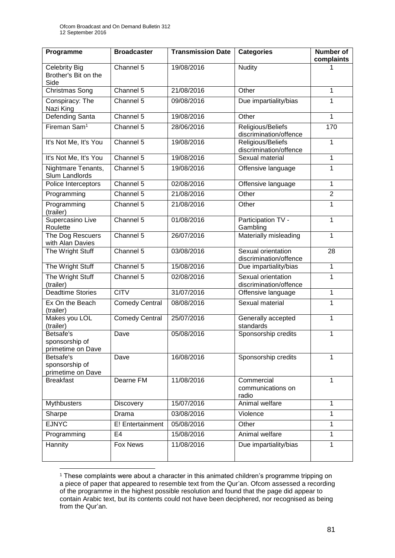| Programme                                            | <b>Broadcaster</b>    | <b>Transmission Date</b> | <b>Categories</b>                            | <b>Number of</b><br>complaints |
|------------------------------------------------------|-----------------------|--------------------------|----------------------------------------------|--------------------------------|
| <b>Celebrity Big</b><br>Brother's Bit on the<br>Side | Channel 5             | 19/08/2016               | <b>Nudity</b>                                |                                |
| Christmas Song                                       | Channel 5             | 21/08/2016               | Other                                        | 1                              |
| Conspiracy: The<br>Nazi King                         | Channel 5             | 09/08/2016               | Due impartiality/bias                        | 1                              |
| <b>Defending Santa</b>                               | Channel 5             | 19/08/2016               | Other                                        | $\mathbf{1}$                   |
| Fireman Sam <sup>1</sup>                             | Channel 5             | 28/06/2016               | Religious/Beliefs<br>discrimination/offence  | 170                            |
| It's Not Me, It's You                                | Channel 5             | 19/08/2016               | Religious/Beliefs<br>discrimination/offence  | $\mathbf{1}$                   |
| It's Not Me, It's You                                | Channel 5             | 19/08/2016               | Sexual material                              | 1                              |
| Nightmare Tenants,<br>Slum Landlords                 | Channel 5             | 19/08/2016               | Offensive language                           | $\mathbf 1$                    |
| Police Interceptors                                  | Channel 5             | 02/08/2016               | Offensive language                           | 1                              |
| Programming                                          | Channel 5             | 21/08/2016               | Other                                        | $\overline{2}$                 |
| Programming<br>(trailer)                             | Channel 5             | 21/08/2016               | Other                                        | 1                              |
| Supercasino Live<br>Roulette                         | Channel 5             | 01/08/2016               | Participation TV -<br>Gambling               | $\mathbf 1$                    |
| The Dog Rescuers<br>with Alan Davies                 | Channel 5             | 26/07/2016               | Materially misleading                        | $\mathbf{1}$                   |
| The Wright Stuff                                     | Channel 5             | 03/08/2016               | Sexual orientation<br>discrimination/offence | 28                             |
| The Wright Stuff                                     | Channel 5             | 15/08/2016               | Due impartiality/bias                        | $\mathbf{1}$                   |
| The Wright Stuff<br>(trailer)                        | Channel 5             | 02/08/2016               | Sexual orientation<br>discrimination/offence | $\mathbf{1}$                   |
| <b>Deadtime Stories</b>                              | <b>CITV</b>           | 31/07/2016               | Offensive language                           | 1                              |
| Ex On the Beach<br>(trailer)                         | <b>Comedy Central</b> | 08/08/2016               | Sexual material                              | 1                              |
| Makes you LOL<br>(trailer)                           | <b>Comedy Central</b> | 25/07/2016               | Generally accepted<br>standards              | $\mathbf{1}$                   |
| Betsafe's<br>sponsorship of<br>primetime on Dave     | Dave                  | 05/08/2016               | Sponsorship credits                          | $\mathbf{1}$                   |
| Betsafe's<br>sponsorship of<br>primetime on Dave     | Dave                  | 16/08/2016               | Sponsorship credits                          | 1                              |
| <b>Breakfast</b>                                     | Dearne FM             | 11/08/2016               | Commercial<br>communications on<br>radio     | 1                              |
| <b>Mythbusters</b>                                   | Discovery             | 15/07/2016               | Animal welfare                               | $\mathbf{1}$                   |
| Sharpe                                               | Drama                 | 03/08/2016               | Violence                                     | $\mathbf{1}$                   |
| <b>EJNYC</b>                                         | E! Entertainment      | 05/08/2016               | Other                                        | 1                              |
| Programming                                          | E <sub>4</sub>        | 15/08/2016               | Animal welfare                               | 1                              |
| Hannity                                              | Fox News              | 11/08/2016               | Due impartiality/bias                        | 1                              |

<sup>1</sup> <sup>1</sup> These complaints were about a character in this animated children's programme tripping on a piece of paper that appeared to resemble text from the Qur'an. Ofcom assessed a recording of the programme in the highest possible resolution and found that the page did appear to contain Arabic text, but its contents could not have been deciphered, nor recognised as being from the Qur'an.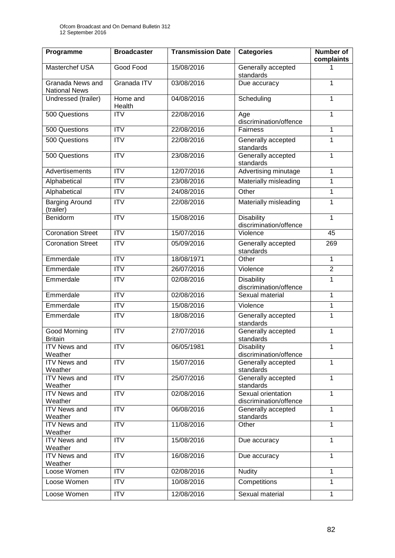| Programme                                | <b>Broadcaster</b>     | <b>Transmission Date</b> | <b>Categories</b>                            | <b>Number of</b><br>complaints |
|------------------------------------------|------------------------|--------------------------|----------------------------------------------|--------------------------------|
| Masterchef USA                           | Good Food              | 15/08/2016               | Generally accepted<br>standards              |                                |
| Granada News and<br><b>National News</b> | Granada ITV            | 03/08/2016               | Due accuracy                                 | 1                              |
| Undressed (trailer)                      | Home and<br>Health     | 04/08/2016               | Scheduling                                   | 1                              |
| 500 Questions                            | <b>ITV</b>             | 22/08/2016               | Age<br>discrimination/offence                | 1                              |
| 500 Questions                            | $\overline{IV}$        | 22/08/2016               | Fairness                                     | 1                              |
| 500 Questions                            | <b>ITV</b>             | 22/08/2016               | Generally accepted<br>standards              | 1                              |
| 500 Questions                            | <b>ITV</b>             | 23/08/2016               | Generally accepted<br>standards              | $\mathbf{1}$                   |
| <b>Advertisements</b>                    | $\overline{\text{IV}}$ | 12/07/2016               | Advertising minutage                         | 1                              |
| Alphabetical                             | <b>ITV</b>             | 23/08/2016               | Materially misleading                        | $\mathbf{1}$                   |
| Alphabetical                             | $\overline{ITV}$       | 24/08/2016               | Other                                        | 1                              |
| <b>Barging Around</b><br>(trailer)       | <b>ITV</b>             | 22/08/2016               | Materially misleading                        | 1                              |
| Benidorm                                 | $\overline{ITV}$       | 15/08/2016               | <b>Disability</b><br>discrimination/offence  | 1                              |
| <b>Coronation Street</b>                 | <b>ITV</b>             | 15/07/2016               | Violence                                     | 45                             |
| <b>Coronation Street</b>                 | $\overline{ITV}$       | 05/09/2016               | Generally accepted<br>standards              | 269                            |
| Emmerdale                                | $\overline{ITV}$       | 18/08/1971               | Other                                        | $\mathbf 1$                    |
| Emmerdale                                | <b>ITV</b>             | 26/07/2016               | Violence                                     | $\overline{2}$                 |
| Emmerdale                                | <b>ITV</b>             | 02/08/2016               | <b>Disability</b><br>discrimination/offence  | 1                              |
| Emmerdale                                | <b>ITV</b>             | 02/08/2016               | Sexual material                              | 1                              |
| Emmerdale                                | <b>ITV</b>             | 15/08/2016               | Violence                                     | 1                              |
| Emmerdale                                | <b>ITV</b>             | 18/08/2016               | Generally accepted<br>standards              | 1                              |
| Good Morning<br><b>Britain</b>           | <b>ITV</b>             | 27/07/2016               | Generally accepted<br>standards              | 1                              |
| <b>ITV News and</b><br>Weather           | <b>ITV</b>             | 06/05/1981               | <b>Disability</b><br>discrimination/offence  | $\mathbf{1}$                   |
| <b>ITV News and</b><br>Weather           | $\overline{IV}$        | 15/07/2016               | Generally accepted<br>standards              | $\overline{1}$                 |
| <b>ITV News and</b><br>Weather           | <b>ITV</b>             | 25/07/2016               | Generally accepted<br>standards              | $\mathbf{1}$                   |
| <b>ITV News and</b><br>Weather           | $\overline{IV}$        | 02/08/2016               | Sexual orientation<br>discrimination/offence | $\mathbf{1}$                   |
| <b>ITV News and</b><br>Weather           | <b>ITV</b>             | 06/08/2016               | Generally accepted<br>standards              | $\mathbf{1}$                   |
| <b>ITV News and</b><br>Weather           | <b>ITV</b>             | 11/08/2016               | Other                                        | $\mathbf{1}$                   |
| <b>ITV News and</b><br>Weather           | <b>ITV</b>             | 15/08/2016               | Due accuracy                                 | $\mathbf{1}$                   |
| <b>ITV News and</b><br>Weather           | <b>ITV</b>             | 16/08/2016               | Due accuracy                                 | $\mathbf{1}$                   |
| Loose Women                              | ITV                    | 02/08/2016               | <b>Nudity</b>                                | $\mathbf{1}$                   |
| Loose Women                              | <b>ITV</b>             | 10/08/2016               | Competitions                                 | 1                              |
| Loose Women                              | <b>ITV</b>             | 12/08/2016               | Sexual material                              | $\mathbf{1}$                   |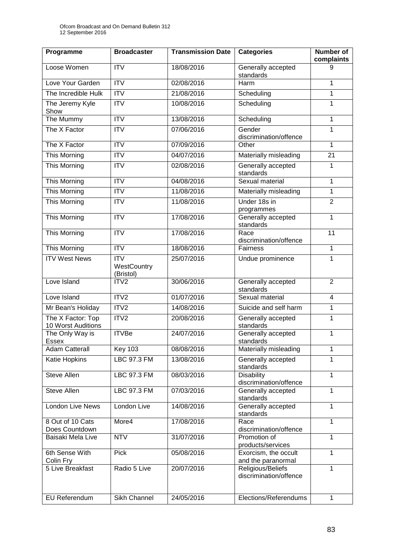| Programme                               | <b>Broadcaster</b>                                 | <b>Transmission Date</b> | <b>Categories</b>                           | <b>Number of</b><br>complaints |
|-----------------------------------------|----------------------------------------------------|--------------------------|---------------------------------------------|--------------------------------|
| Loose Women                             | <b>ITV</b>                                         | 18/08/2016               | Generally accepted<br>standards             | 9                              |
| Love Your Garden                        | <b>ITV</b>                                         | 02/08/2016               | Harm                                        | 1                              |
| The Incredible Hulk                     | $\overline{ITV}$                                   | 21/08/2016               | Scheduling                                  | 1                              |
| The Jeremy Kyle<br>Show                 | $\overline{\mathsf{ITV}}$                          | 10/08/2016               | Scheduling                                  | $\mathbf{1}$                   |
| The Mummy                               | $\overline{ITV}$                                   | 13/08/2016               | Scheduling                                  | $\mathbf{1}$                   |
| The X Factor                            | $\overline{\mathsf{ITV}}$                          | 07/06/2016               | Gender<br>discrimination/offence            | 1                              |
| The X Factor                            | $\overline{ITV}$                                   | 07/09/2016               | Other                                       | $\mathbf 1$                    |
| This Morning                            | $\overline{ITV}$                                   | 04/07/2016               | Materially misleading                       | $\overline{21}$                |
| This Morning                            | <b>ITV</b>                                         | 02/08/2016               | Generally accepted<br>standards             | 1                              |
| This Morning                            | $\overline{ITV}$                                   | 04/08/2016               | Sexual material                             | $\mathbf{1}$                   |
| <b>This Morning</b>                     | <b>ITV</b>                                         | 11/08/2016               | Materially misleading                       | 1                              |
| This Morning                            | <b>ITV</b>                                         | 11/08/2016               | Under 18s in<br>programmes                  | $\overline{2}$                 |
| This Morning                            | <b>ITV</b>                                         | 17/08/2016               | Generally accepted<br>standards             | 1                              |
| <b>This Morning</b>                     | $\overline{\mathsf{ITV}}$                          | 17/08/2016               | Race<br>discrimination/offence              | 11                             |
| This Morning                            | <b>ITV</b>                                         | 18/08/2016               | Fairness                                    | 1                              |
| <b>ITV West News</b>                    | $\overline{\text{IV}}$<br>WestCountry<br>(Bristol) | 25/07/2016               | Undue prominence                            | $\mathbf{1}$                   |
| Love Island                             | ITV <sub>2</sub>                                   | 30/06/2016               | Generally accepted<br>standards             | $\overline{2}$                 |
| Love Island                             | ITV2                                               | 01/07/2016               | Sexual material                             | $\overline{4}$                 |
| Mr Bean's Holiday                       | ITV2                                               | 14/08/2016               | Suicide and self harm                       | $\mathbf{1}$                   |
| The X Factor: Top<br>10 Worst Auditions | ITV2                                               | 20/08/2016               | Generally accepted<br>standards             | 1                              |
| The Only Way is<br>Essex                | <b>ITVBe</b>                                       | 24/07/2016               | Generally accepted<br>standards             | 1                              |
| <b>Adam Catterall</b>                   | <b>Key 103</b>                                     | 08/08/2016               | Materially misleading                       | 1                              |
| <b>Katie Hopkins</b>                    | <b>LBC 97.3 FM</b>                                 | 13/08/2016               | Generally accepted<br>standards             | 1                              |
| <b>Steve Allen</b>                      | LBC 97.3 FM                                        | 08/03/2016               | <b>Disability</b><br>discrimination/offence | 1                              |
| Steve Allen                             | <b>LBC 97.3 FM</b>                                 | 07/03/2016               | Generally accepted<br>standards             | 1                              |
| London Live News                        | London Live                                        | 14/08/2016               | Generally accepted<br>standards             | $\mathbf{1}$                   |
| 8 Out of 10 Cats                        | More4                                              | 17/08/2016               | Race                                        | $\mathbf{1}$                   |
| Does Countdown<br>Baisaki Mela Live     | <b>NTV</b>                                         | 31/07/2016               | discrimination/offence<br>Promotion of      | 1                              |
| 6th Sense With                          | <b>Pick</b>                                        | 05/08/2016               | products/services                           | $\mathbf{1}$                   |
| Colin Fry                               |                                                    |                          | Exorcism, the occult<br>and the paranormal  |                                |
| 5 Live Breakfast                        | Radio 5 Live                                       | 20/07/2016               | Religious/Beliefs<br>discrimination/offence | 1                              |
| EU Referendum                           | Sikh Channel                                       | 24/05/2016               | Elections/Referendums                       | 1                              |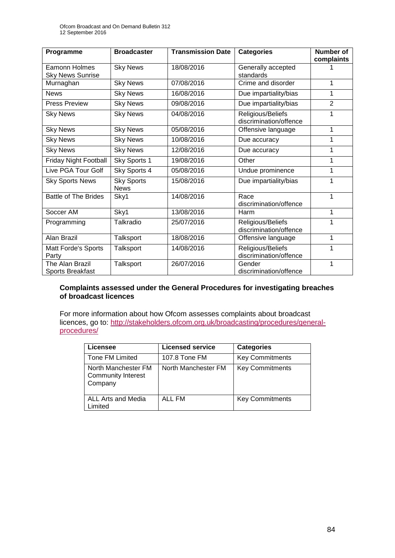| Programme                                       | <b>Broadcaster</b>               | <b>Transmission Date</b> | <b>Categories</b>                           | <b>Number of</b><br>complaints |
|-------------------------------------------------|----------------------------------|--------------------------|---------------------------------------------|--------------------------------|
| <b>Eamonn Holmes</b><br><b>Sky News Sunrise</b> | <b>Sky News</b>                  | 18/08/2016               | Generally accepted<br>standards             |                                |
| Murnaghan                                       | <b>Sky News</b>                  | 07/08/2016               | Crime and disorder                          | 1                              |
| <b>News</b>                                     | <b>Sky News</b>                  | 16/08/2016               | Due impartiality/bias                       | 1                              |
| <b>Press Preview</b>                            | <b>Sky News</b>                  | 09/08/2016               | Due impartiality/bias                       | $\overline{2}$                 |
| <b>Sky News</b>                                 | <b>Sky News</b>                  | 04/08/2016               | Religious/Beliefs<br>discrimination/offence | 1                              |
| <b>Sky News</b>                                 | <b>Sky News</b>                  | 05/08/2016               | Offensive language                          | 1                              |
| <b>Sky News</b>                                 | <b>Sky News</b>                  | 10/08/2016               | Due accuracy                                | 1                              |
| <b>Sky News</b>                                 | <b>Sky News</b>                  | 12/08/2016               | Due accuracy                                | 1                              |
| <b>Friday Night Football</b>                    | Sky Sports 1                     | 19/08/2016               | Other                                       | 1                              |
| Live PGA Tour Golf                              | Sky Sports 4                     | 05/08/2016               | Undue prominence                            | 1                              |
| <b>Sky Sports News</b>                          | <b>Sky Sports</b><br><b>News</b> | 15/08/2016               | Due impartiality/bias                       | 1                              |
| <b>Battle of The Brides</b>                     | Sky1                             | 14/08/2016               | Race                                        | 1                              |
|                                                 |                                  |                          | discrimination/offence                      |                                |
| Soccer AM                                       | Sky1                             | 13/08/2016               | Harm                                        | 1                              |
| Programming                                     | Talkradio                        | 25/07/2016               | Religious/Beliefs<br>discrimination/offence | 1                              |
| Alan Brazil                                     | Talksport                        | 18/08/2016               | Offensive language                          | 1                              |
| Matt Forde's Sports<br>Party                    | Talksport                        | 14/08/2016               | Religious/Beliefs<br>discrimination/offence | 1                              |
| The Alan Brazil<br><b>Sports Breakfast</b>      | Talksport                        | 26/07/2016               | Gender<br>discrimination/offence            | 1                              |

### **Complaints assessed under the General Procedures for investigating breaches of broadcast licences**

For more information about how Ofcom assesses complaints about broadcast licences, go to: [http://stakeholders.ofcom.org.uk/broadcasting/procedures/general](http://stakeholders.ofcom.org.uk/broadcasting/procedures/general-procedures/)[procedures/](http://stakeholders.ofcom.org.uk/broadcasting/procedures/general-procedures/)

| Licensee                                                    | <b>Licensed service</b> | <b>Categories</b>      |
|-------------------------------------------------------------|-------------------------|------------------------|
| Tone FM Limited                                             | 107.8 Tone FM           | <b>Key Commitments</b> |
| North Manchester FM<br><b>Community Interest</b><br>Company | North Manchester FM     | <b>Key Commitments</b> |
| ALL Arts and Media<br>Limited                               | ALL FM                  | <b>Key Commitments</b> |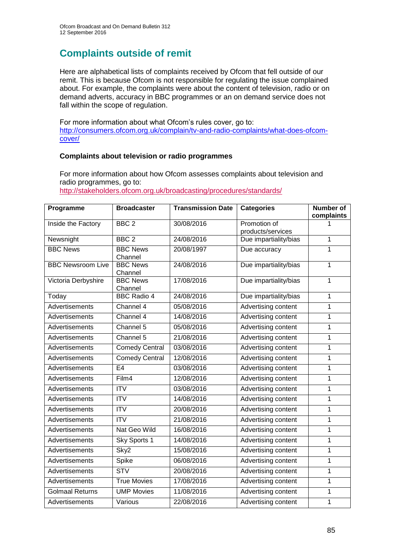# **Complaints outside of remit**

Here are alphabetical lists of complaints received by Ofcom that fell outside of our remit. This is because Ofcom is not responsible for regulating the issue complained about. For example, the complaints were about the content of television, radio or on demand adverts, accuracy in BBC programmes or an on demand service does not fall within the scope of regulation.

For more information about what Ofcom's rules cover, go to: [http://consumers.ofcom.org.uk/complain/tv-and-radio-complaints/what-does-ofcom](http://consumers.ofcom.org.uk/complain/tv-and-radio-complaints/what-does-ofcom-cover/)[cover/](http://consumers.ofcom.org.uk/complain/tv-and-radio-complaints/what-does-ofcom-cover/)

### **Complaints about television or radio programmes**

For more information about how Ofcom assesses complaints about television and radio programmes, go to:

<http://stakeholders.ofcom.org.uk/broadcasting/procedures/standards/>

| Programme                | <b>Broadcaster</b>         | <b>Transmission Date</b> | <b>Categories</b>                 | <b>Number of</b><br>complaints |
|--------------------------|----------------------------|--------------------------|-----------------------------------|--------------------------------|
| Inside the Factory       | BBC <sub>2</sub>           | 30/08/2016               | Promotion of<br>products/services |                                |
| Newsnight                | BBC <sub>2</sub>           | 24/08/2016               | Due impartiality/bias             | 1                              |
| <b>BBC News</b>          | <b>BBC News</b><br>Channel | 20/08/1997               | Due accuracy                      | 1                              |
| <b>BBC Newsroom Live</b> | <b>BBC News</b><br>Channel | 24/08/2016               | Due impartiality/bias             | $\mathbf{1}$                   |
| Victoria Derbyshire      | <b>BBC News</b><br>Channel | 17/08/2016               | Due impartiality/bias             | $\mathbf{1}$                   |
| Today                    | <b>BBC Radio 4</b>         | 24/08/2016               | Due impartiality/bias             | $\mathbf 1$                    |
| Advertisements           | Channel 4                  | 05/08/2016               | Advertising content               | $\mathbf{1}$                   |
| Advertisements           | Channel 4                  | 14/08/2016               | Advertising content               | 1                              |
| Advertisements           | Channel 5                  | 05/08/2016               | Advertising content               | 1                              |
| Advertisements           | Channel 5                  | 21/08/2016               | Advertising content               | 1                              |
| Advertisements           | <b>Comedy Central</b>      | 03/08/2016               | Advertising content               | $\mathbf{1}$                   |
| Advertisements           | <b>Comedy Central</b>      | 12/08/2016               | Advertising content               | 1                              |
| Advertisements           | E4                         | 03/08/2016               | Advertising content               | 1                              |
| Advertisements           | Film4                      | 12/08/2016               | Advertising content               | 1                              |
| Advertisements           | $\overline{IV}$            | 03/08/2016               | Advertising content               | 1                              |
| Advertisements           | <b>ITV</b>                 | 14/08/2016               | Advertising content               | $\mathbf{1}$                   |
| Advertisements           | $\overline{ITV}$           | 20/08/2016               | Advertising content               | 1                              |
| Advertisements           | <b>ITV</b>                 | 21/08/2016               | Advertising content               | 1                              |
| Advertisements           | Nat Geo Wild               | 16/08/2016               | Advertising content               | $\mathbf{1}$                   |
| <b>Advertisements</b>    | Sky Sports 1               | 14/08/2016               | Advertising content               | 1                              |
| Advertisements           | Sky2                       | 15/08/2016               | Advertising content               | 1                              |
| Advertisements           | Spike                      | 06/08/2016               | Advertising content               | $\mathbf{1}$                   |
| Advertisements           | <b>STV</b>                 | 20/08/2016               | Advertising content               | 1                              |
| Advertisements           | <b>True Movies</b>         | 17/08/2016               | Advertising content               | 1                              |
| <b>Golmaal Returns</b>   | <b>UMP Movies</b>          | 11/08/2016               | Advertising content               | 1                              |
| Advertisements           | Various                    | 22/08/2016               | Advertising content               | $\mathbf{1}$                   |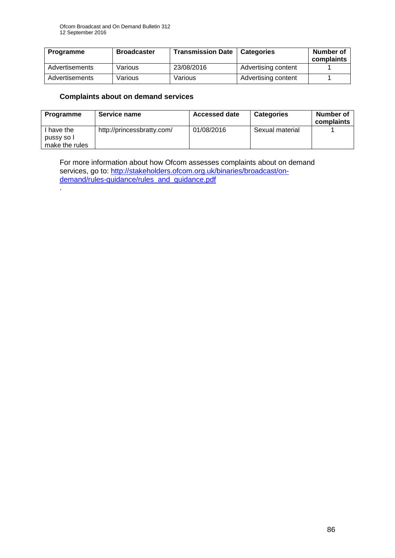| Programme      | <b>Broadcaster</b> | <b>Transmission Date   Categories</b> |                     | Number of<br>complaints |
|----------------|--------------------|---------------------------------------|---------------------|-------------------------|
| Advertisements | Various            | 23/08/2016                            | Advertising content |                         |
| Advertisements | Various            | Various                               | Advertising content |                         |

## **Complaints about on demand services**

.

| Programme                | Service name               | <b>Accessed date</b> | <b>Categories</b> | Number of<br>complaints |
|--------------------------|----------------------------|----------------------|-------------------|-------------------------|
| I have the<br>pussy so I | http://princessbratty.com/ | 01/08/2016           | Sexual material   |                         |
| make the rules           |                            |                      |                   |                         |

For more information about how Ofcom assesses complaints about on demand services, go to: [http://stakeholders.ofcom.org.uk/binaries/broadcast/on](http://stakeholders.ofcom.org.uk/binaries/broadcast/on-demand/rules-guidance/rules_and_guidance.pdf)[demand/rules-guidance/rules\\_and\\_guidance.pdf](http://stakeholders.ofcom.org.uk/binaries/broadcast/on-demand/rules-guidance/rules_and_guidance.pdf)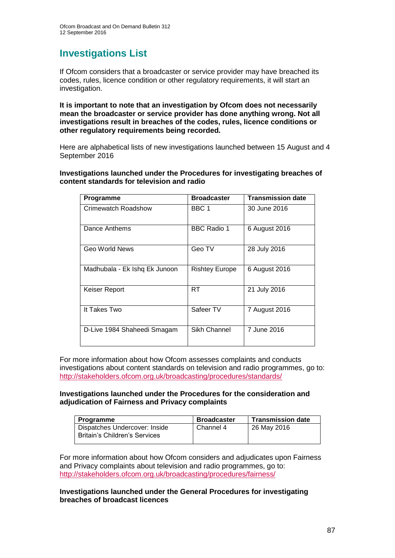# **Investigations List**

If Ofcom considers that a broadcaster or service provider may have breached its codes, rules, licence condition or other regulatory requirements, it will start an investigation.

**It is important to note that an investigation by Ofcom does not necessarily mean the broadcaster or service provider has done anything wrong. Not all investigations result in breaches of the codes, rules, licence conditions or other regulatory requirements being recorded.**

Here are alphabetical lists of new investigations launched between 15 August and 4 September 2016

**Investigations launched under the Procedures for investigating breaches of content standards for television and radio**

| Programme                     | <b>Broadcaster</b>    | <b>Transmission date</b> |
|-------------------------------|-----------------------|--------------------------|
| Crimewatch Roadshow           | BBC 1                 | 30 June 2016             |
| Dance Anthems                 | <b>BBC Radio 1</b>    | 6 August 2016            |
| Geo World News                | Geo TV                | 28 July 2016             |
| Madhubala - Ek Ishq Ek Junoon | <b>Rishtey Europe</b> | 6 August 2016            |
| Keiser Report                 | RT                    | 21 July 2016             |
| It Takes Two                  | Safeer TV             | 7 August 2016            |
| D-Live 1984 Shaheedi Smagam   | Sikh Channel          | 7 June 2016              |

For more information about how Ofcom assesses complaints and conducts investigations about content standards on television and radio programmes, go to: <http://stakeholders.ofcom.org.uk/broadcasting/procedures/standards/>

### **Investigations launched under the Procedures for the consideration and adjudication of Fairness and Privacy complaints**

| <b>Programme</b>                                               | <b>Broadcaster</b> | <b>Transmission date</b> |
|----------------------------------------------------------------|--------------------|--------------------------|
| Dispatches Undercover: Inside<br>Britain's Children's Services | Channel 4          | 26 May 2016              |

For more information about how Ofcom considers and adjudicates upon Fairness and Privacy complaints about television and radio programmes, go to: <http://stakeholders.ofcom.org.uk/broadcasting/procedures/fairness/>

**Investigations launched under the General Procedures for investigating breaches of broadcast licences**